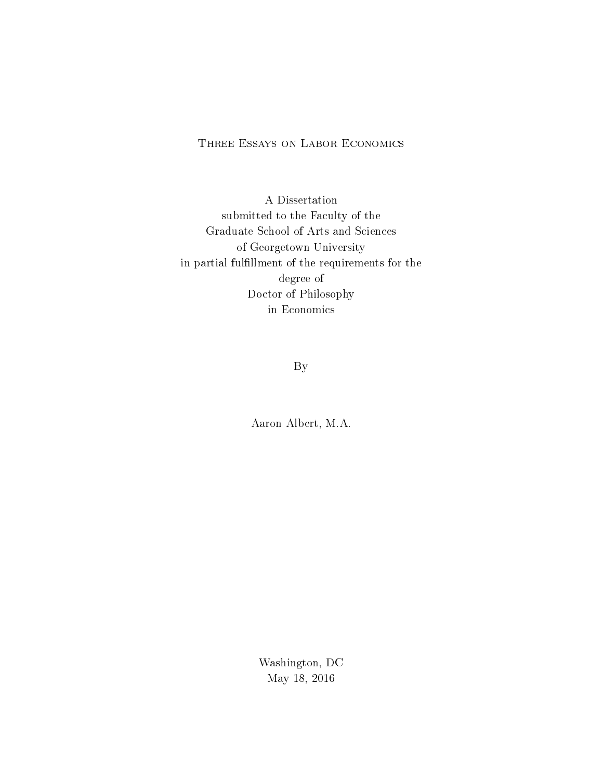# Three Essays on Labor Economics

A Dissertation submitted to the Faculty of the Graduate School of Arts and Sciences of Georgetown University in partial fulfillment of the requirements for the degree of Doctor of Philosophy in Economics

By

Aaron Albert, M.A.

Washington, DC May 18, 2016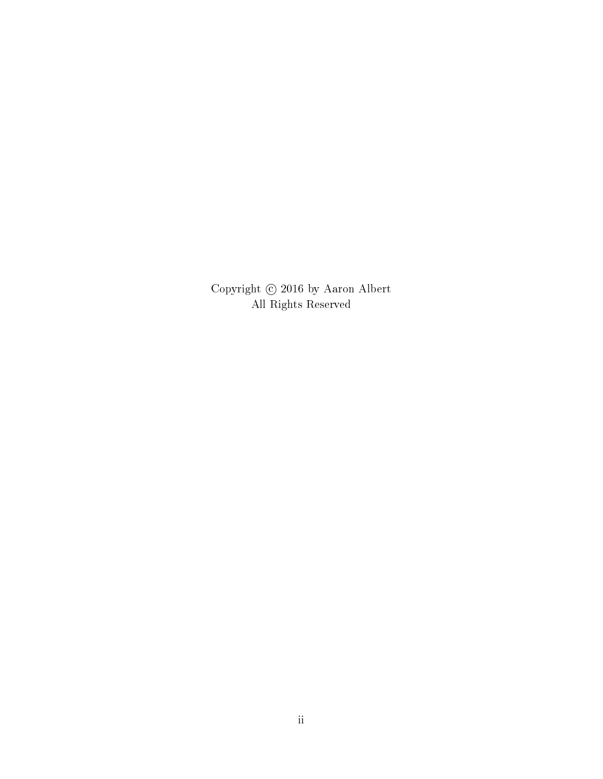Copyright  $\odot$  2016 by Aaron Albert All Rights Reserved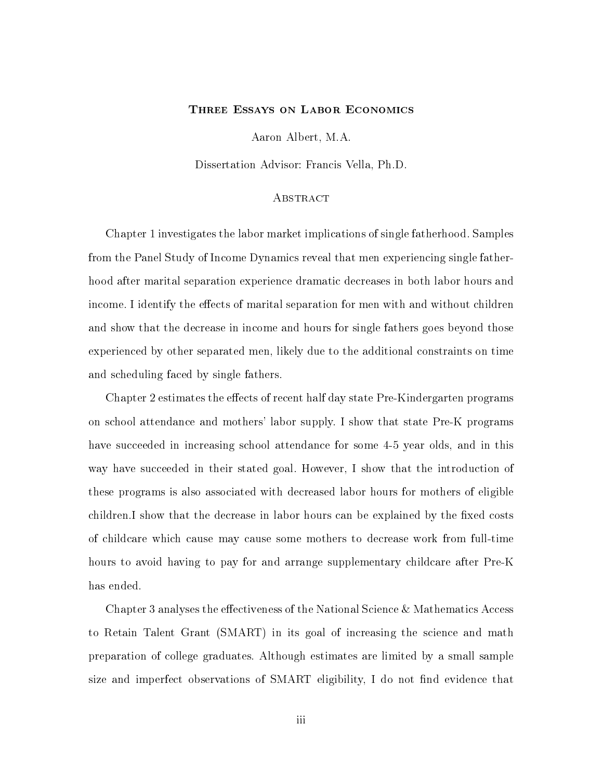## Three Essays on Labor Economics

Aaron Albert, M.A.

Dissertation Advisor: Francis Vella, Ph.D.

## **ABSTRACT**

Chapter 1 investigates the labor market implications of single fatherhood. Samples from the Panel Study of Income Dynamics reveal that men experiencing single fatherhood after marital separation experience dramatic decreases in both labor hours and income. I identify the effects of marital separation for men with and without children and show that the decrease in income and hours for single fathers goes beyond those experienced by other separated men, likely due to the additional constraints on time and scheduling faced by single fathers.

Chapter 2 estimates the effects of recent half day state Pre-Kindergarten programs on school attendance and mothers' labor supply. I show that state Pre-K programs have succeeded in increasing school attendance for some 4-5 year olds, and in this way have succeeded in their stated goal. However, I show that the introduction of these programs is also associated with decreased labor hours for mothers of eligible children. I show that the decrease in labor hours can be explained by the fixed costs of childcare which cause may cause some mothers to decrease work from full-time hours to avoid having to pay for and arrange supplementary childcare after Pre-K has ended.

Chapter 3 analyses the effectiveness of the National Science  $\&$  Mathematics Access to Retain Talent Grant (SMART) in its goal of increasing the science and math preparation of college graduates. Although estimates are limited by a small sample size and imperfect observations of SMART eligibility, I do not find evidence that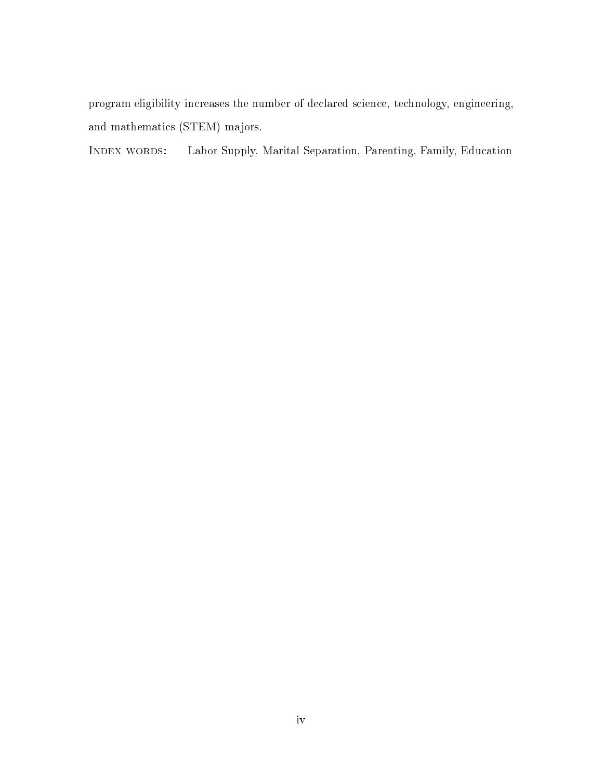program eligibility increases the number of declared science, technology, engineering, and mathematics (STEM) majors.

Index words: Labor Supply, Marital Separation, Parenting, Family, Education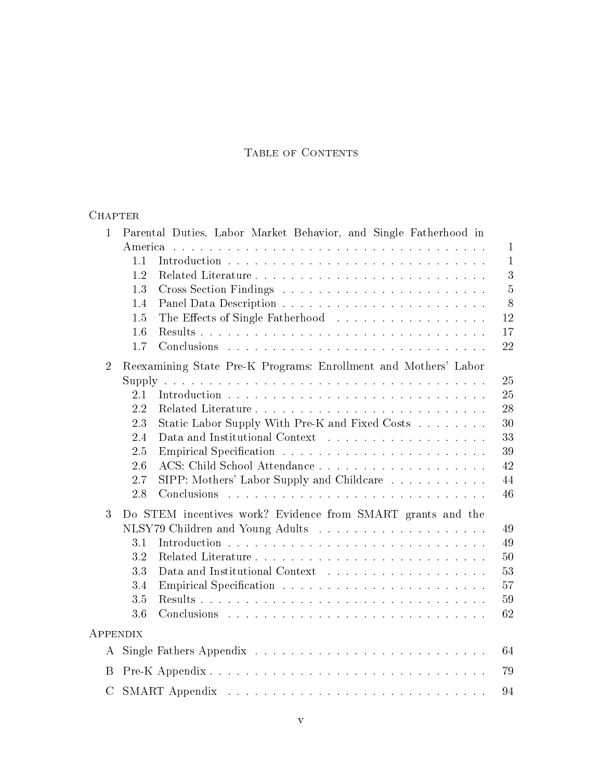# Table of Contents

# **CHAPTER**

| $\mathbf{1}$   | Parental Duties, Labor Market Behavior, and Single Fatherhood in |                |
|----------------|------------------------------------------------------------------|----------------|
|                | America                                                          | $\mathbf{1}$   |
|                | 1.1                                                              | $\mathbf{1}$   |
|                | 1.2                                                              | 3              |
|                | 1.3                                                              | $\overline{5}$ |
|                | 1.4                                                              | 8              |
|                | The Effects of Single Fatherhood<br>1.5                          | 12             |
|                | 1.6                                                              | 17             |
|                | 1.7                                                              | 22             |
| $\overline{2}$ | Reexamining State Pre-K Programs: Enrollment and Mothers' Labor  |                |
|                |                                                                  | 25             |
|                | 2.1                                                              | 25             |
|                | 2.2                                                              | 28             |
|                | 2.3<br>Static Labor Supply With Pre-K and Fixed Costs            | 30             |
|                | 2.4                                                              | 33             |
|                | 2.5                                                              | 39             |
|                | 2.6                                                              | 42             |
|                | SIPP: Mothers' Labor Supply and Childcare<br>2.7                 | 44             |
|                | 2.8                                                              | 46             |
| 3              | Do STEM incentives work? Evidence from SMART grants and the      |                |
|                |                                                                  | 49             |
|                | 3.1                                                              | 49             |
|                | 3.2                                                              | $50\,$         |
|                | 3.3                                                              | 53             |
|                | 3.4                                                              | 57             |
|                | 3.5                                                              | 59             |
|                | 3.6                                                              | 62             |
| APPENDIX       |                                                                  |                |
| A              |                                                                  | 64             |
| B              |                                                                  | 79             |
| $\rm C$        |                                                                  | 94             |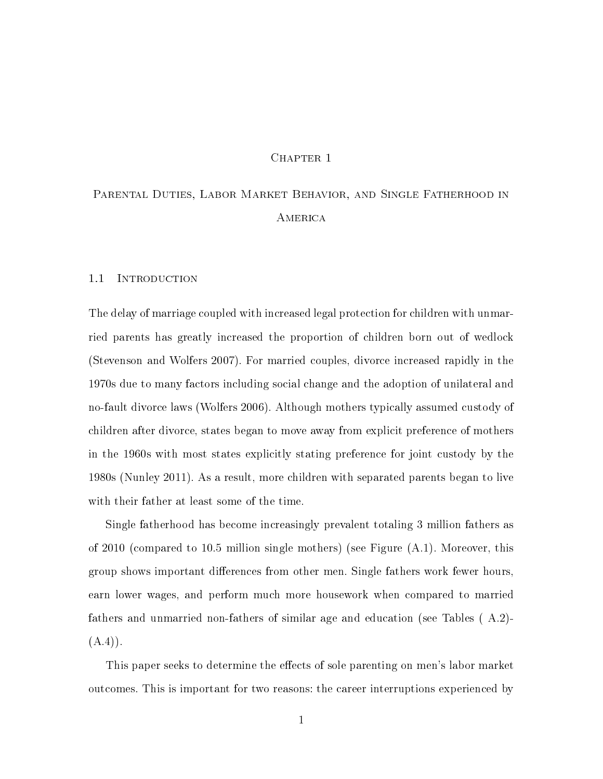#### CHAPTER 1

# Parental Duties, Labor Market Behavior, and Single Fatherhood in A **MERICA**

#### 1.1 INTRODUCTION

The delay of marriage coupled with increased legal protection for children with unmarried parents has greatly increased the proportion of children born out of wedlock (Stevenson and Wolfers 2007). For married couples, divorce increased rapidly in the 1970s due to many factors including social change and the adoption of unilateral and no-fault divorce laws (Wolfers 2006). Although mothers typically assumed custody of children after divorce, states began to move away from explicit preference of mothers in the 1960s with most states explicitly stating preference for joint custody by the 1980s (Nunley 2011). As a result, more children with separated parents began to live with their father at least some of the time.

Single fatherhood has become increasingly prevalent totaling 3 million fathers as of 2010 (compared to 10.5 million single mothers) (see Figure (A.1). Moreover, this group shows important differences from other men. Single fathers work fewer hours, earn lower wages, and perform much more housework when compared to married fathers and unmarried non-fathers of similar age and education (see Tables ( A.2)-  $(A.4)$ .

This paper seeks to determine the effects of sole parenting on men's labor market outcomes. This is important for two reasons: the career interruptions experienced by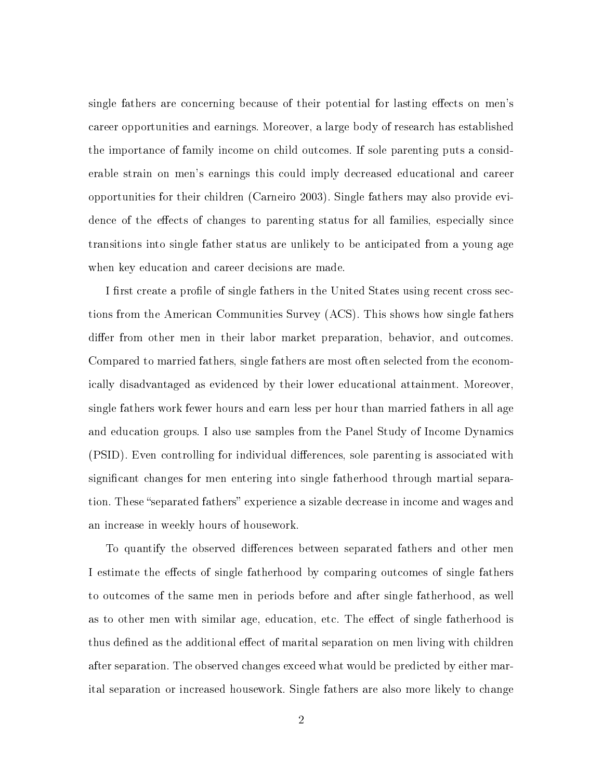single fathers are concerning because of their potential for lasting effects on men's career opportunities and earnings. Moreover, a large body of research has established the importance of family income on child outcomes. If sole parenting puts a considerable strain on men's earnings this could imply decreased educational and career opportunities for their children (Carneiro 2003). Single fathers may also provide evidence of the effects of changes to parenting status for all families, especially since transitions into single father status are unlikely to be anticipated from a young age when key education and career decisions are made.

I first create a profile of single fathers in the United States using recent cross sections from the American Communities Survey (ACS). This shows how single fathers differ from other men in their labor market preparation, behavior, and outcomes. Compared to married fathers, single fathers are most often selected from the economically disadvantaged as evidenced by their lower educational attainment. Moreover, single fathers work fewer hours and earn less per hour than married fathers in all age and education groups. I also use samples from the Panel Study of Income Dynamics (PSID). Even controlling for individual differences, sole parenting is associated with significant changes for men entering into single fatherhood through martial separation. These "separated fathers" experience a sizable decrease in income and wages and an increase in weekly hours of housework.

To quantify the observed differences between separated fathers and other men I estimate the effects of single fatherhood by comparing outcomes of single fathers to outcomes of the same men in periods before and after single fatherhood, as well as to other men with similar age, education, etc. The effect of single fatherhood is thus defined as the additional effect of marital separation on men living with children after separation. The observed changes exceed what would be predicted by either marital separation or increased housework. Single fathers are also more likely to change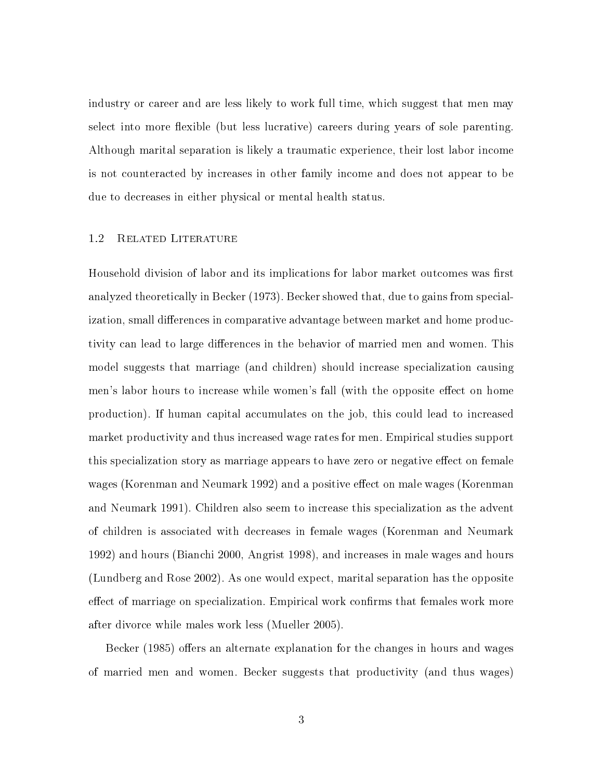industry or career and are less likely to work full time, which suggest that men may select into more flexible (but less lucrative) careers during years of sole parenting. Although marital separation is likely a traumatic experience, their lost labor income is not counteracted by increases in other family income and does not appear to be due to decreases in either physical or mental health status.

# 1.2 Related Literature

Household division of labor and its implications for labor market outcomes was first analyzed theoretically in Becker (1973). Becker showed that, due to gains from specialization, small differences in comparative advantage between market and home productivity can lead to large differences in the behavior of married men and women. This model suggests that marriage (and children) should increase specialization causing men's labor hours to increase while women's fall (with the opposite effect on home production). If human capital accumulates on the job, this could lead to increased market productivity and thus increased wage rates for men. Empirical studies support this specialization story as marriage appears to have zero or negative effect on female wages (Korenman and Neumark 1992) and a positive effect on male wages (Korenman and Neumark 1991). Children also seem to increase this specialization as the advent of children is associated with decreases in female wages (Korenman and Neumark 1992) and hours (Bianchi 2000, Angrist 1998), and increases in male wages and hours (Lundberg and Rose 2002). As one would expect, marital separation has the opposite effect of marriage on specialization. Empirical work confirms that females work more after divorce while males work less (Mueller 2005).

Becker (1985) offers an alternate explanation for the changes in hours and wages of married men and women. Becker suggests that productivity (and thus wages)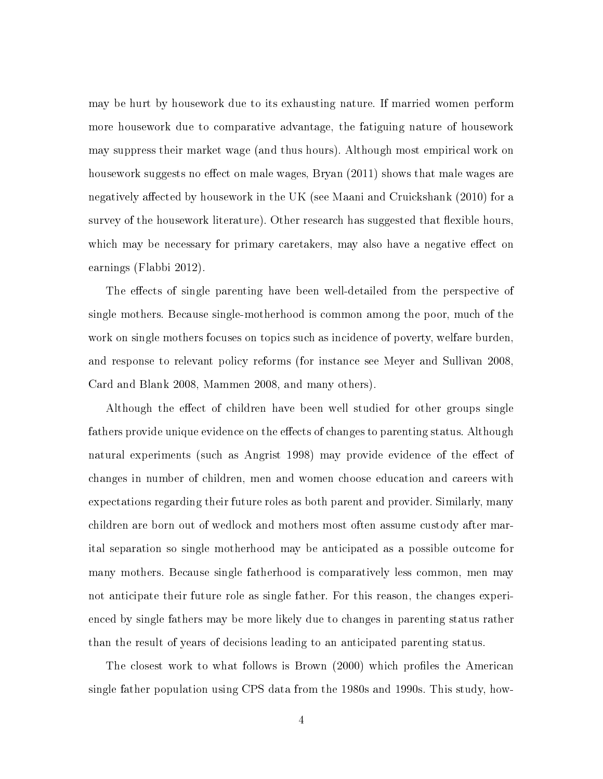may be hurt by housework due to its exhausting nature. If married women perform more housework due to comparative advantage, the fatiguing nature of housework may suppress their market wage (and thus hours). Although most empirical work on housework suggests no effect on male wages, Bryan  $(2011)$  shows that male wages are negatively affected by housework in the UK (see Maani and Cruickshank (2010) for a survey of the housework literature). Other research has suggested that flexible hours, which may be necessary for primary caretakers, may also have a negative effect on earnings (Flabbi 2012).

The effects of single parenting have been well-detailed from the perspective of single mothers. Because single-motherhood is common among the poor, much of the work on single mothers focuses on topics such as incidence of poverty, welfare burden, and response to relevant policy reforms (for instance see Meyer and Sullivan 2008, Card and Blank 2008, Mammen 2008, and many others).

Although the effect of children have been well studied for other groups single fathers provide unique evidence on the effects of changes to parenting status. Although natural experiments (such as Angrist 1998) may provide evidence of the effect of changes in number of children, men and women choose education and careers with expectations regarding their future roles as both parent and provider. Similarly, many children are born out of wedlock and mothers most often assume custody after marital separation so single motherhood may be anticipated as a possible outcome for many mothers. Because single fatherhood is comparatively less common, men may not anticipate their future role as single father. For this reason, the changes experienced by single fathers may be more likely due to changes in parenting status rather than the result of years of decisions leading to an anticipated parenting status.

The closest work to what follows is Brown (2000) which profiles the American single father population using CPS data from the 1980s and 1990s. This study, how-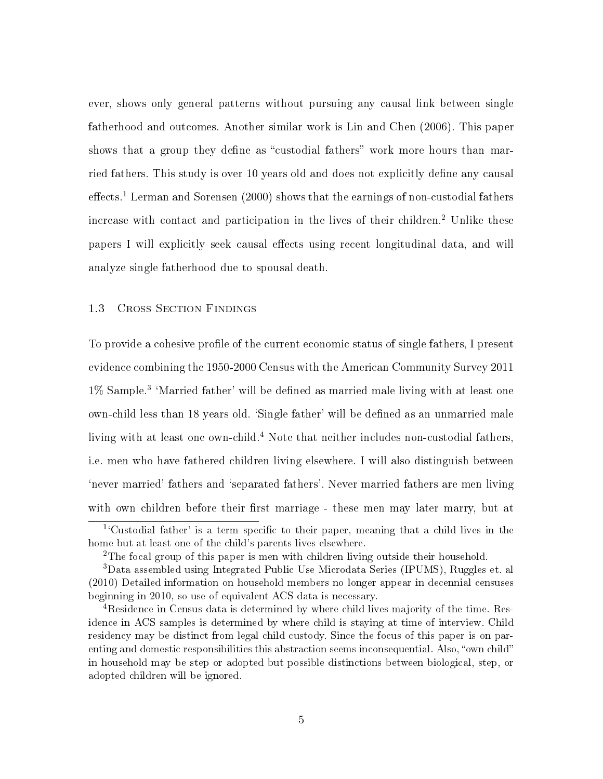ever, shows only general patterns without pursuing any causal link between single fatherhood and outcomes. Another similar work is Lin and Chen (2006). This paper shows that a group they define as "custodial fathers" work more hours than married fathers. This study is over 10 years old and does not explicitly define any causal  $\text{effects.}^1$  Lerman and Sorensen (2000) shows that the earnings of non-custodial fathers increase with contact and participation in the lives of their children.<sup>2</sup> Unlike these papers I will explicitly seek causal effects using recent longitudinal data, and will analyze single fatherhood due to spousal death.

# 1.3 Cross Section Findings

To provide a cohesive profile of the current economic status of single fathers, I present evidence combining the 1950-2000 Census with the American Community Survey 2011 1% Sample.<sup>3</sup> 'Married father' will be defined as married male living with at least one own-child less than 18 years old. 'Single father' will be defined as an unmarried male living with at least one own-child.<sup>4</sup> Note that neither includes non-custodial fathers, i.e. men who have fathered children living elsewhere. I will also distinguish between `never married' fathers and `separated fathers'. Never married fathers are men living with own children before their first marriage - these men may later marry, but at

<sup>&</sup>lt;sup>1</sup>'Custodial father' is a term specific to their paper, meaning that a child lives in the home but at least one of the child's parents lives elsewhere.

<sup>&</sup>lt;sup>2</sup>The focal group of this paper is men with children living outside their household.

<sup>3</sup>Data assembled using Integrated Public Use Microdata Series (IPUMS), Ruggles et. al (2010) Detailed information on household members no longer appear in decennial censuses beginning in 2010, so use of equivalent ACS data is necessary.

<sup>&</sup>lt;sup>4</sup>Residence in Census data is determined by where child lives majority of the time. Residence in ACS samples is determined by where child is staying at time of interview. Child residency may be distinct from legal child custody. Since the focus of this paper is on parenting and domestic responsibilities this abstraction seems inconsequential. Also, "own child" in household may be step or adopted but possible distinctions between biological, step, or adopted children will be ignored.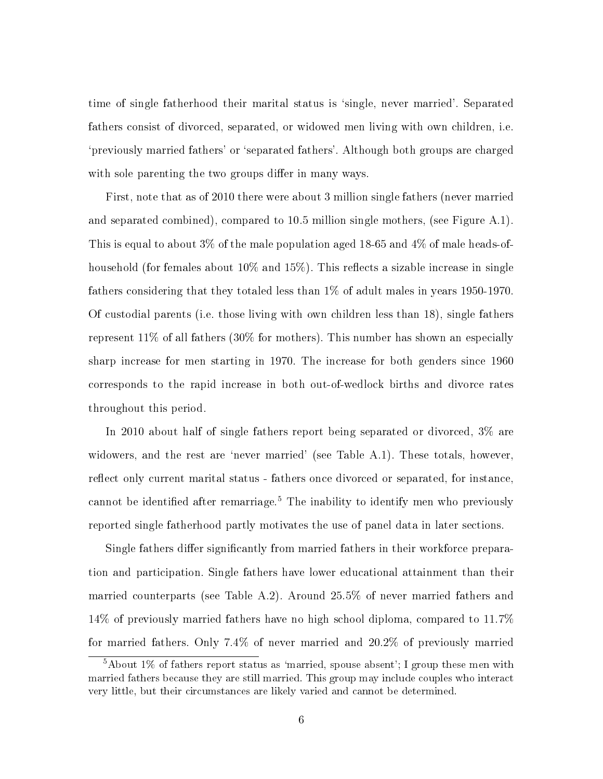time of single fatherhood their marital status is 'single, never married'. Separated fathers consist of divorced, separated, or widowed men living with own children, i.e. `previously married fathers' or `separated fathers'. Although both groups are charged with sole parenting the two groups differ in many ways.

First, note that as of 2010 there were about 3 million single fathers (never married and separated combined), compared to 10.5 million single mothers, (see Figure A.1). This is equal to about 3% of the male population aged 18-65 and 4% of male heads-ofhousehold (for females about  $10\%$  and  $15\%$ ). This reflects a sizable increase in single fathers considering that they totaled less than 1% of adult males in years 1950-1970. Of custodial parents (i.e. those living with own children less than 18), single fathers represent 11% of all fathers (30% for mothers). This number has shown an especially sharp increase for men starting in 1970. The increase for both genders since 1960 corresponds to the rapid increase in both out-of-wedlock births and divorce rates throughout this period.

In 2010 about half of single fathers report being separated or divorced, 3% are widowers, and the rest are 'never married' (see Table A.1). These totals, however, reflect only current marital status - fathers once divorced or separated, for instance, cannot be identified after remarriage.<sup>5</sup> The inability to identify men who previously reported single fatherhood partly motivates the use of panel data in later sections.

Single fathers differ significantly from married fathers in their workforce preparation and participation. Single fathers have lower educational attainment than their married counterparts (see Table A.2). Around 25.5% of never married fathers and 14% of previously married fathers have no high school diploma, compared to 11.7% for married fathers. Only 7.4% of never married and 20.2% of previously married

 $5A$ bout 1% of fathers report status as 'married, spouse absent'; I group these men with married fathers because they are still married. This group may include couples who interact very little, but their circumstances are likely varied and cannot be determined.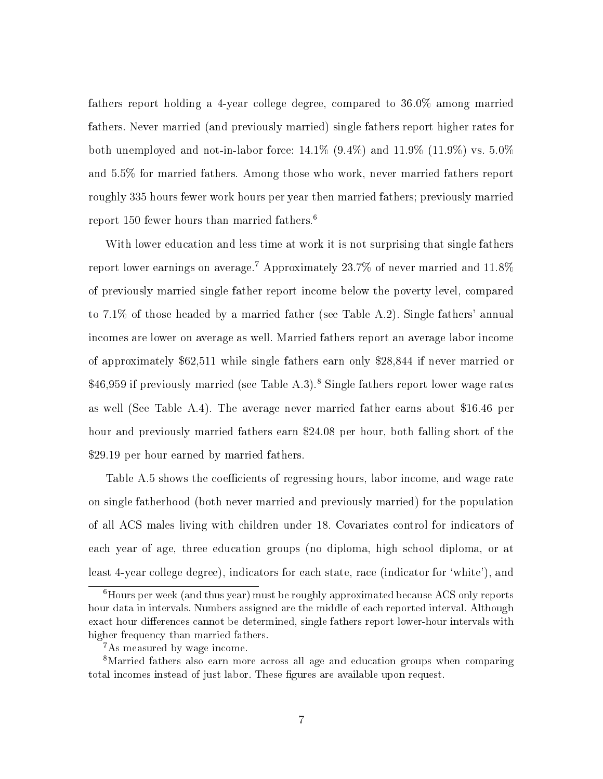fathers report holding a 4-year college degree, compared to 36.0% among married fathers. Never married (and previously married) single fathers report higher rates for both unemployed and not-in-labor force:  $14.1\%$  (9.4%) and  $11.9\%$  (11.9%) vs.  $5.0\%$ and 5.5% for married fathers. Among those who work, never married fathers report roughly 335 hours fewer work hours per year then married fathers; previously married report 150 fewer hours than married fathers.<sup>6</sup>

With lower education and less time at work it is not surprising that single fathers report lower earnings on average.<sup>7</sup> Approximately 23.7% of never married and 11.8% of previously married single father report income below the poverty level, compared to 7.1% of those headed by a married father (see Table A.2). Single fathers' annual incomes are lower on average as well. Married fathers report an average labor income of approximately \$62,511 while single fathers earn only \$28,844 if never married or \$46,959 if previously married (see Table A.3).<sup>8</sup> Single fathers report lower wage rates as well (See Table A.4). The average never married father earns about \$16.46 per hour and previously married fathers earn \$24.08 per hour, both falling short of the \$29.19 per hour earned by married fathers.

Table A.5 shows the coefficients of regressing hours, labor income, and wage rate on single fatherhood (both never married and previously married) for the population of all ACS males living with children under 18. Covariates control for indicators of each year of age, three education groups (no diploma, high school diploma, or at least 4-year college degree), indicators for each state, race (indicator for 'white'), and

<sup>&</sup>lt;sup>6</sup>Hours per week (and thus year) must be roughly approximated because ACS only reports hour data in intervals. Numbers assigned are the middle of each reported interval. Although exact hour differences cannot be determined, single fathers report lower-hour intervals with higher frequency than married fathers.

<sup>&</sup>lt;sup>7</sup>As measured by wage income.

<sup>8</sup>Married fathers also earn more across all age and education groups when comparing total incomes instead of just labor. These figures are available upon request.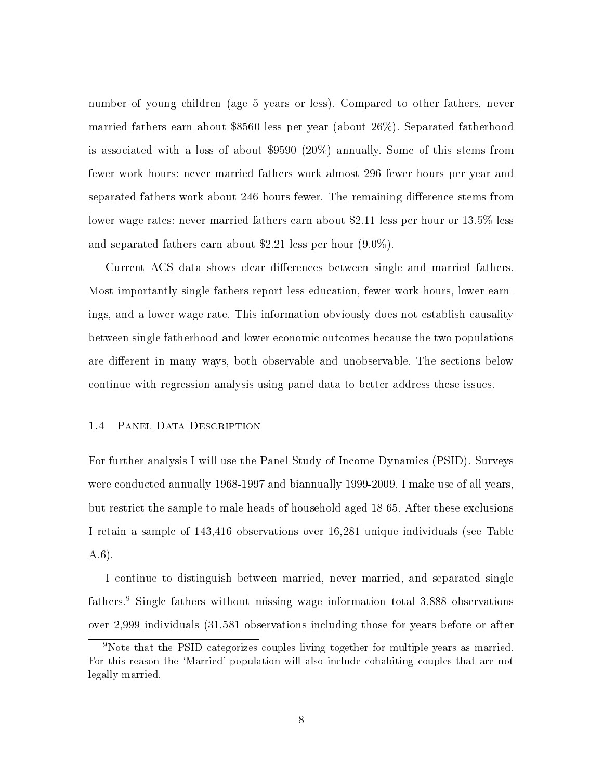number of young children (age 5 years or less). Compared to other fathers, never married fathers earn about \$8560 less per year (about 26%). Separated fatherhood is associated with a loss of about \$9590 (20%) annually. Some of this stems from fewer work hours: never married fathers work almost 296 fewer hours per year and separated fathers work about 246 hours fewer. The remaining difference stems from lower wage rates: never married fathers earn about \$2.11 less per hour or 13.5% less and separated fathers earn about \$2.21 less per hour (9.0%).

Current ACS data shows clear differences between single and married fathers. Most importantly single fathers report less education, fewer work hours, lower earnings, and a lower wage rate. This information obviously does not establish causality between single fatherhood and lower economic outcomes because the two populations are different in many ways, both observable and unobservable. The sections below continue with regression analysis using panel data to better address these issues.

#### 1.4 Panel Data Description

For further analysis I will use the Panel Study of Income Dynamics (PSID). Surveys were conducted annually 1968-1997 and biannually 1999-2009. I make use of all years, but restrict the sample to male heads of household aged 18-65. After these exclusions I retain a sample of 143,416 observations over 16,281 unique individuals (see Table A.6).

I continue to distinguish between married, never married, and separated single fathers.<sup>9</sup> Single fathers without missing wage information total 3,888 observations over 2,999 individuals (31,581 observations including those for years before or after

<sup>&</sup>lt;sup>9</sup>Note that the PSID categorizes couples living together for multiple years as married. For this reason the `Married' population will also include cohabiting couples that are not legally married.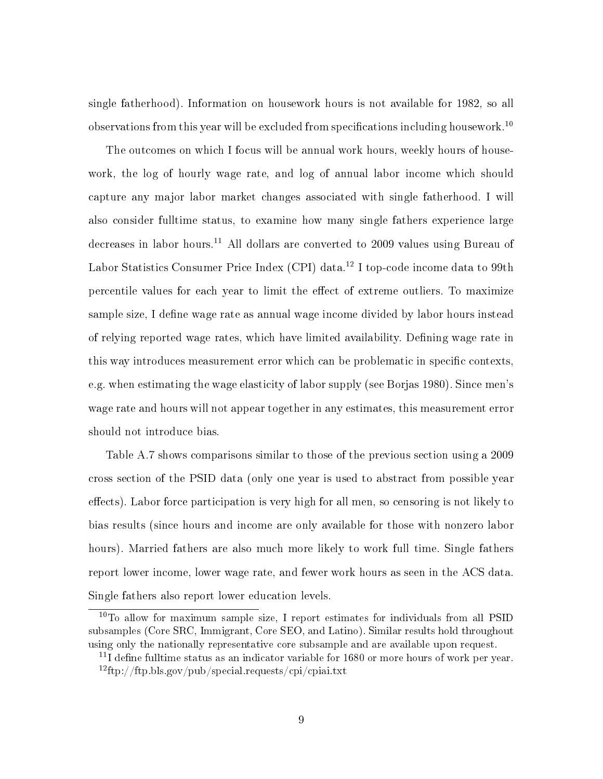single fatherhood). Information on housework hours is not available for 1982, so all observations from this year will be excluded from specifications including housework.<sup>10</sup>

The outcomes on which I focus will be annual work hours, weekly hours of housework, the log of hourly wage rate, and log of annual labor income which should capture any major labor market changes associated with single fatherhood. I will also consider fulltime status, to examine how many single fathers experience large decreases in labor hours.<sup>11</sup> All dollars are converted to 2009 values using Bureau of Labor Statistics Consumer Price Index (CPI) data.<sup>12</sup> I top-code income data to 99th percentile values for each year to limit the effect of extreme outliers. To maximize sample size, I define wage rate as annual wage income divided by labor hours instead of relying reported wage rates, which have limited availability. Defining wage rate in this way introduces measurement error which can be problematic in specific contexts, e.g. when estimating the wage elasticity of labor supply (see Borjas 1980). Since men's wage rate and hours will not appear together in any estimates, this measurement error should not introduce bias.

Table A.7 shows comparisons similar to those of the previous section using a 2009 cross section of the PSID data (only one year is used to abstract from possible year effects). Labor force participation is very high for all men, so censoring is not likely to bias results (since hours and income are only available for those with nonzero labor hours). Married fathers are also much more likely to work full time. Single fathers report lower income, lower wage rate, and fewer work hours as seen in the ACS data. Single fathers also report lower education levels.

 $10$ To allow for maximum sample size, I report estimates for individuals from all PSID subsamples (Core SRC, Immigrant, Core SEO, and Latino). Similar results hold throughout using only the nationally representative core subsample and are available upon request.

 $11$ I define fulltime status as an indicator variable for 1680 or more hours of work per year.  $12$ ftp://ftp.bls.gov/pub/special.requests/cpi/cpiai.txt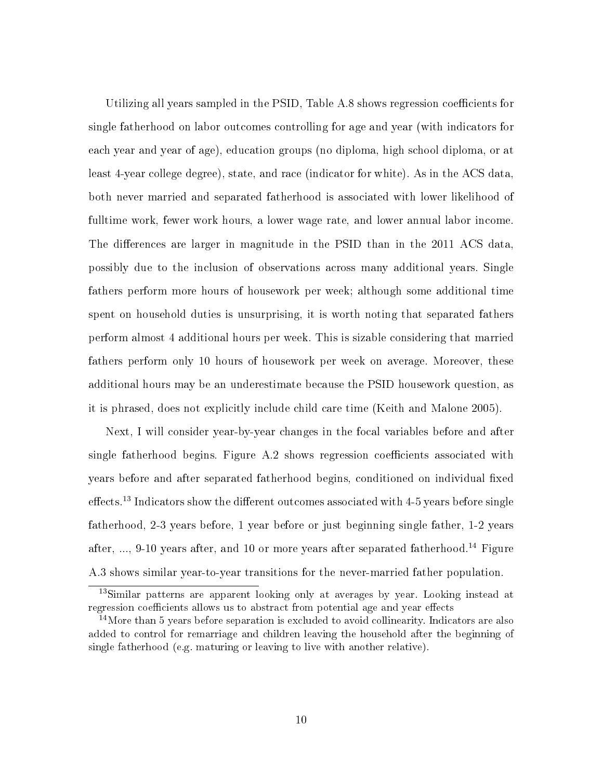Utilizing all years sampled in the PSID, Table A.8 shows regression coefficients for single fatherhood on labor outcomes controlling for age and year (with indicators for each year and year of age), education groups (no diploma, high school diploma, or at least 4-year college degree), state, and race (indicator for white). As in the ACS data, both never married and separated fatherhood is associated with lower likelihood of fulltime work, fewer work hours, a lower wage rate, and lower annual labor income. The differences are larger in magnitude in the PSID than in the 2011 ACS data, possibly due to the inclusion of observations across many additional years. Single fathers perform more hours of housework per week; although some additional time spent on household duties is unsurprising, it is worth noting that separated fathers perform almost 4 additional hours per week. This is sizable considering that married fathers perform only 10 hours of housework per week on average. Moreover, these additional hours may be an underestimate because the PSID housework question, as it is phrased, does not explicitly include child care time (Keith and Malone 2005).

Next, I will consider year-by-year changes in the focal variables before and after single fatherhood begins. Figure  $A.2$  shows regression coefficients associated with years before and after separated fatherhood begins, conditioned on individual fixed effects.<sup>13</sup> Indicators show the different outcomes associated with 4-5 years before single fatherhood, 2-3 years before, 1 year before or just beginning single father, 1-2 years after, ..., 9-10 years after, and 10 or more years after separated fatherhood.<sup>14</sup> Figure A.3 shows similar year-to-year transitions for the never-married father population.

<sup>&</sup>lt;sup>13</sup>Similar patterns are apparent looking only at averages by year. Looking instead at regression coefficients allows us to abstract from potential age and year effects

<sup>&</sup>lt;sup>14</sup>More than 5 years before separation is excluded to avoid collinearity. Indicators are also added to control for remarriage and children leaving the household after the beginning of single fatherhood (e.g. maturing or leaving to live with another relative).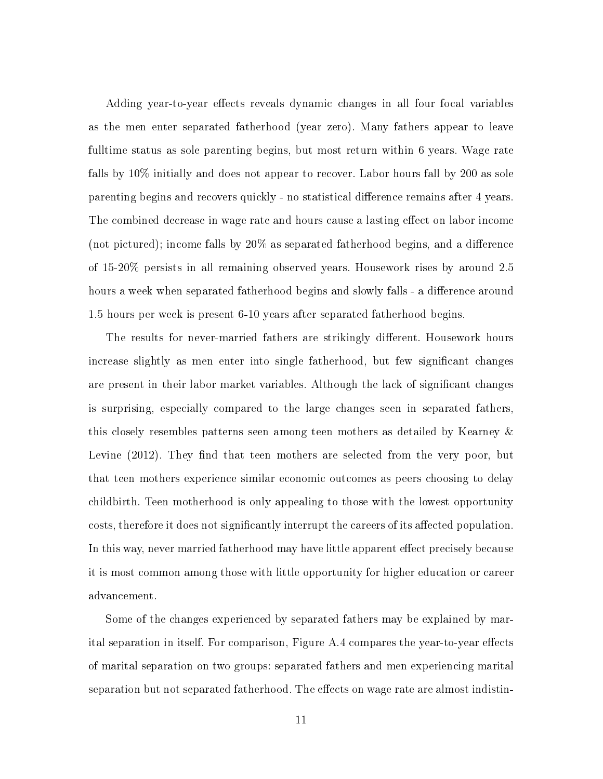Adding year-to-year effects reveals dynamic changes in all four focal variables as the men enter separated fatherhood (year zero). Many fathers appear to leave fulltime status as sole parenting begins, but most return within 6 years. Wage rate falls by 10% initially and does not appear to recover. Labor hours fall by 200 as sole parenting begins and recovers quickly - no statistical difference remains after 4 years. The combined decrease in wage rate and hours cause a lasting effect on labor income (not pictured); income falls by  $20\%$  as separated fatherhood begins, and a difference of 15-20% persists in all remaining observed years. Housework rises by around 2.5 hours a week when separated fatherhood begins and slowly falls - a difference around 1.5 hours per week is present 6-10 years after separated fatherhood begins.

The results for never-married fathers are strikingly different. Housework hours increase slightly as men enter into single fatherhood, but few significant changes are present in their labor market variables. Although the lack of significant changes is surprising, especially compared to the large changes seen in separated fathers, this closely resembles patterns seen among teen mothers as detailed by Kearney & Levine  $(2012)$ . They find that teen mothers are selected from the very poor, but that teen mothers experience similar economic outcomes as peers choosing to delay childbirth. Teen motherhood is only appealing to those with the lowest opportunity costs, therefore it does not significantly interrupt the careers of its affected population. In this way, never married fatherhood may have little apparent effect precisely because it is most common among those with little opportunity for higher education or career advancement.

Some of the changes experienced by separated fathers may be explained by marital separation in itself. For comparison, Figure  $A.4$  compares the year-to-year effects of marital separation on two groups: separated fathers and men experiencing marital separation but not separated fatherhood. The effects on wage rate are almost indistin-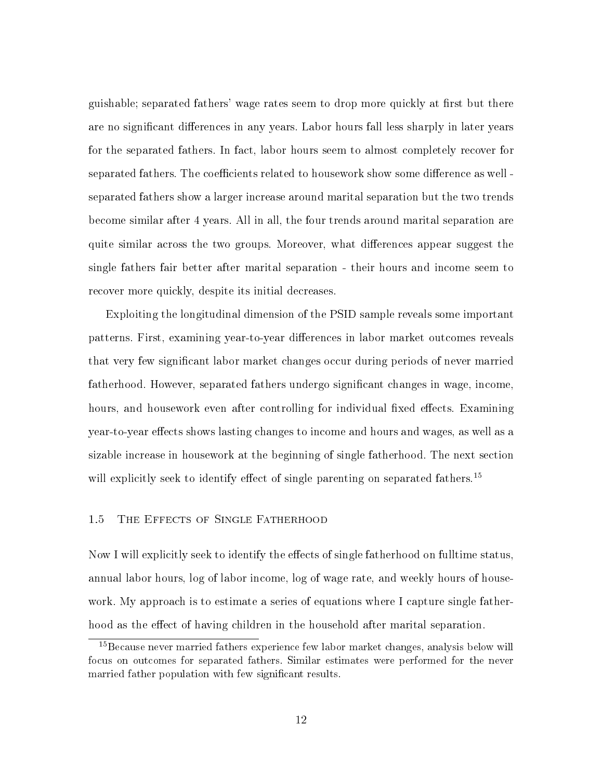guishable; separated fathers' wage rates seem to drop more quickly at first but there are no significant differences in any years. Labor hours fall less sharply in later years for the separated fathers. In fact, labor hours seem to almost completely recover for separated fathers. The coefficients related to housework show some difference as well separated fathers show a larger increase around marital separation but the two trends become similar after 4 years. All in all, the four trends around marital separation are quite similar across the two groups. Moreover, what differences appear suggest the single fathers fair better after marital separation - their hours and income seem to recover more quickly, despite its initial decreases.

Exploiting the longitudinal dimension of the PSID sample reveals some important patterns. First, examining year-to-year differences in labor market outcomes reveals that very few signicant labor market changes occur during periods of never married fatherhood. However, separated fathers undergo signicant changes in wage, income, hours, and housework even after controlling for individual fixed effects. Examining year-to-year effects shows lasting changes to income and hours and wages, as well as a sizable increase in housework at the beginning of single fatherhood. The next section will explicitly seek to identify effect of single parenting on separated fathers.<sup>15</sup>

# 1.5 The Effects of Single Fatherhood

Now I will explicitly seek to identify the effects of single fatherhood on fulltime status, annual labor hours, log of labor income, log of wage rate, and weekly hours of housework. My approach is to estimate a series of equations where I capture single fatherhood as the effect of having children in the household after marital separation.

<sup>&</sup>lt;sup>15</sup>Because never married fathers experience few labor market changes, analysis below will focus on outcomes for separated fathers. Similar estimates were performed for the never married father population with few significant results.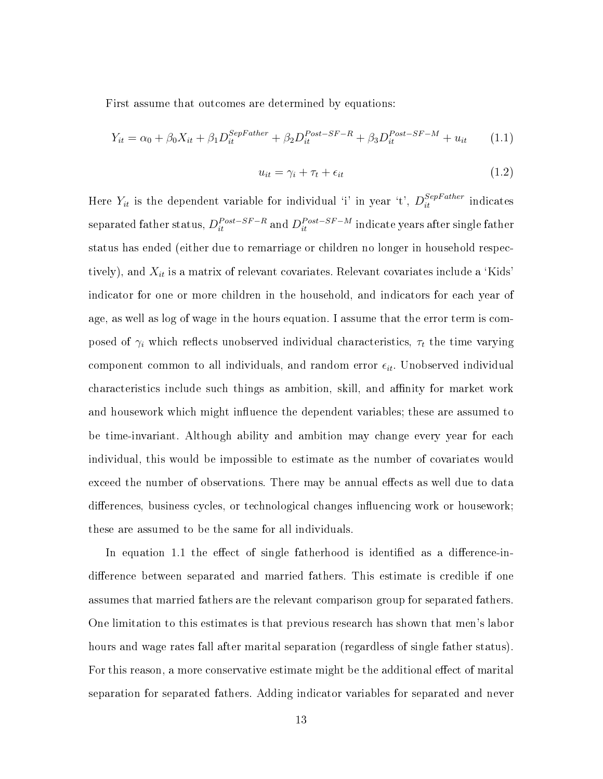First assume that outcomes are determined by equations:

$$
Y_{it} = \alpha_0 + \beta_0 X_{it} + \beta_1 D_{it}^{SepFather} + \beta_2 D_{it}^{Post-SF-R} + \beta_3 D_{it}^{Post-SF-M} + u_{it}
$$
 (1.1)

$$
u_{it} = \gamma_i + \tau_t + \epsilon_{it} \tag{1.2}
$$

Here  $Y_{it}$  is the dependent variable for individual 'i' in year 't',  $D_{it}^{SepFather}$  indicates  ${\rm separated\;father\; status},$   $D_{it}^{Post-SF-R}$  and  $D_{it}^{Post-SF-M}$  indicate years after single father status has ended (either due to remarriage or children no longer in household respectively), and  $X_{it}$  is a matrix of relevant covariates. Relevant covariates include a 'Kids' indicator for one or more children in the household, and indicators for each year of age, as well as log of wage in the hours equation. I assume that the error term is composed of  $\gamma_i$  which reflects unobserved individual characteristics,  $\tau_t$  the time varying component common to all individuals, and random error  $\epsilon_{it}$ . Unobserved individual characteristics include such things as ambition, skill, and affinity for market work and housework which might influence the dependent variables; these are assumed to be time-invariant. Although ability and ambition may change every year for each individual, this would be impossible to estimate as the number of covariates would exceed the number of observations. There may be annual effects as well due to data differences, business cycles, or technological changes influencing work or housework; these are assumed to be the same for all individuals.

In equation 1.1 the effect of single fatherhood is identified as a difference-indifference between separated and married fathers. This estimate is credible if one assumes that married fathers are the relevant comparison group for separated fathers. One limitation to this estimates is that previous research has shown that men's labor hours and wage rates fall after marital separation (regardless of single father status). For this reason, a more conservative estimate might be the additional effect of marital separation for separated fathers. Adding indicator variables for separated and never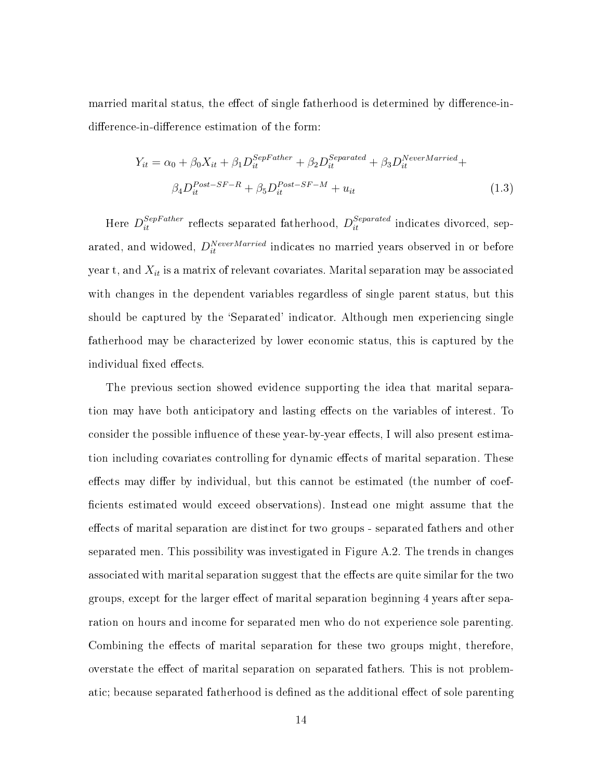married marital status, the effect of single fatherhood is determined by difference-indifference-in-difference estimation of the form:

$$
Y_{it} = \alpha_0 + \beta_0 X_{it} + \beta_1 D_{it}^{SepFather} + \beta_2 D_{it}^{Separated} + \beta_3 D_{it}^{Nevertheless-Married} + \beta_4 D_{it}^{Post-SF-R} + \beta_5 D_{it}^{Post-SF-M} + u_{it}
$$
\n
$$
(1.3)
$$

Here  $D_{it}^{SepFather}$  reflects separated fatherhood,  $D_{it}^{Separated}$  indicates divorced, separated, and widowed,  $D_{it}^{NeverMarried}$  indicates no married years observed in or before year t, and  $X_{it}$  is a matrix of relevant covariates. Marital separation may be associated with changes in the dependent variables regardless of single parent status, but this should be captured by the `Separated' indicator. Although men experiencing single fatherhood may be characterized by lower economic status, this is captured by the individual fixed effects.

The previous section showed evidence supporting the idea that marital separation may have both anticipatory and lasting effects on the variables of interest. To consider the possible influence of these year-by-year effects, I will also present estimation including covariates controlling for dynamic effects of marital separation. These effects may differ by individual, but this cannot be estimated (the number of coefcients estimated would exceed observations). Instead one might assume that the effects of marital separation are distinct for two groups - separated fathers and other separated men. This possibility was investigated in Figure A.2. The trends in changes associated with marital separation suggest that the effects are quite similar for the two groups, except for the larger effect of marital separation beginning 4 years after separation on hours and income for separated men who do not experience sole parenting. Combining the effects of marital separation for these two groups might, therefore, overstate the effect of marital separation on separated fathers. This is not problematic; because separated fatherhood is defined as the additional effect of sole parenting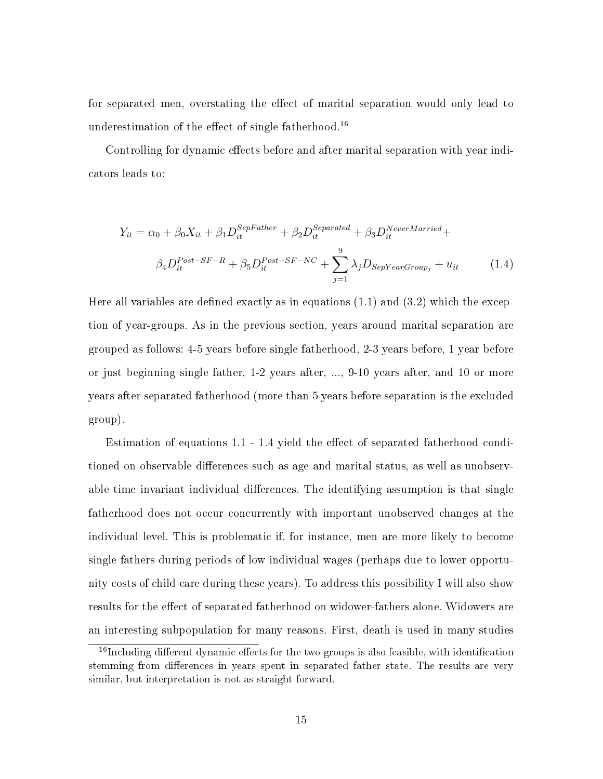for separated men, overstating the effect of marital separation would only lead to underestimation of the effect of single fatherhood.<sup>16</sup>

Controlling for dynamic effects before and after marital separation with year indicators leads to:

$$
Y_{it} = \alpha_0 + \beta_0 X_{it} + \beta_1 D_{it}^{SepFather} + \beta_2 D_{it}^{Separated} + \beta_3 D_{it}^{NeverMarried} +
$$
  

$$
\beta_4 D_{it}^{Post-SF-R} + \beta_5 D_{it}^{Post-SF-NC} + \sum_{j=1}^{9} \lambda_j D_{SepYearGroup_j} + u_{it}
$$
 (1.4)

Here all variables are defined exactly as in equations  $(1.1)$  and  $(3.2)$  which the exception of year-groups. As in the previous section, years around marital separation are grouped as follows: 4-5 years before single fatherhood, 2-3 years before, 1 year before or just beginning single father, 1-2 years after, ..., 9-10 years after, and 10 or more years after separated fatherhood (more than 5 years before separation is the excluded group).

Estimation of equations  $1.1 - 1.4$  yield the effect of separated fatherhood conditioned on observable differences such as age and marital status, as well as unobservable time invariant individual differences. The identifying assumption is that single fatherhood does not occur concurrently with important unobserved changes at the individual level. This is problematic if, for instance, men are more likely to become single fathers during periods of low individual wages (perhaps due to lower opportunity costs of child care during these years). To address this possibility I will also show results for the effect of separated fatherhood on widower-fathers alone. Widowers are an interesting subpopulation for many reasons. First, death is used in many studies

 $16$ Including different dynamic effects for the two groups is also feasible, with identification stemming from differences in years spent in separated father state. The results are very similar, but interpretation is not as straight forward.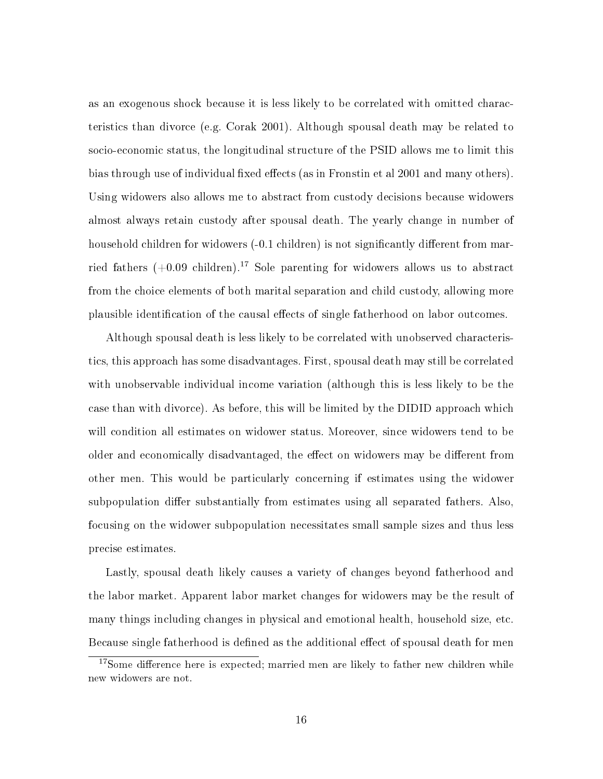as an exogenous shock because it is less likely to be correlated with omitted characteristics than divorce (e.g. Corak 2001). Although spousal death may be related to socio-economic status, the longitudinal structure of the PSID allows me to limit this bias through use of individual fixed effects (as in Fronstin et al 2001 and many others). Using widowers also allows me to abstract from custody decisions because widowers almost always retain custody after spousal death. The yearly change in number of household children for widowers (-0.1 children) is not significantly different from married fathers  $(+0.09 \text{ children})$ .<sup>17</sup> Sole parenting for widowers allows us to abstract from the choice elements of both marital separation and child custody, allowing more plausible identification of the causal effects of single fatherhood on labor outcomes.

Although spousal death is less likely to be correlated with unobserved characteristics, this approach has some disadvantages. First, spousal death may still be correlated with unobservable individual income variation (although this is less likely to be the case than with divorce). As before, this will be limited by the DIDID approach which will condition all estimates on widower status. Moreover, since widowers tend to be older and economically disadvantaged, the effect on widowers may be different from other men. This would be particularly concerning if estimates using the widower subpopulation differ substantially from estimates using all separated fathers. Also, focusing on the widower subpopulation necessitates small sample sizes and thus less precise estimates.

Lastly, spousal death likely causes a variety of changes beyond fatherhood and the labor market. Apparent labor market changes for widowers may be the result of many things including changes in physical and emotional health, household size, etc. Because single fatherhood is defined as the additional effect of spousal death for men

 $17$ Some difference here is expected; married men are likely to father new children while new widowers are not.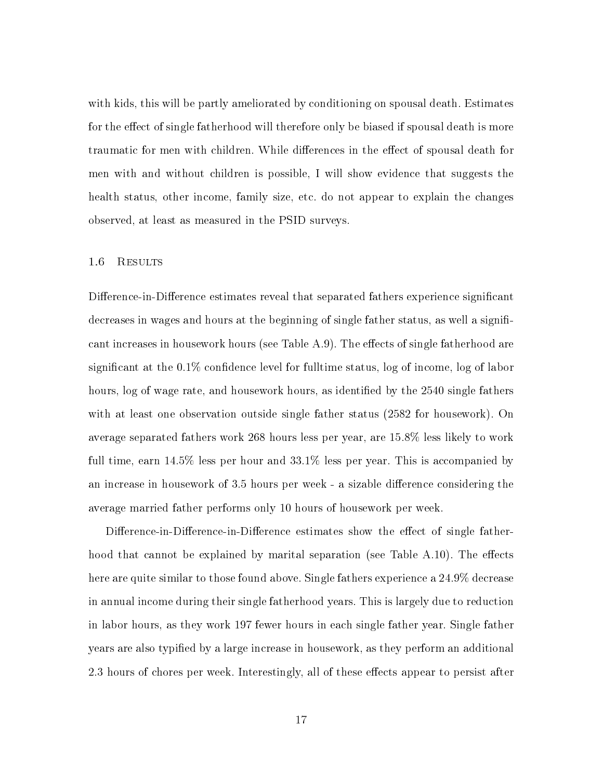with kids, this will be partly ameliorated by conditioning on spousal death. Estimates for the effect of single fatherhood will therefore only be biased if spousal death is more traumatic for men with children. While differences in the effect of spousal death for men with and without children is possible, I will show evidence that suggests the health status, other income, family size, etc. do not appear to explain the changes observed, at least as measured in the PSID surveys.

## 1.6 Results

Difference-in-Difference estimates reveal that separated fathers experience significant decreases in wages and hours at the beginning of single father status, as well a significant increases in housework hours (see Table  $A.9$ ). The effects of single fatherhood are significant at the  $0.1\%$  confidence level for fulltime status, log of income, log of labor hours, log of wage rate, and housework hours, as identified by the 2540 single fathers with at least one observation outside single father status (2582 for housework). On average separated fathers work 268 hours less per year, are 15.8% less likely to work full time, earn 14.5% less per hour and 33.1% less per year. This is accompanied by an increase in housework of 3.5 hours per week - a sizable difference considering the average married father performs only 10 hours of housework per week.

Difference-in-Difference-in-Difference estimates show the effect of single fatherhood that cannot be explained by marital separation (see Table  $A.10$ ). The effects here are quite similar to those found above. Single fathers experience a 24.9% decrease in annual income during their single fatherhood years. This is largely due to reduction in labor hours, as they work 197 fewer hours in each single father year. Single father years are also typied by a large increase in housework, as they perform an additional 2.3 hours of chores per week. Interestingly, all of these effects appear to persist after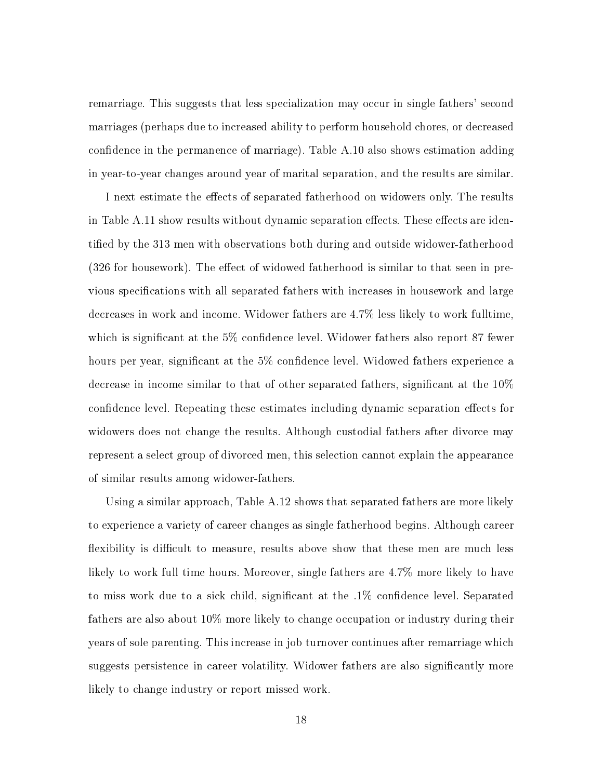remarriage. This suggests that less specialization may occur in single fathers' second marriages (perhaps due to increased ability to perform household chores, or decreased confidence in the permanence of marriage). Table A.10 also shows estimation adding in year-to-year changes around year of marital separation, and the results are similar.

I next estimate the effects of separated fatherhood on widowers only. The results in Table A.11 show results without dynamic separation effects. These effects are identified by the 313 men with observations both during and outside widower-fatherhood (326 for housework). The effect of widowed fatherhood is similar to that seen in previous specifications with all separated fathers with increases in housework and large decreases in work and income. Widower fathers are 4.7% less likely to work fulltime, which is significant at the 5% confidence level. Widower fathers also report 87 fewer hours per year, significant at the 5% confidence level. Widowed fathers experience a decrease in income similar to that of other separated fathers, significant at the  $10\%$ confidence level. Repeating these estimates including dynamic separation effects for widowers does not change the results. Although custodial fathers after divorce may represent a select group of divorced men, this selection cannot explain the appearance of similar results among widower-fathers.

Using a similar approach, Table A.12 shows that separated fathers are more likely to experience a variety of career changes as single fatherhood begins. Although career flexibility is difficult to measure, results above show that these men are much less likely to work full time hours. Moreover, single fathers are 4.7% more likely to have to miss work due to a sick child, significant at the  $.1\%$  confidence level. Separated fathers are also about 10% more likely to change occupation or industry during their years of sole parenting. This increase in job turnover continues after remarriage which suggests persistence in career volatility. Widower fathers are also signicantly more likely to change industry or report missed work.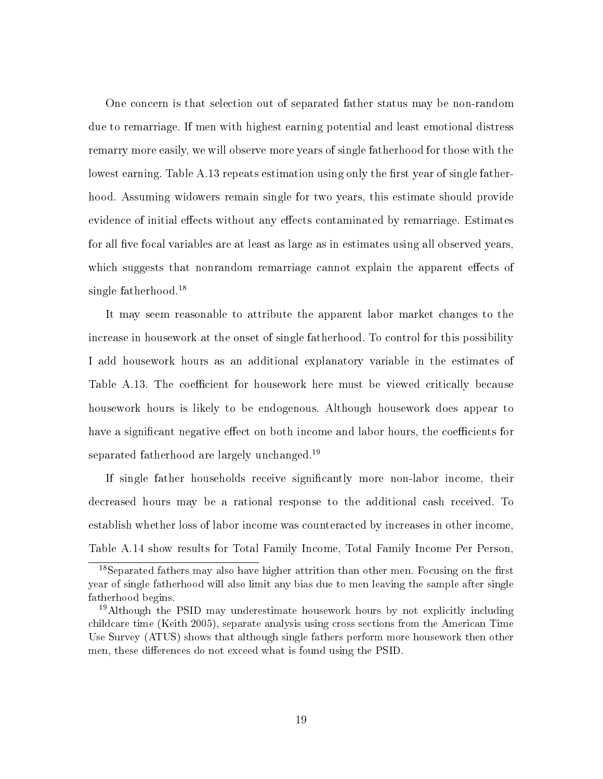One concern is that selection out of separated father status may be non-random due to remarriage. If men with highest earning potential and least emotional distress remarry more easily, we will observe more years of single fatherhood for those with the lowest earning. Table A.13 repeats estimation using only the first year of single fatherhood. Assuming widowers remain single for two years, this estimate should provide evidence of initial effects without any effects contaminated by remarriage. Estimates for all five focal variables are at least as large as in estimates using all observed years, which suggests that nonrandom remarriage cannot explain the apparent effects of single fatherhood.<sup>18</sup>

It may seem reasonable to attribute the apparent labor market changes to the increase in housework at the onset of single fatherhood. To control for this possibility I add housework hours as an additional explanatory variable in the estimates of Table A.13. The coefficient for housework here must be viewed critically because housework hours is likely to be endogenous. Although housework does appear to have a significant negative effect on both income and labor hours, the coefficients for separated fatherhood are largely unchanged.<sup>19</sup>

If single father households receive significantly more non-labor income, their decreased hours may be a rational response to the additional cash received. To establish whether loss of labor income was counteracted by increases in other income, Table A.14 show results for Total Family Income, Total Family Income Per Person,

 $18$ Separated fathers may also have higher attrition than other men. Focusing on the first year of single fatherhood will also limit any bias due to men leaving the sample after single fatherhood begins.

<sup>&</sup>lt;sup>19</sup>Although the PSID may underestimate housework hours by not explicitly including childcare time (Keith 2005), separate analysis using cross sections from the American Time Use Survey (ATUS) shows that although single fathers perform more housework then other men, these differences do not exceed what is found using the PSID.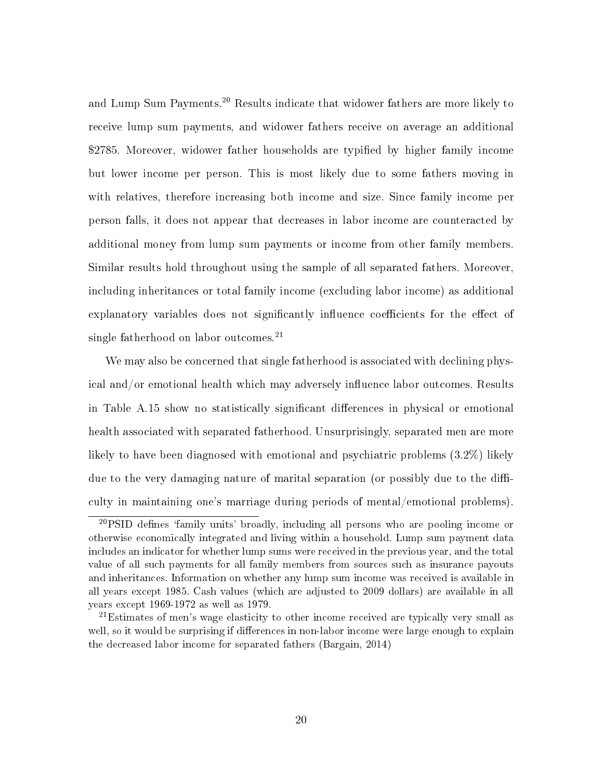and Lump Sum Payments.<sup>20</sup> Results indicate that widower fathers are more likely to receive lump sum payments, and widower fathers receive on average an additional \$2785. Moreover, widower father households are typified by higher family income but lower income per person. This is most likely due to some fathers moving in with relatives, therefore increasing both income and size. Since family income per person falls, it does not appear that decreases in labor income are counteracted by additional money from lump sum payments or income from other family members. Similar results hold throughout using the sample of all separated fathers. Moreover, including inheritances or total family income (excluding labor income) as additional explanatory variables does not significantly influence coefficients for the effect of single fatherhood on labor outcomes. $^{21}$ 

We may also be concerned that single fatherhood is associated with declining physical and/or emotional health which may adversely influence labor outcomes. Results in Table A.15 show no statistically significant differences in physical or emotional health associated with separated fatherhood. Unsurprisingly, separated men are more likely to have been diagnosed with emotional and psychiatric problems (3.2%) likely due to the very damaging nature of marital separation (or possibly due to the difficulty in maintaining one's marriage during periods of mental/emotional problems).

 $^{20}$ PSID defines 'family units' broadly, including all persons who are pooling income or otherwise economically integrated and living within a household. Lump sum payment data includes an indicator for whether lump sums were received in the previous year, and the total value of all such payments for all family members from sources such as insurance payouts and inheritances. Information on whether any lump sum income was received is available in all years except 1985. Cash values (which are adjusted to 2009 dollars) are available in all years except 1969-1972 as well as 1979.

<sup>21</sup>Estimates of men's wage elasticity to other income received are typically very small as well, so it would be surprising if differences in non-labor income were large enough to explain the decreased labor income for separated fathers (Bargain, 2014)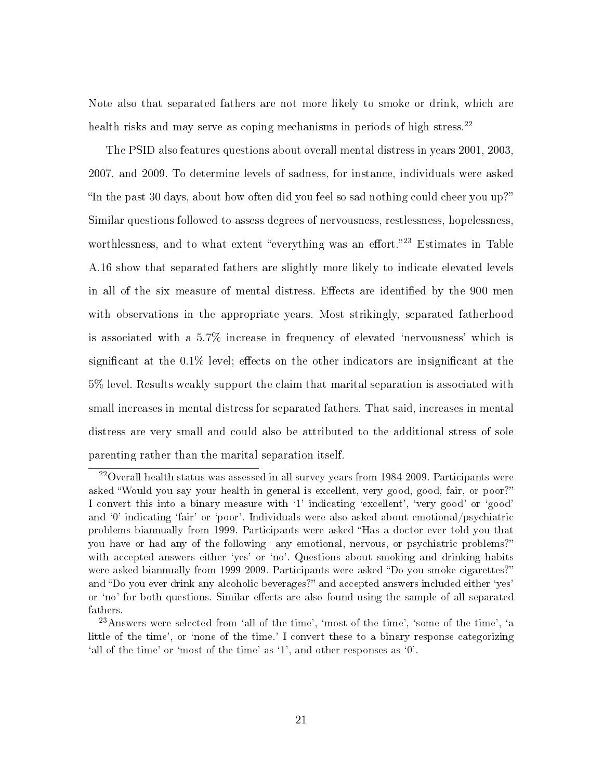Note also that separated fathers are not more likely to smoke or drink, which are health risks and may serve as coping mechanisms in periods of high stress.<sup>22</sup>

The PSID also features questions about overall mental distress in years 2001, 2003, 2007, and 2009. To determine levels of sadness, for instance, individuals were asked "In the past 30 days, about how often did you feel so sad nothing could cheer you up?" Similar questions followed to assess degrees of nervousness, restlessness, hopelessness, worthlessness, and to what extent "everything was an effort."<sup>23</sup> Estimates in Table A.16 show that separated fathers are slightly more likely to indicate elevated levels in all of the six measure of mental distress. Effects are identified by the 900 men with observations in the appropriate years. Most strikingly, separated fatherhood is associated with a 5.7% increase in frequency of elevated `nervousness' which is significant at the  $0.1\%$  level; effects on the other indicators are insignificant at the 5% level. Results weakly support the claim that marital separation is associated with small increases in mental distress for separated fathers. That said, increases in mental distress are very small and could also be attributed to the additional stress of sole parenting rather than the marital separation itself.

 $^{22}$ Overall health status was assessed in all survey years from 1984-2009. Participants were asked "Would you say your health in general is excellent, very good, good, fair, or poor?" I convert this into a binary measure with '1' indicating 'excellent', 'very good' or 'good' and '0' indicating 'fair' or 'poor'. Individuals were also asked about emotional/psychiatric problems biannually from 1999. Participants were asked "Has a doctor ever told you that you have or had any of the following- any emotional, nervous, or psychiatric problems?" with accepted answers either 'yes' or 'no'. Questions about smoking and drinking habits were asked biannually from 1999-2009. Participants were asked "Do you smoke cigarettes?" and "Do you ever drink any alcoholic beverages?" and accepted answers included either 'yes' or 'no' for both questions. Similar effects are also found using the sample of all separated fathers.

 $^{23}$ Answers were selected from 'all of the time', 'most of the time', 'some of the time', 'a little of the time', or 'none of the time.' I convert these to a binary response categorizing `all of the time' or `most of the time' as `1', and other responses as `0'.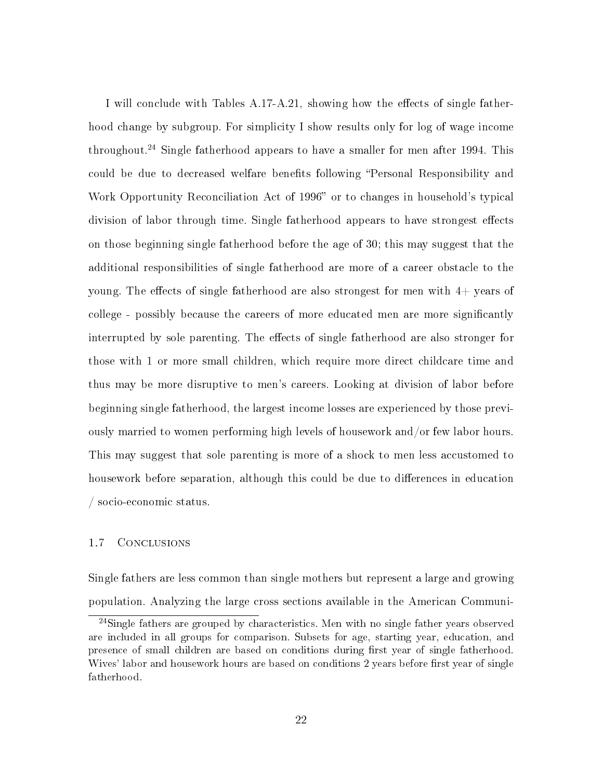I will conclude with Tables A.17-A.21, showing how the effects of single fatherhood change by subgroup. For simplicity I show results only for log of wage income throughout.<sup>24</sup> Single fatherhood appears to have a smaller for men after 1994. This could be due to decreased welfare benefits following "Personal Responsibility and Work Opportunity Reconciliation Act of 1996" or to changes in household's typical division of labor through time. Single fatherhood appears to have strongest effects on those beginning single fatherhood before the age of 30; this may suggest that the additional responsibilities of single fatherhood are more of a career obstacle to the young. The effects of single fatherhood are also strongest for men with  $4+$  years of college - possibly because the careers of more educated men are more signicantly interrupted by sole parenting. The effects of single fatherhood are also stronger for those with 1 or more small children, which require more direct childcare time and thus may be more disruptive to men's careers. Looking at division of labor before beginning single fatherhood, the largest income losses are experienced by those previously married to women performing high levels of housework and/or few labor hours. This may suggest that sole parenting is more of a shock to men less accustomed to housework before separation, although this could be due to differences in education / socio-economic status.

#### 1.7 Conclusions

Single fathers are less common than single mothers but represent a large and growing population. Analyzing the large cross sections available in the American Communi-

<sup>&</sup>lt;sup>24</sup>Single fathers are grouped by characteristics. Men with no single father years observed are included in all groups for comparison. Subsets for age, starting year, education, and presence of small children are based on conditions during first year of single fatherhood. Wives' labor and housework hours are based on conditions 2 years before first year of single fatherhood.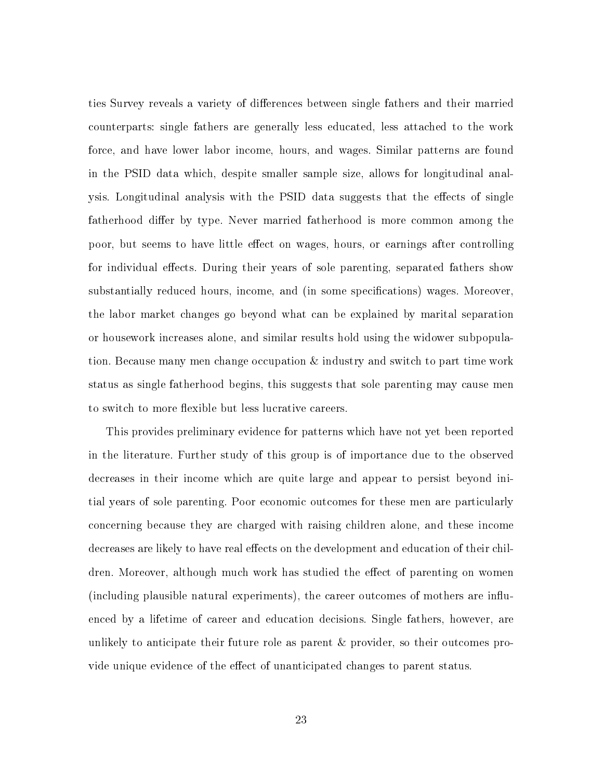ties Survey reveals a variety of differences between single fathers and their married counterparts: single fathers are generally less educated, less attached to the work force, and have lower labor income, hours, and wages. Similar patterns are found in the PSID data which, despite smaller sample size, allows for longitudinal analysis. Longitudinal analysis with the PSID data suggests that the effects of single fatherhood differ by type. Never married fatherhood is more common among the poor, but seems to have little effect on wages, hours, or earnings after controlling for individual effects. During their years of sole parenting, separated fathers show substantially reduced hours, income, and (in some specifications) wages. Moreover, the labor market changes go beyond what can be explained by marital separation or housework increases alone, and similar results hold using the widower subpopulation. Because many men change occupation & industry and switch to part time work status as single fatherhood begins, this suggests that sole parenting may cause men to switch to more flexible but less lucrative careers.

This provides preliminary evidence for patterns which have not yet been reported in the literature. Further study of this group is of importance due to the observed decreases in their income which are quite large and appear to persist beyond initial years of sole parenting. Poor economic outcomes for these men are particularly concerning because they are charged with raising children alone, and these income decreases are likely to have real effects on the development and education of their children. Moreover, although much work has studied the effect of parenting on women (including plausible natural experiments), the career outcomes of mothers are inuenced by a lifetime of career and education decisions. Single fathers, however, are unlikely to anticipate their future role as parent & provider, so their outcomes provide unique evidence of the effect of unanticipated changes to parent status.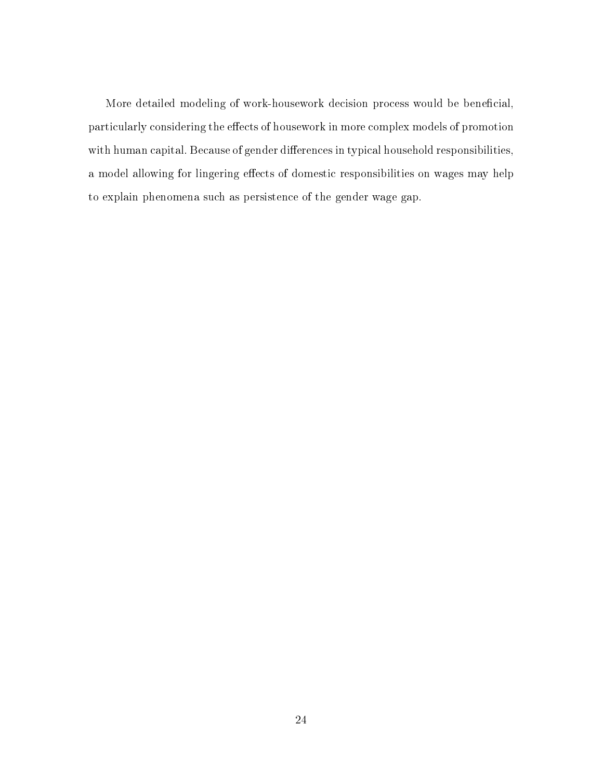More detailed modeling of work-housework decision process would be beneficial, particularly considering the effects of housework in more complex models of promotion with human capital. Because of gender differences in typical household responsibilities, a model allowing for lingering effects of domestic responsibilities on wages may help to explain phenomena such as persistence of the gender wage gap.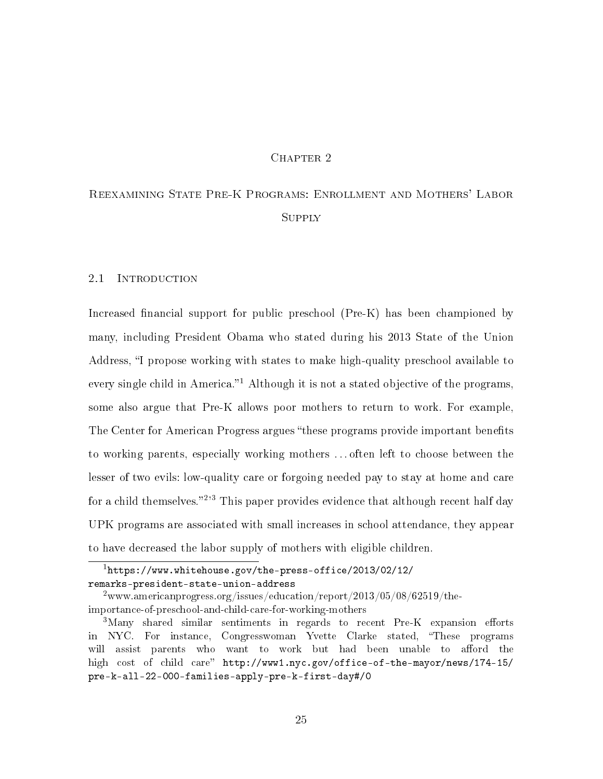# CHAPTER 2

# Reexamining State Pre-K Programs: Enrollment and Mothers' Labor **SUPPLY**

# 2.1 INTRODUCTION

Increased financial support for public preschool  $(Pre-K)$  has been championed by many, including President Obama who stated during his 2013 State of the Union Address, "I propose working with states to make high-quality preschool available to every single child in America.<sup>21</sup> Although it is not a stated objective of the programs, some also argue that Pre-K allows poor mothers to return to work. For example, The Center for American Progress argues "these programs provide important benefits" to working parents, especially working mothers . . . often left to choose between the lesser of two evils: low-quality care or forgoing needed pay to stay at home and care for a child themselves."<sup>2,3</sup> This paper provides evidence that although recent half day UPK programs are associated with small increases in school attendance, they appear to have decreased the labor supply of mothers with eligible children.

 $^1$ https://www.whitehouse.gov/the-press-office/2013/02/12/ remarks-president-state-union-address

<sup>&</sup>lt;sup>2</sup>www.americanprogress.org/issues/education/report/2013/05/08/62519/theimportance-of-preschool-and-child-care-for-working-mothers

 $3$ Many shared similar sentiments in regards to recent Pre-K expansion efforts in NYC. For instance, Congresswoman Yvette Clarke stated, These programs will assist parents who want to work but had been unable to afford the high cost of child care" http://www1.nyc.gov/office-of-the-mayor/news/174-15/ pre-k-all-22-000-families-apply-pre-k-first-day#/0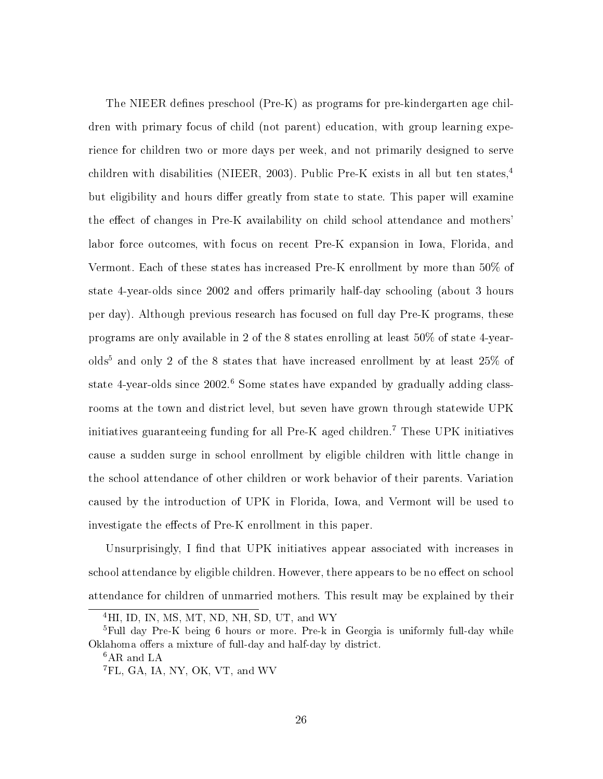The NIEER defines preschool  $(Pre-K)$  as programs for pre-kindergarten age children with primary focus of child (not parent) education, with group learning experience for children two or more days per week, and not primarily designed to serve children with disabilities (NIEER, 2003). Public Pre-K exists in all but ten states,<sup>4</sup> but eligibility and hours differ greatly from state to state. This paper will examine the effect of changes in Pre-K availability on child school attendance and mothers' labor force outcomes, with focus on recent Pre-K expansion in Iowa, Florida, and Vermont. Each of these states has increased Pre-K enrollment by more than 50% of state 4-year-olds since 2002 and offers primarily half-day schooling (about 3 hours per day). Although previous research has focused on full day Pre-K programs, these programs are only available in 2 of the 8 states enrolling at least 50% of state 4-year $olds<sup>5</sup>$  and only 2 of the 8 states that have increased enrollment by at least 25% of state 4-year-olds since  $2002<sup>6</sup>$  Some states have expanded by gradually adding classrooms at the town and district level, but seven have grown through statewide UPK initiatives guaranteeing funding for all Pre-K aged children.<sup>7</sup> These UPK initiatives cause a sudden surge in school enrollment by eligible children with little change in the school attendance of other children or work behavior of their parents. Variation caused by the introduction of UPK in Florida, Iowa, and Vermont will be used to investigate the effects of Pre-K enrollment in this paper.

Unsurprisingly, I find that UPK initiatives appear associated with increases in school attendance by eligible children. However, there appears to be no effect on school attendance for children of unmarried mothers. This result may be explained by their

<sup>&</sup>lt;sup>4</sup>HI, ID, IN, MS, MT, ND, NH, SD, UT, and WY

<sup>&</sup>lt;sup>5</sup>Full day Pre-K being 6 hours or more. Pre-k in Georgia is uniformly full-day while Oklahoma offers a mixture of full-day and half-day by district.

<sup>&</sup>lt;sup>6</sup>AR and LA

<sup>&</sup>lt;sup>7</sup>FL, GA, IA, NY, OK, VT, and WV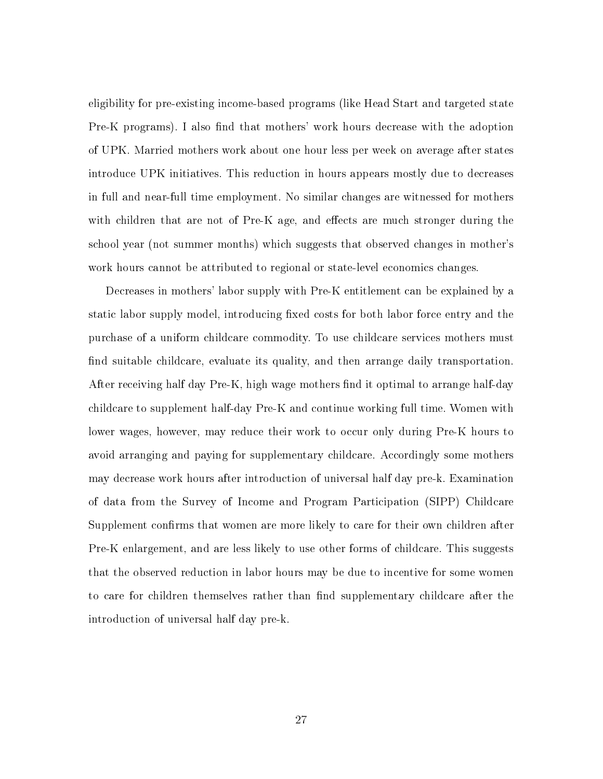eligibility for pre-existing income-based programs (like Head Start and targeted state Pre-K programs). I also find that mothers' work hours decrease with the adoption of UPK. Married mothers work about one hour less per week on average after states introduce UPK initiatives. This reduction in hours appears mostly due to decreases in full and near-full time employment. No similar changes are witnessed for mothers with children that are not of Pre-K age, and effects are much stronger during the school year (not summer months) which suggests that observed changes in mother's work hours cannot be attributed to regional or state-level economics changes.

Decreases in mothers' labor supply with Pre-K entitlement can be explained by a static labor supply model, introducing fixed costs for both labor force entry and the purchase of a uniform childcare commodity. To use childcare services mothers must find suitable childcare, evaluate its quality, and then arrange daily transportation. After receiving half day  $Pre-K$ , high wage mothers find it optimal to arrange half-day childcare to supplement half-day Pre-K and continue working full time. Women with lower wages, however, may reduce their work to occur only during Pre-K hours to avoid arranging and paying for supplementary childcare. Accordingly some mothers may decrease work hours after introduction of universal half day pre-k. Examination of data from the Survey of Income and Program Participation (SIPP) Childcare Supplement confirms that women are more likely to care for their own children after Pre-K enlargement, and are less likely to use other forms of childcare. This suggests that the observed reduction in labor hours may be due to incentive for some women to care for children themselves rather than find supplementary childcare after the introduction of universal half day pre-k.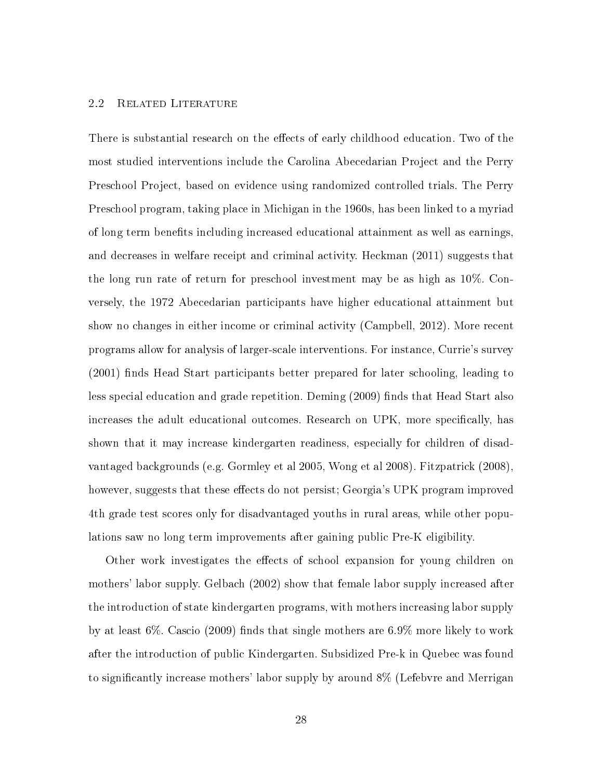# 2.2 Related Literature

There is substantial research on the effects of early childhood education. Two of the most studied interventions include the Carolina Abecedarian Project and the Perry Preschool Project, based on evidence using randomized controlled trials. The Perry Preschool program, taking place in Michigan in the 1960s, has been linked to a myriad of long term benets including increased educational attainment as well as earnings, and decreases in welfare receipt and criminal activity. Heckman (2011) suggests that the long run rate of return for preschool investment may be as high as 10%. Conversely, the 1972 Abecedarian participants have higher educational attainment but show no changes in either income or criminal activity (Campbell, 2012). More recent programs allow for analysis of larger-scale interventions. For instance, Currie's survey  $(2001)$  finds Head Start participants better prepared for later schooling, leading to less special education and grade repetition. Deming (2009) finds that Head Start also increases the adult educational outcomes. Research on UPK, more specifically, has shown that it may increase kindergarten readiness, especially for children of disadvantaged backgrounds (e.g. Gormley et al 2005, Wong et al 2008). Fitzpatrick (2008), however, suggests that these effects do not persist; Georgia's UPK program improved 4th grade test scores only for disadvantaged youths in rural areas, while other populations saw no long term improvements after gaining public Pre-K eligibility.

Other work investigates the effects of school expansion for young children on mothers' labor supply. Gelbach (2002) show that female labor supply increased after the introduction of state kindergarten programs, with mothers increasing labor supply by at least 6%. Cascio (2009) finds that single mothers are  $6.9\%$  more likely to work after the introduction of public Kindergarten. Subsidized Pre-k in Quebec was found to significantly increase mothers' labor supply by around 8% (Lefebvre and Merrigan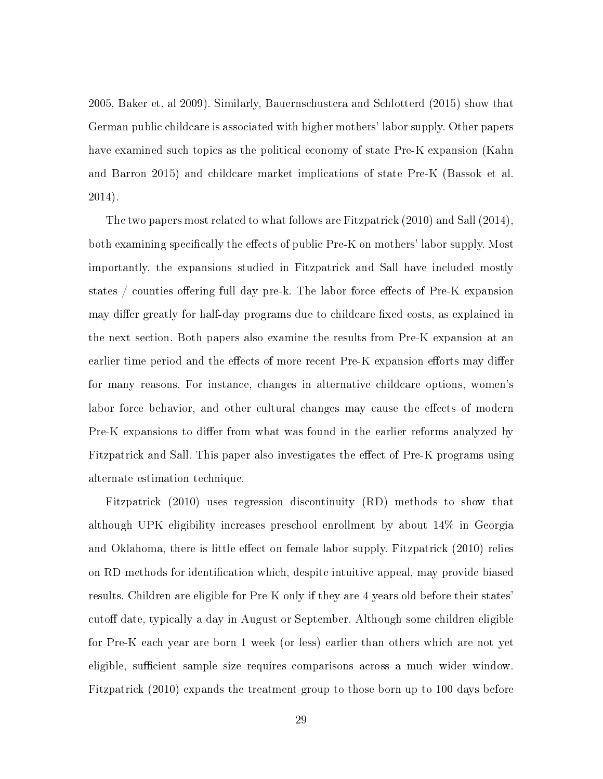2005, Baker et. al 2009). Similarly, Bauernschustera and Schlotterd (2015) show that German public childcare is associated with higher mothers' labor supply. Other papers have examined such topics as the political economy of state Pre-K expansion (Kahn and Barron 2015) and childcare market implications of state Pre-K (Bassok et al. 2014).

The two papers most related to what follows are Fitzpatrick (2010) and Sall (2014), both examining specifically the effects of public Pre-K on mothers' labor supply. Most importantly, the expansions studied in Fitzpatrick and Sall have included mostly states  $/$  counties offering full day pre-k. The labor force effects of Pre-K expansion may differ greatly for half-day programs due to childcare fixed costs, as explained in the next section. Both papers also examine the results from Pre-K expansion at an earlier time period and the effects of more recent Pre-K expansion efforts may differ for many reasons. For instance, changes in alternative childcare options, women's labor force behavior, and other cultural changes may cause the effects of modern Pre-K expansions to differ from what was found in the earlier reforms analyzed by Fitzpatrick and Sall. This paper also investigates the effect of Pre-K programs using alternate estimation technique.

Fitzpatrick (2010) uses regression discontinuity (RD) methods to show that although UPK eligibility increases preschool enrollment by about 14% in Georgia and Oklahoma, there is little effect on female labor supply. Fitzpatrick (2010) relies on RD methods for identification which, despite intuitive appeal, may provide biased results. Children are eligible for Pre-K only if they are 4-years old before their states' cutoff date, typically a day in August or September. Although some children eligible for Pre-K each year are born 1 week (or less) earlier than others which are not yet eligible, sufficient sample size requires comparisons across a much wider window. Fitzpatrick (2010) expands the treatment group to those born up to 100 days before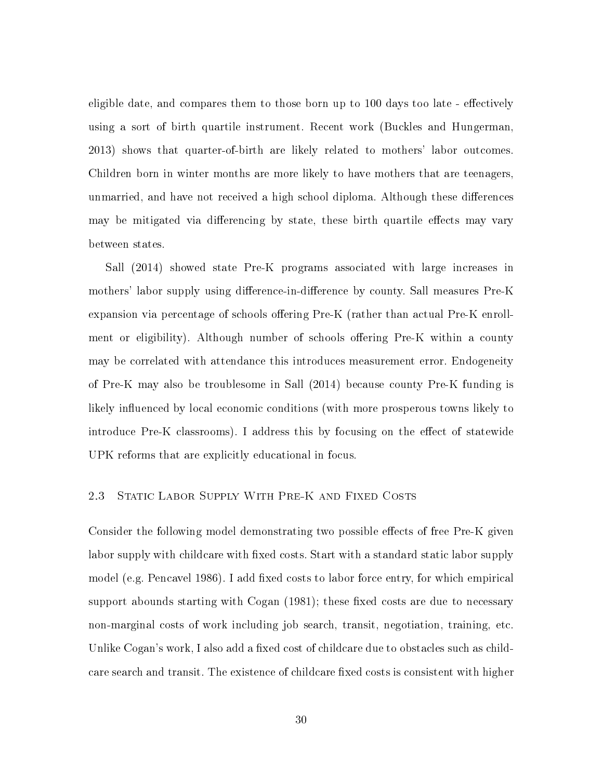eligible date, and compares them to those born up to 100 days too late - effectively using a sort of birth quartile instrument. Recent work (Buckles and Hungerman, 2013) shows that quarter-of-birth are likely related to mothers' labor outcomes. Children born in winter months are more likely to have mothers that are teenagers, unmarried, and have not received a high school diploma. Although these differences may be mitigated via differencing by state, these birth quartile effects may vary between states.

Sall (2014) showed state Pre-K programs associated with large increases in mothers' labor supply using difference-in-difference by county. Sall measures Pre-K expansion via percentage of schools offering Pre-K (rather than actual Pre-K enrollment or eligibility). Although number of schools offering Pre-K within a county may be correlated with attendance this introduces measurement error. Endogeneity of Pre-K may also be troublesome in Sall (2014) because county Pre-K funding is likely influenced by local economic conditions (with more prosperous towns likely to introduce Pre-K classrooms). I address this by focusing on the effect of statewide UPK reforms that are explicitly educational in focus.

#### 2.3 STATIC LABOR SUPPLY WITH PRE-K AND FIXED COSTS

Consider the following model demonstrating two possible effects of free Pre-K given labor supply with childcare with fixed costs. Start with a standard static labor supply model (e.g. Pencavel 1986). I add fixed costs to labor force entry, for which empirical support abounds starting with  $Cogan(1981)$ ; these fixed costs are due to necessary non-marginal costs of work including job search, transit, negotiation, training, etc. Unlike Cogan's work, I also add a fixed cost of childcare due to obstacles such as childcare search and transit. The existence of childcare fixed costs is consistent with higher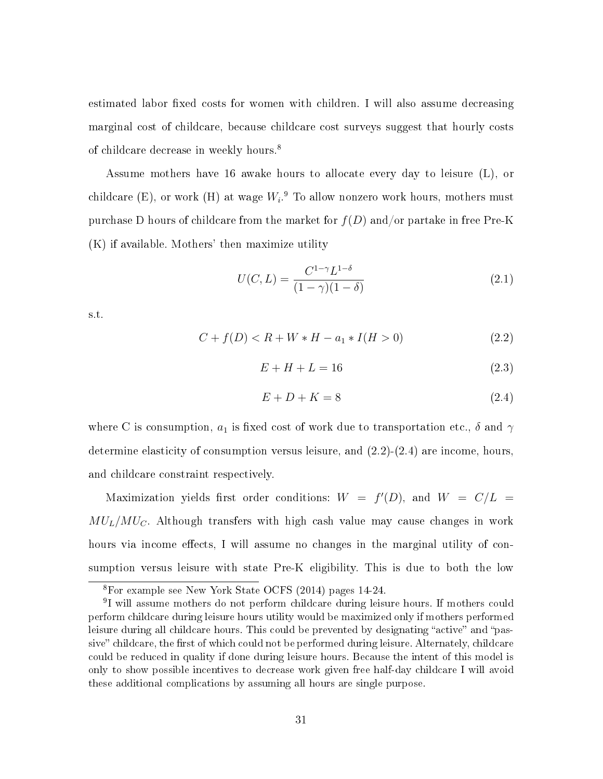estimated labor fixed costs for women with children. I will also assume decreasing marginal cost of childcare, because childcare cost surveys suggest that hourly costs of childcare decrease in weekly hours.<sup>8</sup>

Assume mothers have 16 awake hours to allocate every day to leisure (L), or childcare (E), or work (H) at wage  $W_i.^9$  To allow nonzero work hours, mothers must purchase D hours of childcare from the market for  $f(D)$  and/or partake in free Pre-K (K) if available. Mothers' then maximize utility

$$
U(C, L) = \frac{C^{1-\gamma}L^{1-\delta}}{(1-\gamma)(1-\delta)}
$$
\n(2.1)

s.t.

$$
C + f(D) < R + W * H - a_1 * I(H > 0) \tag{2.2}
$$

$$
E + H + L = 16\tag{2.3}
$$

$$
E + D + K = 8\tag{2.4}
$$

where C is consumption,  $a_1$  is fixed cost of work due to transportation etc.,  $\delta$  and  $\gamma$ determine elasticity of consumption versus leisure, and  $(2.2)-(2.4)$  are income, hours, and childcare constraint respectively.

Maximization yields first order conditions:  $W = f'(D)$ , and  $W = C/L$  $MU_L/MU_C$ . Although transfers with high cash value may cause changes in work hours via income effects, I will assume no changes in the marginal utility of consumption versus leisure with state Pre-K eligibility. This is due to both the low

<sup>8</sup>For example see New York State OCFS (2014) pages 14-24.

<sup>&</sup>lt;sup>9</sup>I will assume mothers do not perform childcare during leisure hours. If mothers could perform childcare during leisure hours utility would be maximized only if mothers performed leisure during all childcare hours. This could be prevented by designating "active" and "passive" childcare, the first of which could not be performed during leisure. Alternately, childcare could be reduced in quality if done during leisure hours. Because the intent of this model is only to show possible incentives to decrease work given free half-day childcare I will avoid these additional complications by assuming all hours are single purpose.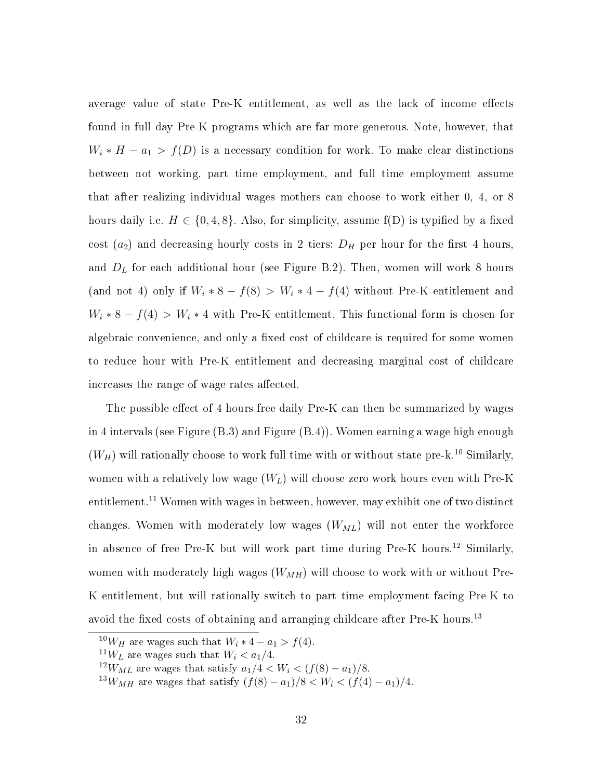average value of state Pre-K entitlement, as well as the lack of income effects found in full day Pre-K programs which are far more generous. Note, however, that  $W_i * H - a_1 > f(D)$  is a necessary condition for work. To make clear distinctions between not working, part time employment, and full time employment assume that after realizing individual wages mothers can choose to work either 0, 4, or 8 hours daily i.e.  $H \in \{0, 4, 8\}$ . Also, for simplicity, assume f(D) is typified by a fixed cost  $(a_2)$  and decreasing hourly costs in 2 tiers:  $D_H$  per hour for the first 4 hours, and  $D_L$  for each additional hour (see Figure B.2). Then, women will work 8 hours (and not 4) only if  $W_i * 8 - f(8) > W_i * 4 - f(4)$  without Pre-K entitlement and  $W_i * 8 - f(4) > W_i * 4$  with Pre-K entitlement. This functional form is chosen for algebraic convenience, and only a fixed cost of childcare is required for some women to reduce hour with Pre-K entitlement and decreasing marginal cost of childcare increases the range of wage rates affected.

The possible effect of 4 hours free daily Pre-K can then be summarized by wages in 4 intervals (see Figure (B.3) and Figure (B.4)). Women earning a wage high enough  $(W_H)$  will rationally choose to work full time with or without state pre-k.<sup>10</sup> Similarly, women with a relatively low wage  $(W_L)$  will choose zero work hours even with Pre-K entitlement.<sup>11</sup> Women with wages in between, however, may exhibit one of two distinct changes. Women with moderately low wages  $(W_{ML})$  will not enter the workforce in absence of free Pre-K but will work part time during Pre-K hours.<sup>12</sup> Similarly, women with moderately high wages  $(W_{MH})$  will choose to work with or without Pre-K entitlement, but will rationally switch to part time employment facing Pre-K to avoid the fixed costs of obtaining and arranging childcare after  $Pre-K$  hours.<sup>13</sup>

<sup>&</sup>lt;sup>10</sup>W<sub>H</sub> are wages such that  $W_i * 4 - a_1 > f(4)$ .

<sup>&</sup>lt;sup>11</sup>W<sub>L</sub> are wages such that  $W_i < a_1/4$ .

 $12W_{ML}$  are wages that satisfy  $a_1/4 < W_i < (f(8) - a_1)/8$ .

 $^{13}W_{MH}$  are wages that satisfy  $(f(8) - a_1)/8 < W_i < (f(4) - a_1)/4$ .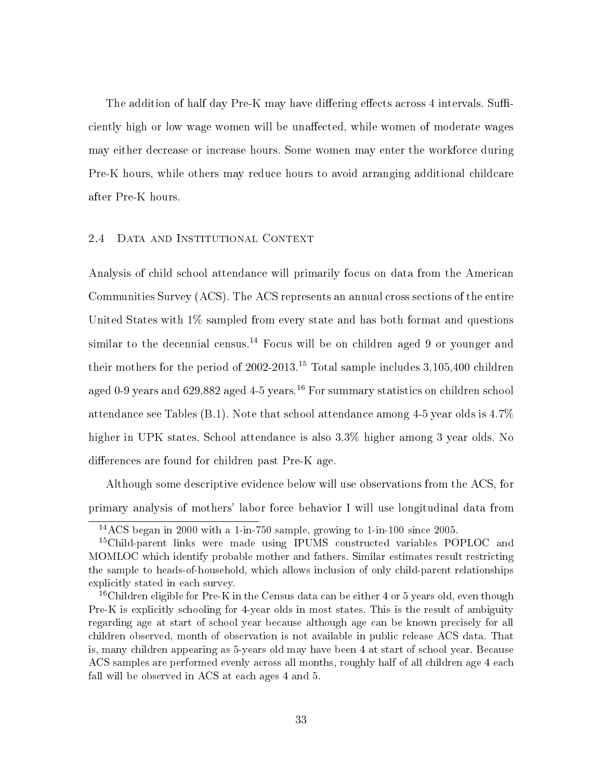The addition of half day Pre-K may have differing effects across 4 intervals. Sufficiently high or low wage women will be unaffected, while women of moderate wages may either decrease or increase hours. Some women may enter the workforce during Pre-K hours, while others may reduce hours to avoid arranging additional childcare after Pre-K hours.

# 2.4 Data and Institutional Context

Analysis of child school attendance will primarily focus on data from the American Communities Survey (ACS). The ACS represents an annual cross sections of the entire United States with 1% sampled from every state and has both format and questions similar to the decennial census.<sup>14</sup> Focus will be on children aged 9 or younger and their mothers for the period of 2002-2013.<sup>15</sup> Total sample includes  $3,105,400$  children aged 0-9 years and 629,882 aged 4-5 years.<sup>16</sup> For summary statistics on children school attendance see Tables (B.1). Note that school attendance among 4-5 year olds is 4.7% higher in UPK states. School attendance is also 3.3% higher among 3 year olds. No differences are found for children past Pre-K age.

Although some descriptive evidence below will use observations from the ACS, for primary analysis of mothers' labor force behavior I will use longitudinal data from

 $14\,\text{ACS}$  began in 2000 with a 1-in-750 sample, growing to 1-in-100 since 2005.

<sup>&</sup>lt;sup>15</sup>Child-parent links were made using IPUMS constructed variables POPLOC and MOMLOC which identify probable mother and fathers. Similar estimates result restricting the sample to heads-of-household, which allows inclusion of only child-parent relationships explicitly stated in each survey.

<sup>&</sup>lt;sup>16</sup>Children eligible for Pre-K in the Census data can be either 4 or 5 years old, even though Pre-K is explicitly schooling for 4-year olds in most states. This is the result of ambiguity regarding age at start of school year because although age can be known precisely for all children observed, month of observation is not available in public release ACS data. That is, many children appearing as 5-years old may have been 4 at start of school year. Because ACS samples are performed evenly across all months, roughly half of all children age 4 each fall will be observed in ACS at each ages 4 and 5.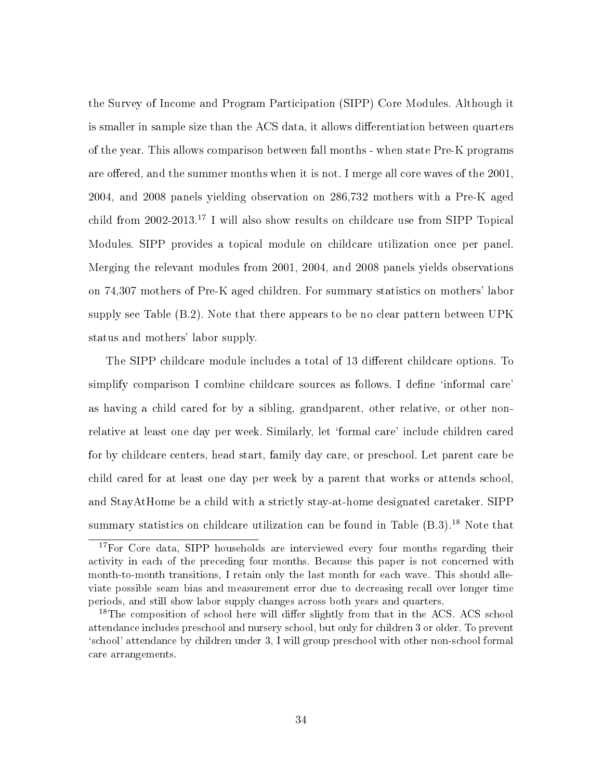the Survey of Income and Program Participation (SIPP) Core Modules. Although it is smaller in sample size than the ACS data, it allows differentiation between quarters of the year. This allows comparison between fall months - when state Pre-K programs are offered, and the summer months when it is not. I merge all core waves of the  $2001$ , 2004, and 2008 panels yielding observation on 286,732 mothers with a Pre-K aged child from 2002-2013.<sup>17</sup> I will also show results on childcare use from SIPP Topical Modules. SIPP provides a topical module on childcare utilization once per panel. Merging the relevant modules from 2001, 2004, and 2008 panels yields observations on 74,307 mothers of Pre-K aged children. For summary statistics on mothers' labor supply see Table (B.2). Note that there appears to be no clear pattern between UPK status and mothers' labor supply.

The SIPP childcare module includes a total of 13 different childcare options. To simplify comparison I combine childcare sources as follows. I define 'informal care' as having a child cared for by a sibling, grandparent, other relative, or other nonrelative at least one day per week. Similarly, let `formal care' include children cared for by childcare centers, head start, family day care, or preschool. Let parent care be child cared for at least one day per week by a parent that works or attends school, and StayAtHome be a child with a strictly stay-at-home designated caretaker. SIPP summary statistics on childcare utilization can be found in Table (B.3).<sup>18</sup> Note that

<sup>&</sup>lt;sup>17</sup>For Core data, SIPP households are interviewed every four months regarding their activity in each of the preceding four months. Because this paper is not concerned with month-to-month transitions, I retain only the last month for each wave. This should alleviate possible seam bias and measurement error due to decreasing recall over longer time periods, and still show labor supply changes across both years and quarters.

 $^{18}$ The composition of school here will differ slightly from that in the ACS. ACS school attendance includes preschool and nursery school, but only for children 3 or older. To prevent `school' attendance by children under 3, I will group preschool with other non-school formal care arrangements.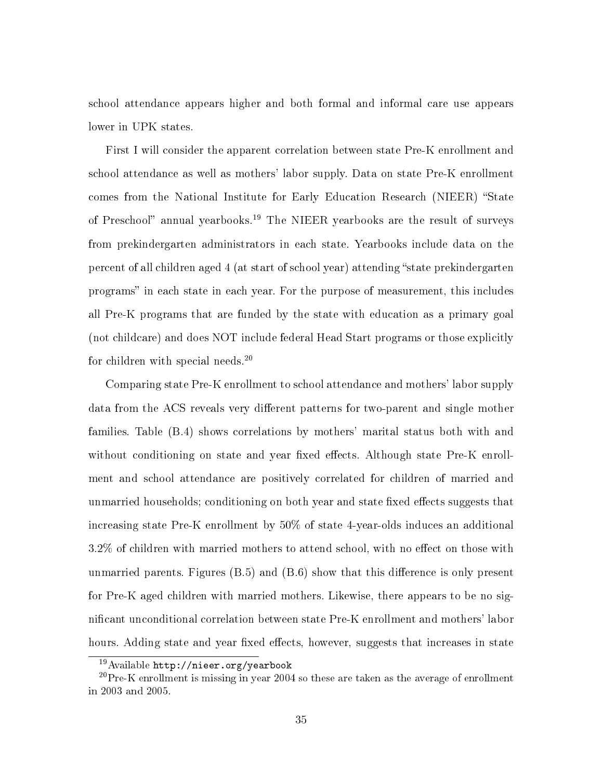school attendance appears higher and both formal and informal care use appears lower in UPK states.

First I will consider the apparent correlation between state Pre-K enrollment and school attendance as well as mothers' labor supply. Data on state Pre-K enrollment comes from the National Institute for Early Education Research (NIEER) "State of Preschool" annual yearbooks.<sup>19</sup> The NIEER yearbooks are the result of surveys from prekindergarten administrators in each state. Yearbooks include data on the percent of all children aged 4 (at start of school year) attending "state prekindergarten programs" in each state in each year. For the purpose of measurement, this includes all Pre-K programs that are funded by the state with education as a primary goal (not childcare) and does NOT include federal Head Start programs or those explicitly for children with special needs.<sup>20</sup>

Comparing state Pre-K enrollment to school attendance and mothers' labor supply data from the ACS reveals very different patterns for two-parent and single mother families. Table (B.4) shows correlations by mothers' marital status both with and without conditioning on state and year fixed effects. Although state Pre-K enrollment and school attendance are positively correlated for children of married and unmarried households; conditioning on both year and state fixed effects suggests that increasing state Pre-K enrollment by 50% of state 4-year-olds induces an additional  $3.2\%$  of children with married mothers to attend school, with no effect on those with unmarried parents. Figures  $(B.5)$  and  $(B.6)$  show that this difference is only present for Pre-K aged children with married mothers. Likewise, there appears to be no signicant unconditional correlation between state Pre-K enrollment and mothers' labor hours. Adding state and year fixed effects, however, suggests that increases in state

<sup>19</sup>Available http://nieer.org/yearbook

 $20$ Pre-K enrollment is missing in year 2004 so these are taken as the average of enrollment in 2003 and 2005.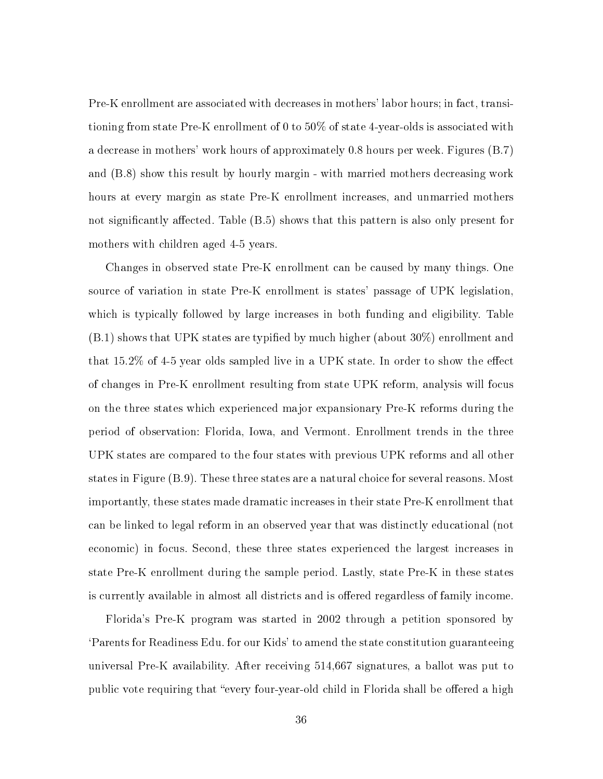Pre-K enrollment are associated with decreases in mothers' labor hours; in fact, transitioning from state Pre-K enrollment of 0 to 50% of state 4-year-olds is associated with a decrease in mothers' work hours of approximately 0.8 hours per week. Figures (B.7) and (B.8) show this result by hourly margin - with married mothers decreasing work hours at every margin as state Pre-K enrollment increases, and unmarried mothers not significantly affected. Table  $(B.5)$  shows that this pattern is also only present for mothers with children aged 4-5 years.

Changes in observed state Pre-K enrollment can be caused by many things. One source of variation in state Pre-K enrollment is states' passage of UPK legislation, which is typically followed by large increases in both funding and eligibility. Table  $(8.1)$  shows that UPK states are typified by much higher (about 30%) enrollment and that  $15.2\%$  of 4-5 year olds sampled live in a UPK state. In order to show the effect of changes in Pre-K enrollment resulting from state UPK reform, analysis will focus on the three states which experienced major expansionary Pre-K reforms during the period of observation: Florida, Iowa, and Vermont. Enrollment trends in the three UPK states are compared to the four states with previous UPK reforms and all other states in Figure (B.9). These three states are a natural choice for several reasons. Most importantly, these states made dramatic increases in their state Pre-K enrollment that can be linked to legal reform in an observed year that was distinctly educational (not economic) in focus. Second, these three states experienced the largest increases in state Pre-K enrollment during the sample period. Lastly, state Pre-K in these states is currently available in almost all districts and is offered regardless of family income.

Florida's Pre-K program was started in 2002 through a petition sponsored by `Parents for Readiness Edu. for our Kids' to amend the state constitution guaranteeing universal Pre-K availability. After receiving 514,667 signatures, a ballot was put to public vote requiring that "every four-year-old child in Florida shall be offered a high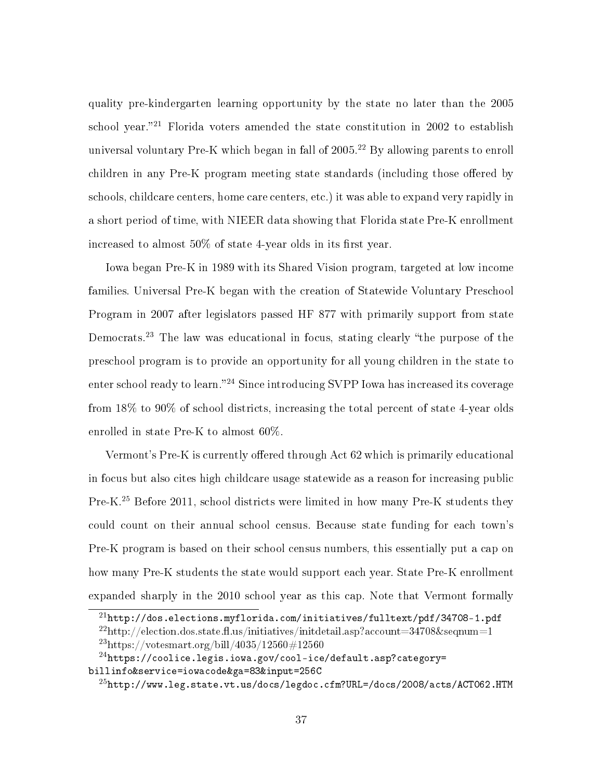quality pre-kindergarten learning opportunity by the state no later than the 2005 school year."<sup>21</sup> Florida voters amended the state constitution in 2002 to establish universal voluntary Pre-K which began in fall of  $2005.<sup>22</sup>$  By allowing parents to enroll children in any Pre-K program meeting state standards (including those offered by schools, childcare centers, home care centers, etc.) it was able to expand very rapidly in a short period of time, with NIEER data showing that Florida state Pre-K enrollment increased to almost  $50\%$  of state 4-year olds in its first year.

Iowa began Pre-K in 1989 with its Shared Vision program, targeted at low income families. Universal Pre-K began with the creation of Statewide Voluntary Preschool Program in 2007 after legislators passed HF 877 with primarily support from state Democrats.<sup>23</sup> The law was educational in focus, stating clearly "the purpose of the preschool program is to provide an opportunity for all young children in the state to enter school ready to learn."<sup>24</sup> Since introducing SVPP Iowa has increased its coverage from 18% to 90% of school districts, increasing the total percent of state 4-year olds enrolled in state Pre-K to almost 60%.

Vermont's Pre-K is currently offered through Act 62 which is primarily educational in focus but also cites high childcare usage statewide as a reason for increasing public Pre-K.<sup>25</sup> Before 2011, school districts were limited in how many Pre-K students they could count on their annual school census. Because state funding for each town's Pre-K program is based on their school census numbers, this essentially put a cap on how many Pre-K students the state would support each year. State Pre-K enrollment expanded sharply in the 2010 school year as this cap. Note that Vermont formally

<sup>21</sup>http://dos.elections.myflorida.com/initiatives/fulltext/pdf/34708-1.pdf

 $^{22}$ http://election.dos.state.fl.us/initiatives/initdetail.asp?account=34708&seqnum=1  $^{23}$ https://votesmart.org/bill/4035/12560#12560

 $^{24}$ https://coolice.legis.iowa.gov/cool-ice/default.asp?category= billinfo&service=iowacode&ga=83&input=256C

 $^{25}$ http://www.leg.state.vt.us/docs/legdoc.cfm?URL=/docs/2008/acts/ACT062.HTM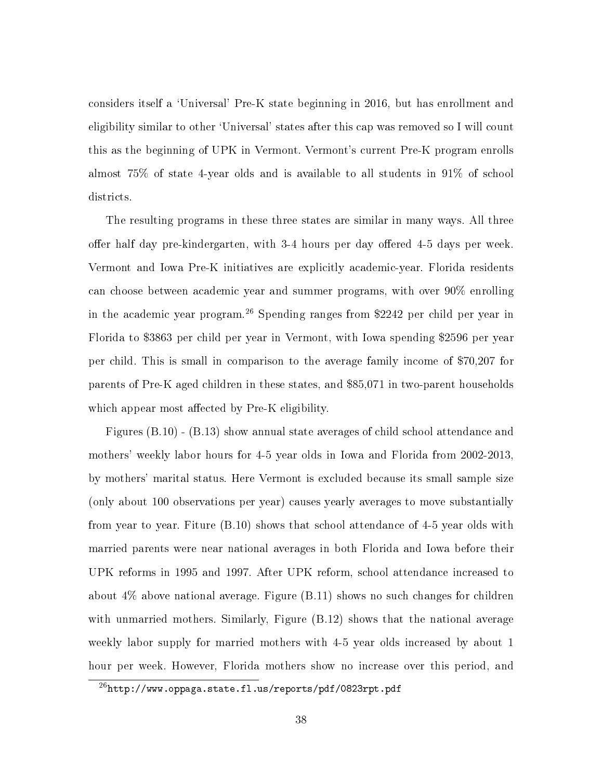considers itself a `Universal' Pre-K state beginning in 2016, but has enrollment and eligibility similar to other `Universal' states after this cap was removed so I will count this as the beginning of UPK in Vermont. Vermont's current Pre-K program enrolls almost 75% of state 4-year olds and is available to all students in 91% of school districts.

The resulting programs in these three states are similar in many ways. All three offer half day pre-kindergarten, with 3-4 hours per day offered 4-5 days per week. Vermont and Iowa Pre-K initiatives are explicitly academic-year. Florida residents can choose between academic year and summer programs, with over 90% enrolling in the academic year program.<sup>26</sup> Spending ranges from \$2242 per child per year in Florida to \$3863 per child per year in Vermont, with Iowa spending \$2596 per year per child. This is small in comparison to the average family income of \$70,207 for parents of Pre-K aged children in these states, and \$85,071 in two-parent households which appear most affected by Pre-K eligibility.

Figures (B.10) - (B.13) show annual state averages of child school attendance and mothers' weekly labor hours for 4-5 year olds in Iowa and Florida from 2002-2013, by mothers' marital status. Here Vermont is excluded because its small sample size (only about 100 observations per year) causes yearly averages to move substantially from year to year. Fiture (B.10) shows that school attendance of 4-5 year olds with married parents were near national averages in both Florida and Iowa before their UPK reforms in 1995 and 1997. After UPK reform, school attendance increased to about 4% above national average. Figure (B.11) shows no such changes for children with unmarried mothers. Similarly, Figure (B.12) shows that the national average weekly labor supply for married mothers with 4-5 year olds increased by about 1 hour per week. However, Florida mothers show no increase over this period, and

 $^{26}$ http://www.oppaga.state.fl.us/reports/pdf/0823rpt.pdf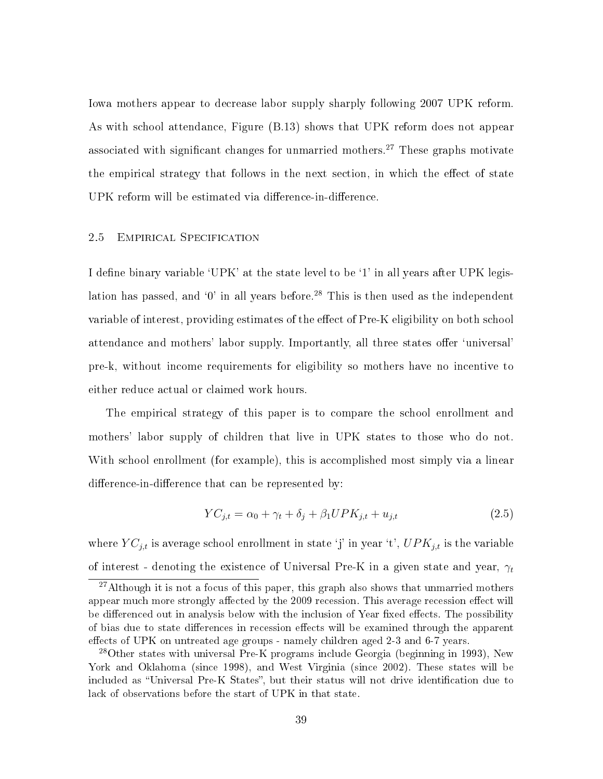Iowa mothers appear to decrease labor supply sharply following 2007 UPK reform. As with school attendance, Figure (B.13) shows that UPK reform does not appear associated with significant changes for unmarried mothers.<sup>27</sup> These graphs motivate the empirical strategy that follows in the next section, in which the effect of state UPK reform will be estimated via difference-in-difference.

## 2.5 Empirical Specification

I define binary variable  $^{\circ}$ UPK' at the state level to be  $^{\circ}$ 1' in all years after UPK legislation has passed, and  $\theta'$  in all years before.<sup>28</sup> This is then used as the independent variable of interest, providing estimates of the effect of Pre-K eligibility on both school attendance and mothers' labor supply. Importantly, all three states offer 'universal' pre-k, without income requirements for eligibility so mothers have no incentive to either reduce actual or claimed work hours.

The empirical strategy of this paper is to compare the school enrollment and mothers' labor supply of children that live in UPK states to those who do not. With school enrollment (for example), this is accomplished most simply via a linear difference-in-difference that can be represented by:

$$
YC_{j,t} = \alpha_0 + \gamma_t + \delta_j + \beta_1 UPK_{j,t} + u_{j,t}
$$
\n
$$
(2.5)
$$

where  $YC_{j,t}$  is average school enrollment in state 'j' in year 't',  $UPK_{j,t}$  is the variable of interest - denoting the existence of Universal Pre-K in a given state and year,  $\gamma_t$ 

<sup>&</sup>lt;sup>27</sup>Although it is not a focus of this paper, this graph also shows that unmarried mothers appear much more strongly affected by the 2009 recession. This average recession effect will be differenced out in analysis below with the inclusion of Year fixed effects. The possibility of bias due to state differences in recession effects will be examined through the apparent effects of UPK on untreated age groups - namely children aged 2-3 and  $6-7$  years.

<sup>&</sup>lt;sup>28</sup>Other states with universal Pre-K programs include Georgia (beginning in 1993), New York and Oklahoma (since 1998), and West Virginia (since 2002). These states will be included as "Universal Pre-K States", but their status will not drive identification due to lack of observations before the start of UPK in that state.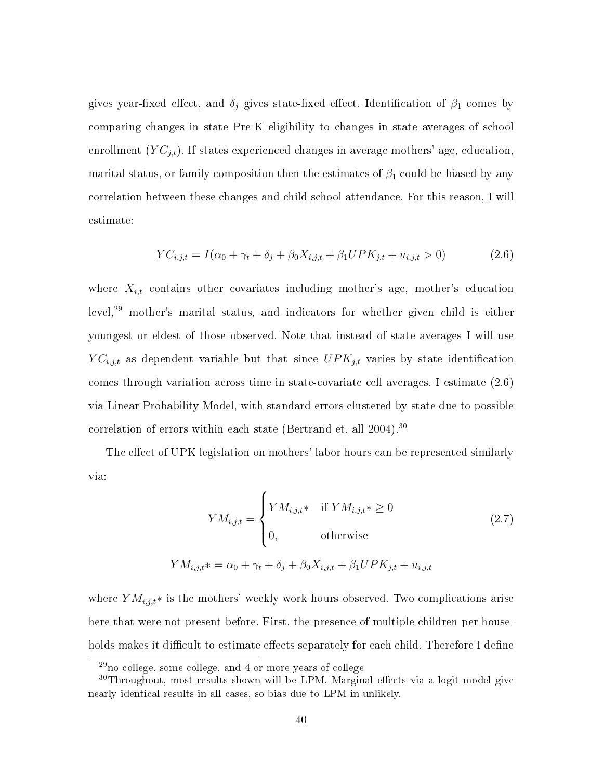gives year-fixed effect, and  $\delta_j$  gives state-fixed effect. Identification of  $\beta_1$  comes by comparing changes in state Pre-K eligibility to changes in state averages of school enrollment  $(YC_{j,t})$ . If states experienced changes in average mothers' age, education, marital status, or family composition then the estimates of  $\beta_1$  could be biased by any correlation between these changes and child school attendance. For this reason, I will estimate:

$$
YC_{i,j,t} = I(\alpha_0 + \gamma_t + \delta_j + \beta_0 X_{i,j,t} + \beta_1 UPK_{j,t} + u_{i,j,t} > 0)
$$
\n(2.6)

where  $X_{i,t}$  contains other covariates including mother's age, mother's education level,<sup>29</sup> mother's marital status, and indicators for whether given child is either youngest or eldest of those observed. Note that instead of state averages I will use  $YC_{i,j,t}$  as dependent variable but that since  $UPK_{j,t}$  varies by state identification comes through variation across time in state-covariate cell averages. I estimate (2.6) via Linear Probability Model, with standard errors clustered by state due to possible correlation of errors within each state (Bertrand et. all 2004).<sup>30</sup>

The effect of UPK legislation on mothers' labor hours can be represented similarly via:

$$
YM_{i,j,t} = \begin{cases} YM_{i,j,t} & \text{if } YM_{i,j,t} \ge 0 \\ 0, & \text{otherwise} \end{cases} \tag{2.7}
$$

$$
YM_{i,j,t} \ast = \alpha_0 + \gamma_t + \delta_j + \beta_0 X_{i,j,t} + \beta_1 UPK_{j,t} + u_{i,j,t}
$$

where  $YM_{i,j,t}*$  is the mothers' weekly work hours observed. Two complications arise here that were not present before. First, the presence of multiple children per households makes it difficult to estimate effects separately for each child. Therefore I define

<sup>29</sup>no college, some college, and 4 or more years of college

 $30$ Throughout, most results shown will be LPM. Marginal effects via a logit model give nearly identical results in all cases, so bias due to LPM in unlikely.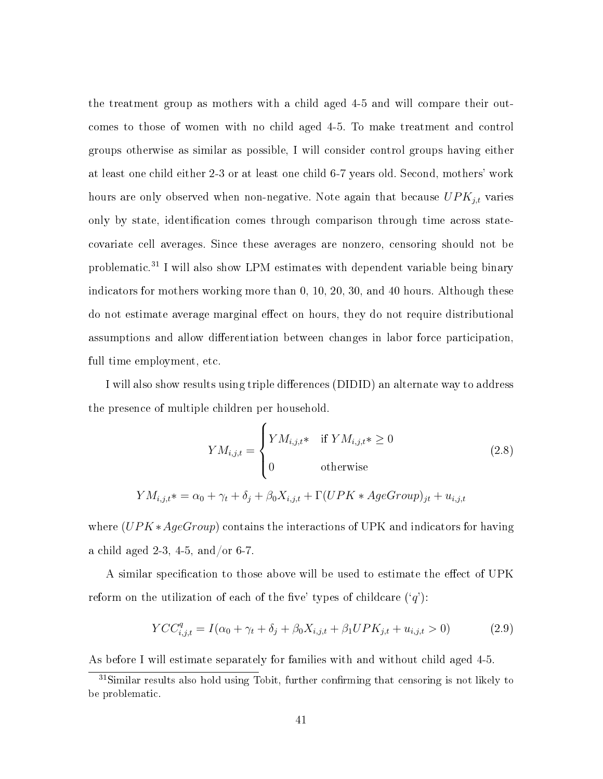the treatment group as mothers with a child aged 4-5 and will compare their outcomes to those of women with no child aged 4-5. To make treatment and control groups otherwise as similar as possible, I will consider control groups having either at least one child either 2-3 or at least one child 6-7 years old. Second, mothers' work hours are only observed when non-negative. Note again that because  $UPK_{j,t}$  varies only by state, identification comes through comparison through time across statecovariate cell averages. Since these averages are nonzero, censoring should not be problematic.<sup>31</sup> I will also show LPM estimates with dependent variable being binary indicators for mothers working more than 0, 10, 20, 30, and 40 hours. Although these do not estimate average marginal effect on hours, they do not require distributional assumptions and allow differentiation between changes in labor force participation, full time employment, etc.

I will also show results using triple differences (DIDID) an alternate way to address the presence of multiple children per household.

$$
YM_{i,j,t} = \begin{cases} YM_{i,j,t} & \text{if } YM_{i,j,t} * \ge 0 \\ 0 & \text{otherwise} \end{cases}
$$
 (2.8)  

$$
YM_{i,j,t} * = \alpha_0 + \gamma_t + \delta_j + \beta_0 X_{i,j,t} + \Gamma(UPK * AgeGroup)_{jt} + u_{i,j,t}
$$

where 
$$
(UPK * AgeGroup)
$$
 contains the interactions of UPK and indicators for having a child aged 2-3, 4-5, and/or 6-7.

A similar specification to those above will be used to estimate the effect of UPK reform on the utilization of each of the five' types of childcare  $(q')$ :

$$
YCC_{i,j,t}^q = I(\alpha_0 + \gamma_t + \delta_j + \beta_0 X_{i,j,t} + \beta_1 UPK_{j,t} + u_{i,j,t} > 0)
$$
\n(2.9)

As before I will estimate separately for families with and without child aged 4-5.

 $31$ Similar results also hold using Tobit, further confirming that censoring is not likely to be problematic.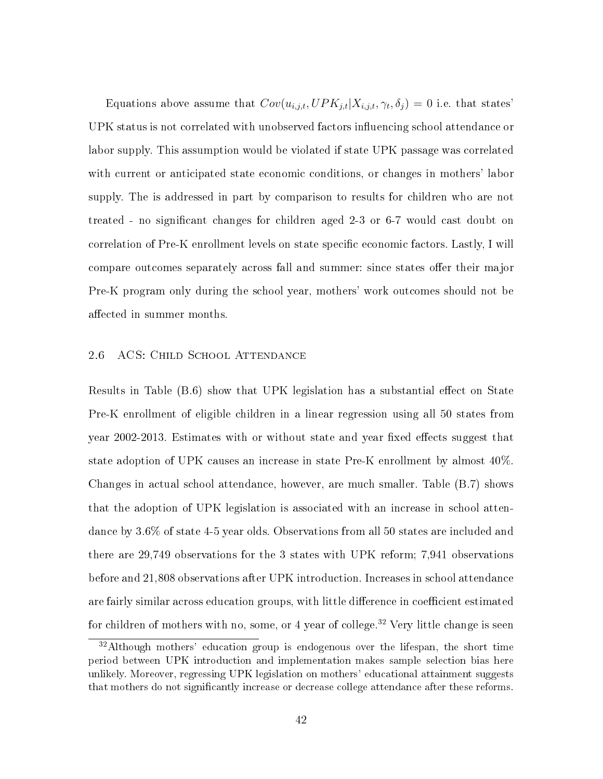Equations above assume that  $Cov(u_{i,j,t}, UPK_{j,t}|X_{i,j,t}, \gamma_t, \delta_j) = 0$  i.e. that states' UPK status is not correlated with unobserved factors influencing school attendance or labor supply. This assumption would be violated if state UPK passage was correlated with current or anticipated state economic conditions, or changes in mothers' labor supply. The is addressed in part by comparison to results for children who are not treated - no signicant changes for children aged 2-3 or 6-7 would cast doubt on correlation of Pre-K enrollment levels on state specific economic factors. Lastly, I will compare outcomes separately across fall and summer: since states offer their major Pre-K program only during the school year, mothers' work outcomes should not be affected in summer months.

#### 2.6 ACS: Child School Attendance

Results in Table (B.6) show that UPK legislation has a substantial effect on State Pre-K enrollment of eligible children in a linear regression using all 50 states from year 2002-2013. Estimates with or without state and year fixed effects suggest that state adoption of UPK causes an increase in state Pre-K enrollment by almost 40%. Changes in actual school attendance, however, are much smaller. Table (B.7) shows that the adoption of UPK legislation is associated with an increase in school attendance by 3.6% of state 4-5 year olds. Observations from all 50 states are included and there are 29,749 observations for the 3 states with UPK reform; 7,941 observations before and 21,808 observations after UPK introduction. Increases in school attendance are fairly similar across education groups, with little difference in coefficient estimated for children of mothers with no, some, or 4 year of college.<sup>32</sup> Very little change is seen

<sup>32</sup>Although mothers' education group is endogenous over the lifespan, the short time period between UPK introduction and implementation makes sample selection bias here unlikely. Moreover, regressing UPK legislation on mothers' educational attainment suggests that mothers do not signicantly increase or decrease college attendance after these reforms.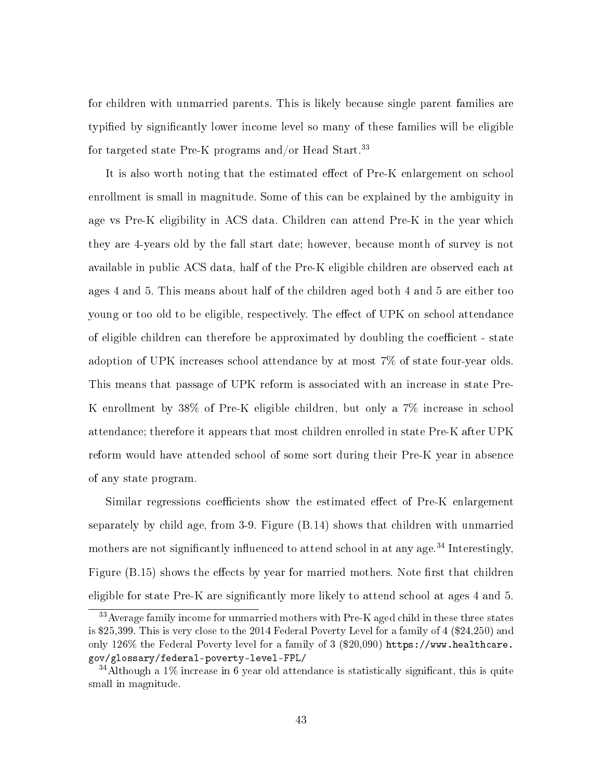for children with unmarried parents. This is likely because single parent families are typied by signicantly lower income level so many of these families will be eligible for targeted state Pre-K programs and/or Head Start.<sup>33</sup>

It is also worth noting that the estimated effect of Pre-K enlargement on school enrollment is small in magnitude. Some of this can be explained by the ambiguity in age vs Pre-K eligibility in ACS data. Children can attend Pre-K in the year which they are 4-years old by the fall start date; however, because month of survey is not available in public ACS data, half of the Pre-K eligible children are observed each at ages 4 and 5. This means about half of the children aged both 4 and 5 are either too young or too old to be eligible, respectively. The effect of UPK on school attendance of eligible children can therefore be approximated by doubling the coefficient - state adoption of UPK increases school attendance by at most 7% of state four-year olds. This means that passage of UPK reform is associated with an increase in state Pre-K enrollment by 38% of Pre-K eligible children, but only a 7% increase in school attendance; therefore it appears that most children enrolled in state Pre-K after UPK reform would have attended school of some sort during their Pre-K year in absence of any state program.

Similar regressions coefficients show the estimated effect of Pre-K enlargement separately by child age, from 3-9. Figure (B.14) shows that children with unmarried mothers are not significantly influenced to attend school in at any age.<sup>34</sup> Interestingly, Figure (B.15) shows the effects by year for married mothers. Note first that children eligible for state Pre-K are significantly more likely to attend school at ages 4 and 5.

<sup>33</sup>Average family income for unmarried mothers with Pre-K aged child in these three states is \$25,399. This is very close to the 2014 Federal Poverty Level for a family of 4 (\$24,250) and only 126% the Federal Poverty level for a family of 3 (\$20,090) https://www.healthcare. gov/glossary/federal-poverty-level-FPL/

 $34$ Although a 1% increase in 6 year old attendance is statistically significant, this is quite small in magnitude.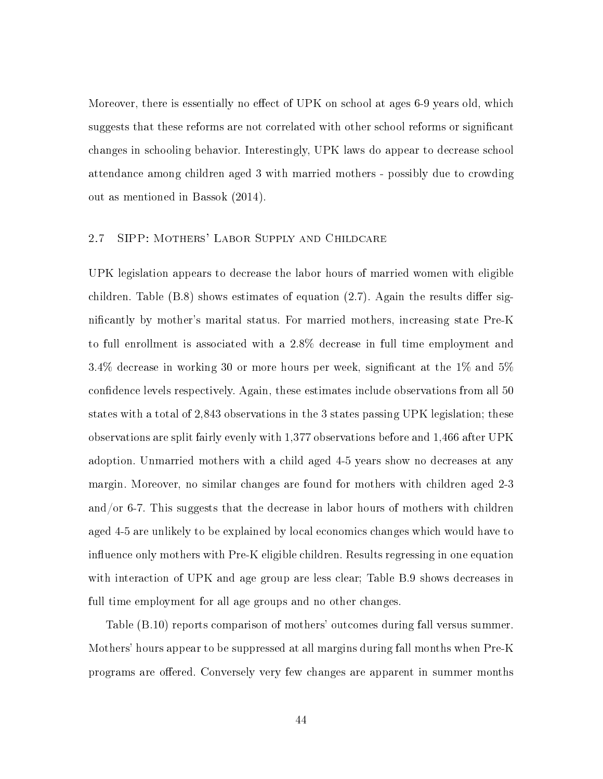Moreover, there is essentially no effect of UPK on school at ages  $6-9$  years old, which suggests that these reforms are not correlated with other school reforms or signicant changes in schooling behavior. Interestingly, UPK laws do appear to decrease school attendance among children aged 3 with married mothers - possibly due to crowding out as mentioned in Bassok (2014).

# 2.7 SIPP: Mothers' Labor Supply and Childcare

UPK legislation appears to decrease the labor hours of married women with eligible children. Table  $(B.8)$  shows estimates of equation  $(2.7)$ . Again the results differ signicantly by mother's marital status. For married mothers, increasing state Pre-K to full enrollment is associated with a 2.8% decrease in full time employment and 3.4% decrease in working 30 or more hours per week, significant at the  $1\%$  and  $5\%$ confidence levels respectively. Again, these estimates include observations from all 50 states with a total of 2,843 observations in the 3 states passing UPK legislation; these observations are split fairly evenly with 1,377 observations before and 1,466 after UPK adoption. Unmarried mothers with a child aged 4-5 years show no decreases at any margin. Moreover, no similar changes are found for mothers with children aged 2-3 and/or 6-7. This suggests that the decrease in labor hours of mothers with children aged 4-5 are unlikely to be explained by local economics changes which would have to influence only mothers with  $Pre-K$  eligible children. Results regressing in one equation with interaction of UPK and age group are less clear; Table B.9 shows decreases in full time employment for all age groups and no other changes.

Table (B.10) reports comparison of mothers' outcomes during fall versus summer. Mothers' hours appear to be suppressed at all margins during fall months when Pre-K programs are offered. Conversely very few changes are apparent in summer months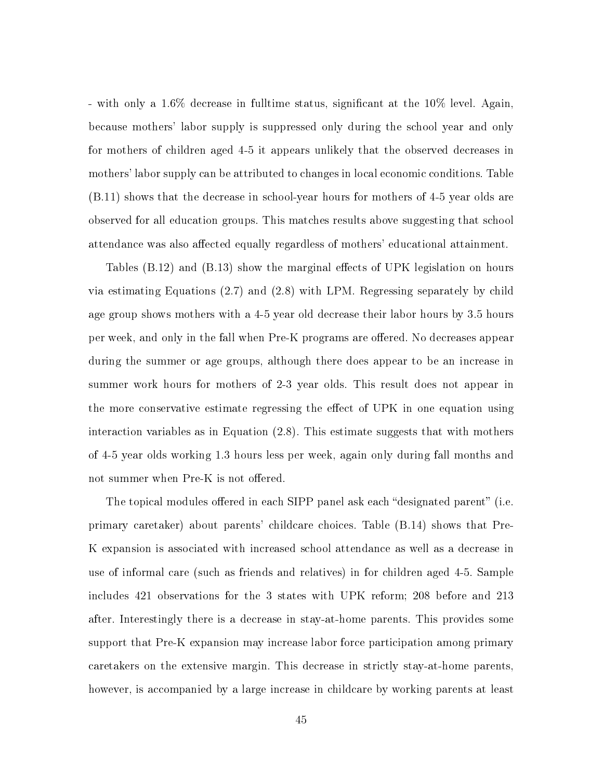- with only a 1.6% decrease in fulltime status, signicant at the 10% level. Again, because mothers' labor supply is suppressed only during the school year and only for mothers of children aged 4-5 it appears unlikely that the observed decreases in mothers' labor supply can be attributed to changes in local economic conditions. Table (B.11) shows that the decrease in school-year hours for mothers of 4-5 year olds are observed for all education groups. This matches results above suggesting that school attendance was also affected equally regardless of mothers' educational attainment.

Tables  $(B.12)$  and  $(B.13)$  show the marginal effects of UPK legislation on hours via estimating Equations (2.7) and (2.8) with LPM. Regressing separately by child age group shows mothers with a 4-5 year old decrease their labor hours by 3.5 hours per week, and only in the fall when Pre-K programs are offered. No decreases appear during the summer or age groups, although there does appear to be an increase in summer work hours for mothers of 2-3 year olds. This result does not appear in the more conservative estimate regressing the effect of UPK in one equation using interaction variables as in Equation (2.8). This estimate suggests that with mothers of 4-5 year olds working 1.3 hours less per week, again only during fall months and not summer when Pre-K is not offered.

The topical modules offered in each SIPP panel ask each "designated parent" (i.e. primary caretaker) about parents' childcare choices. Table (B.14) shows that Pre-K expansion is associated with increased school attendance as well as a decrease in use of informal care (such as friends and relatives) in for children aged 4-5. Sample includes 421 observations for the 3 states with UPK reform; 208 before and 213 after. Interestingly there is a decrease in stay-at-home parents. This provides some support that Pre-K expansion may increase labor force participation among primary caretakers on the extensive margin. This decrease in strictly stay-at-home parents, however, is accompanied by a large increase in childcare by working parents at least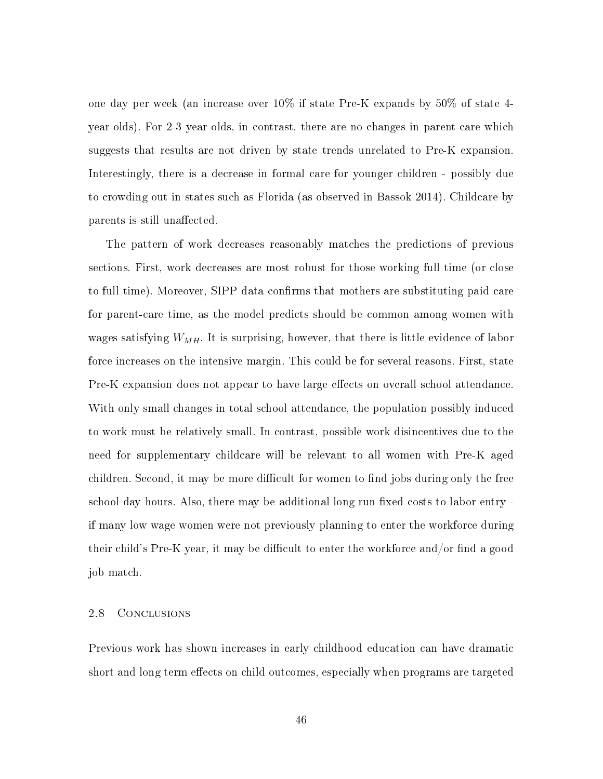one day per week (an increase over 10% if state Pre-K expands by 50% of state 4 year-olds). For 2-3 year olds, in contrast, there are no changes in parent-care which suggests that results are not driven by state trends unrelated to Pre-K expansion. Interestingly, there is a decrease in formal care for younger children - possibly due to crowding out in states such as Florida (as observed in Bassok 2014). Childcare by parents is still unaffected.

The pattern of work decreases reasonably matches the predictions of previous sections. First, work decreases are most robust for those working full time (or close to full time). Moreover, SIPP data confirms that mothers are substituting paid care for parent-care time, as the model predicts should be common among women with wages satisfying  $W_{MH}$ . It is surprising, however, that there is little evidence of labor force increases on the intensive margin. This could be for several reasons. First, state Pre-K expansion does not appear to have large effects on overall school attendance. With only small changes in total school attendance, the population possibly induced to work must be relatively small. In contrast, possible work disincentives due to the need for supplementary childcare will be relevant to all women with Pre-K aged children. Second, it may be more difficult for women to find jobs during only the free school-day hours. Also, there may be additional long run fixed costs to labor entry if many low wage women were not previously planning to enter the workforce during their child's Pre-K year, it may be difficult to enter the workforce and/or find a good job match.

#### 2.8 Conclusions

Previous work has shown increases in early childhood education can have dramatic short and long term effects on child outcomes, especially when programs are targeted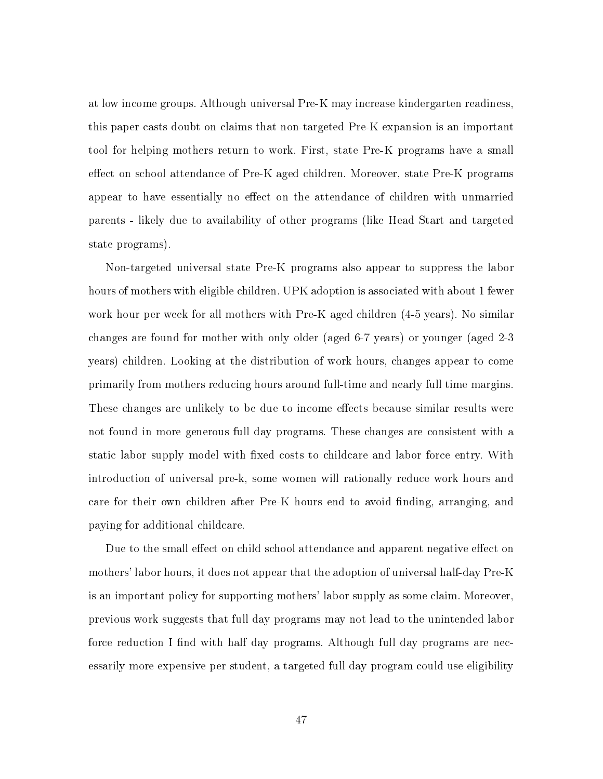at low income groups. Although universal Pre-K may increase kindergarten readiness, this paper casts doubt on claims that non-targeted Pre-K expansion is an important tool for helping mothers return to work. First, state Pre-K programs have a small effect on school attendance of Pre-K aged children. Moreover, state Pre-K programs appear to have essentially no effect on the attendance of children with unmarried parents - likely due to availability of other programs (like Head Start and targeted state programs).

Non-targeted universal state Pre-K programs also appear to suppress the labor hours of mothers with eligible children. UPK adoption is associated with about 1 fewer work hour per week for all mothers with Pre-K aged children (4-5 years). No similar changes are found for mother with only older (aged 6-7 years) or younger (aged 2-3 years) children. Looking at the distribution of work hours, changes appear to come primarily from mothers reducing hours around full-time and nearly full time margins. These changes are unlikely to be due to income effects because similar results were not found in more generous full day programs. These changes are consistent with a static labor supply model with fixed costs to childcare and labor force entry. With introduction of universal pre-k, some women will rationally reduce work hours and care for their own children after Pre-K hours end to avoid finding, arranging, and paying for additional childcare.

Due to the small effect on child school attendance and apparent negative effect on mothers' labor hours, it does not appear that the adoption of universal half-day Pre-K is an important policy for supporting mothers' labor supply as some claim. Moreover, previous work suggests that full day programs may not lead to the unintended labor force reduction I find with half day programs. Although full day programs are necessarily more expensive per student, a targeted full day program could use eligibility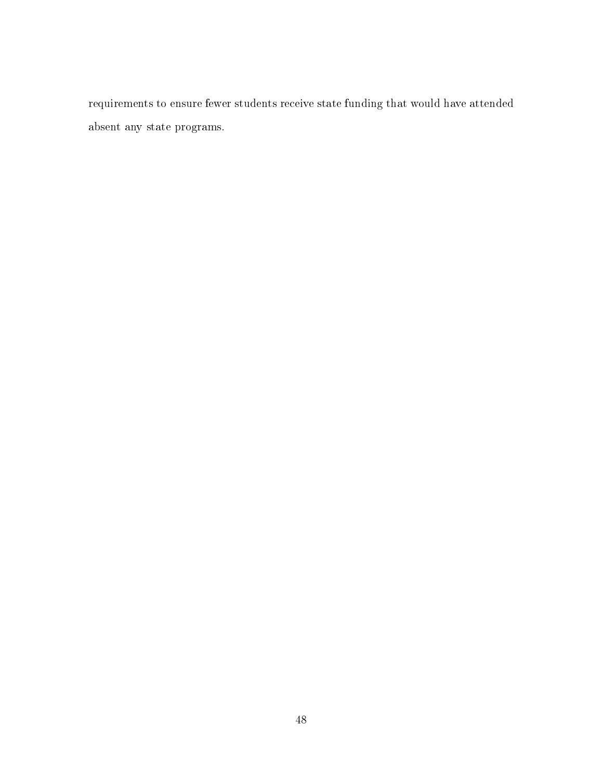requirements to ensure fewer students receive state funding that would have attended absent any state programs.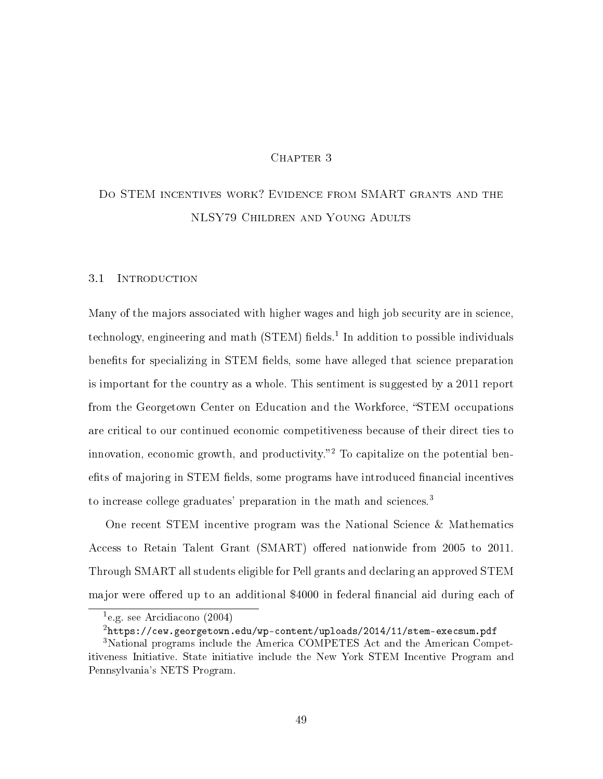## CHAPTER 3

# Do STEM incentives work? Evidence from SMART grants and the NLSY79 Children and Young Adults

#### 3.1 Introduction

Many of the majors associated with higher wages and high job security are in science, technology, engineering and math (STEM) fields.<sup>1</sup> In addition to possible individuals benefits for specializing in STEM fields, some have alleged that science preparation is important for the country as a whole. This sentiment is suggested by a 2011 report from the Georgetown Center on Education and the Workforce, "STEM occupations" are critical to our continued economic competitiveness because of their direct ties to innovation, economic growth, and productivity.<sup>2</sup> To capitalize on the potential benefits of majoring in STEM fields, some programs have introduced financial incentives to increase college graduates' preparation in the math and sciences.<sup>3</sup>

One recent STEM incentive program was the National Science & Mathematics Access to Retain Talent Grant (SMART) offered nationwide from 2005 to 2011. Through SMART all students eligible for Pell grants and declaring an approved STEM major were offered up to an additional \$4000 in federal financial aid during each of

<sup>1</sup> e.g. see Arcidiacono (2004)

<sup>2</sup>https://cew.georgetown.edu/wp-content/uploads/2014/11/stem-execsum.pdf

<sup>&</sup>lt;sup>3</sup>National programs include the America COMPETES Act and the American Competitiveness Initiative. State initiative include the New York STEM Incentive Program and Pennsylvania's NETS Program.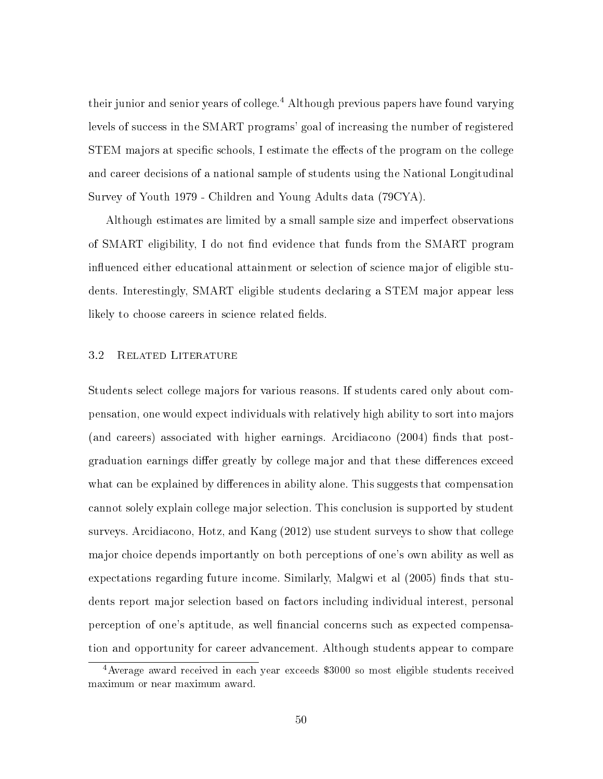their junior and senior years of college.<sup>4</sup> Although previous papers have found varying levels of success in the SMART programs' goal of increasing the number of registered STEM majors at specific schools, I estimate the effects of the program on the college and career decisions of a national sample of students using the National Longitudinal Survey of Youth 1979 - Children and Young Adults data (79CYA).

Although estimates are limited by a small sample size and imperfect observations of SMART eligibility, I do not find evidence that funds from the SMART program influenced either educational attainment or selection of science major of eligible students. Interestingly, SMART eligible students declaring a STEM major appear less likely to choose careers in science related fields.

#### 3.2 Related Literature

Students select college majors for various reasons. If students cared only about compensation, one would expect individuals with relatively high ability to sort into majors (and careers) associated with higher earnings. Arcidiacono  $(2004)$  finds that postgraduation earnings differ greatly by college major and that these differences exceed what can be explained by differences in ability alone. This suggests that compensation cannot solely explain college major selection. This conclusion is supported by student surveys. Arcidiacono, Hotz, and Kang (2012) use student surveys to show that college major choice depends importantly on both perceptions of one's own ability as well as expectations regarding future income. Similarly, Malgwi et al  $(2005)$  finds that students report major selection based on factors including individual interest, personal perception of one's aptitude, as well nancial concerns such as expected compensation and opportunity for career advancement. Although students appear to compare

<sup>4</sup>Average award received in each year exceeds \$3000 so most eligible students received maximum or near maximum award.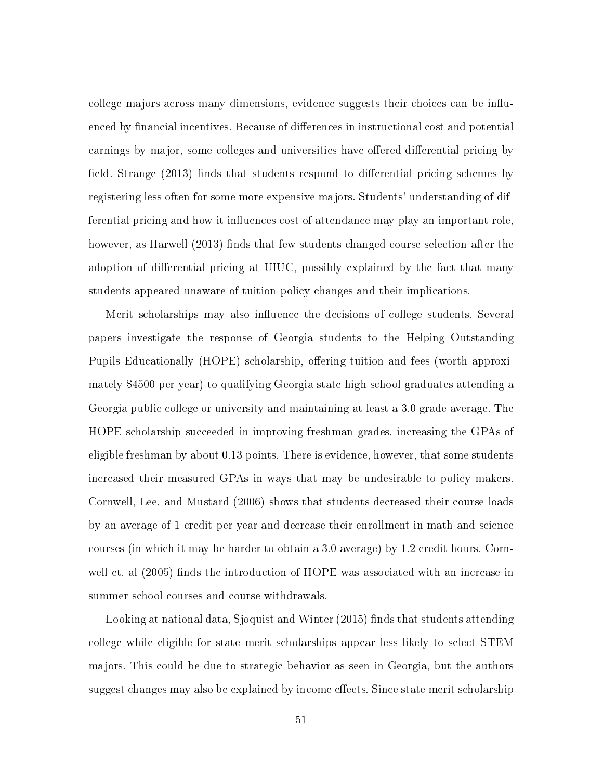college majors across many dimensions, evidence suggests their choices can be influenced by financial incentives. Because of differences in instructional cost and potential earnings by major, some colleges and universities have offered differential pricing by field. Strange  $(2013)$  finds that students respond to differential pricing schemes by registering less often for some more expensive majors. Students' understanding of differential pricing and how it influences cost of attendance may play an important role, however, as Harwell (2013) finds that few students changed course selection after the adoption of differential pricing at UIUC, possibly explained by the fact that many students appeared unaware of tuition policy changes and their implications.

Merit scholarships may also influence the decisions of college students. Several papers investigate the response of Georgia students to the Helping Outstanding Pupils Educationally (HOPE) scholarship, offering tuition and fees (worth approximately \$4500 per year) to qualifying Georgia state high school graduates attending a Georgia public college or university and maintaining at least a 3.0 grade average. The HOPE scholarship succeeded in improving freshman grades, increasing the GPAs of eligible freshman by about 0.13 points. There is evidence, however, that some students increased their measured GPAs in ways that may be undesirable to policy makers. Cornwell, Lee, and Mustard (2006) shows that students decreased their course loads by an average of 1 credit per year and decrease their enrollment in math and science courses (in which it may be harder to obtain a 3.0 average) by 1.2 credit hours. Cornwell et. al (2005) finds the introduction of HOPE was associated with an increase in summer school courses and course withdrawals.

Looking at national data, Sjoquist and Winter (2015) finds that students attending college while eligible for state merit scholarships appear less likely to select STEM majors. This could be due to strategic behavior as seen in Georgia, but the authors suggest changes may also be explained by income effects. Since state merit scholarship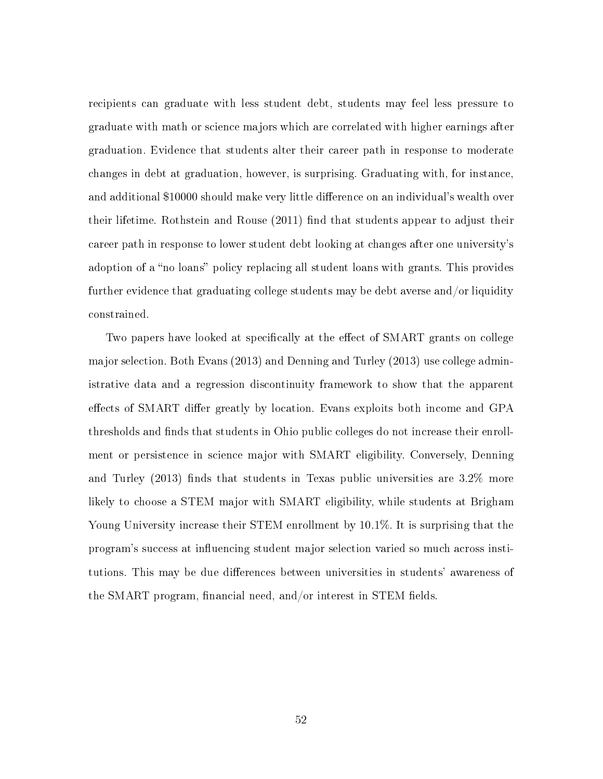recipients can graduate with less student debt, students may feel less pressure to graduate with math or science majors which are correlated with higher earnings after graduation. Evidence that students alter their career path in response to moderate changes in debt at graduation, however, is surprising. Graduating with, for instance, and additional \$10000 should make very little difference on an individual's wealth over their lifetime. Rothstein and Rouse (2011) find that students appear to adjust their career path in response to lower student debt looking at changes after one university's adoption of a "no loans" policy replacing all student loans with grants. This provides further evidence that graduating college students may be debt averse and/or liquidity constrained.

Two papers have looked at specifically at the effect of SMART grants on college major selection. Both Evans (2013) and Denning and Turley (2013) use college administrative data and a regression discontinuity framework to show that the apparent effects of SMART differ greatly by location. Evans exploits both income and GPA thresholds and finds that students in Ohio public colleges do not increase their enrollment or persistence in science major with SMART eligibility. Conversely, Denning and Turley (2013) finds that students in Texas public universities are  $3.2\%$  more likely to choose a STEM major with SMART eligibility, while students at Brigham Young University increase their STEM enrollment by 10.1%. It is surprising that the program's success at influencing student major selection varied so much across institutions. This may be due differences between universities in students' awareness of the SMART program, financial need, and/or interest in STEM fields.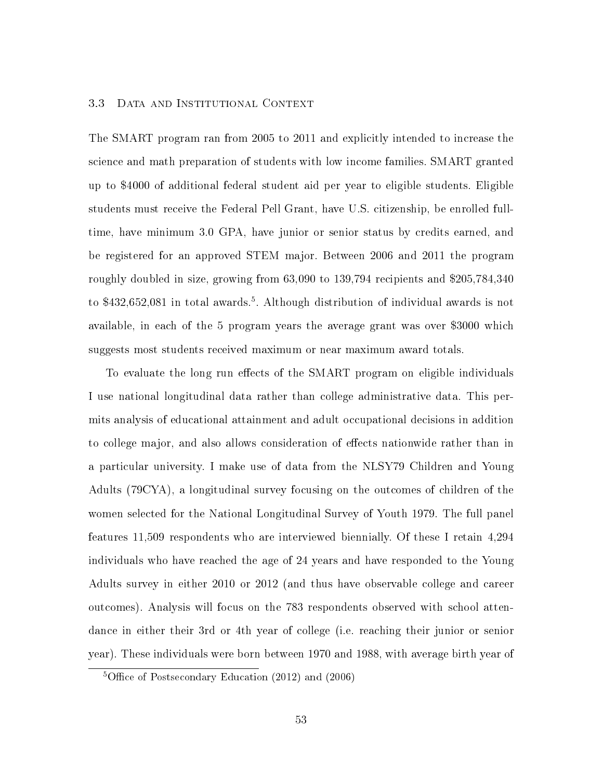#### 3.3 Data and Institutional Context

The SMART program ran from 2005 to 2011 and explicitly intended to increase the science and math preparation of students with low income families. SMART granted up to \$4000 of additional federal student aid per year to eligible students. Eligible students must receive the Federal Pell Grant, have U.S. citizenship, be enrolled fulltime, have minimum 3.0 GPA, have junior or senior status by credits earned, and be registered for an approved STEM major. Between 2006 and 2011 the program roughly doubled in size, growing from 63,090 to 139,794 recipients and \$205,784,340 to \$432,652,081 in total awards.<sup>5</sup>. Although distribution of individual awards is not available, in each of the 5 program years the average grant was over \$3000 which suggests most students received maximum or near maximum award totals.

To evaluate the long run effects of the SMART program on eligible individuals I use national longitudinal data rather than college administrative data. This permits analysis of educational attainment and adult occupational decisions in addition to college major, and also allows consideration of effects nationwide rather than in a particular university. I make use of data from the NLSY79 Children and Young Adults (79CYA), a longitudinal survey focusing on the outcomes of children of the women selected for the National Longitudinal Survey of Youth 1979. The full panel features 11,509 respondents who are interviewed biennially. Of these I retain 4,294 individuals who have reached the age of 24 years and have responded to the Young Adults survey in either 2010 or 2012 (and thus have observable college and career outcomes). Analysis will focus on the 783 respondents observed with school attendance in either their 3rd or 4th year of college (i.e. reaching their junior or senior year). These individuals were born between 1970 and 1988, with average birth year of

<sup>&</sup>lt;sup>5</sup>Office of Postsecondary Education  $(2012)$  and  $(2006)$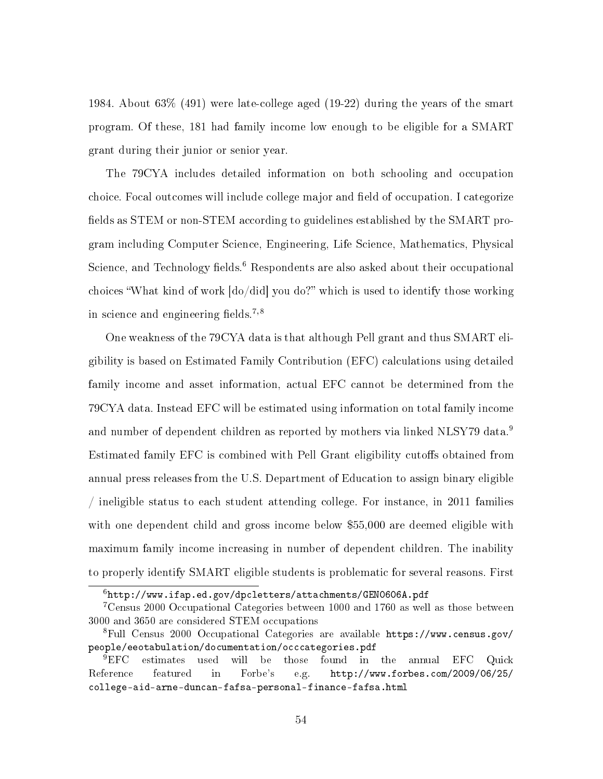1984. About 63% (491) were late-college aged (19-22) during the years of the smart program. Of these, 181 had family income low enough to be eligible for a SMART grant during their junior or senior year.

The 79CYA includes detailed information on both schooling and occupation choice. Focal outcomes will include college major and field of occupation. I categorize fields as STEM or non-STEM according to guidelines established by the SMART program including Computer Science, Engineering, Life Science, Mathematics, Physical Science, and Technology fields.<sup>6</sup> Respondents are also asked about their occupational choices "What kind of work  $\left[do/did\right]$  you do?" which is used to identify those working in science and engineering fields.<sup>7,8</sup>

One weakness of the 79CYA data is that although Pell grant and thus SMART eligibility is based on Estimated Family Contribution (EFC) calculations using detailed family income and asset information, actual EFC cannot be determined from the 79CYA data. Instead EFC will be estimated using information on total family income and number of dependent children as reported by mothers via linked NLSY79 data.<sup>9</sup> Estimated family EFC is combined with Pell Grant eligibility cutoffs obtained from annual press releases from the U.S. Department of Education to assign binary eligible / ineligible status to each student attending college. For instance, in 2011 families with one dependent child and gross income below \$55,000 are deemed eligible with maximum family income increasing in number of dependent children. The inability to properly identify SMART eligible students is problematic for several reasons. First

 $6$ http://www.ifap.ed.gov/dpcletters/attachments/GEN0606A.pdf

<sup>7</sup>Census 2000 Occupational Categories between 1000 and 1760 as well as those between 3000 and 3650 are considered STEM occupations

<sup>8</sup>Full Census 2000 Occupational Categories are available https://www.census.gov/ people/eeotabulation/documentation/occcategories.pdf

<sup>&</sup>lt;sup>9</sup>EFC estimates used will be those found in the annual EFC Quick Reference featured in Forbe's e.g. http://www.forbes.com/2009/06/25/ college-aid-arne-duncan-fafsa-personal-finance-fafsa.html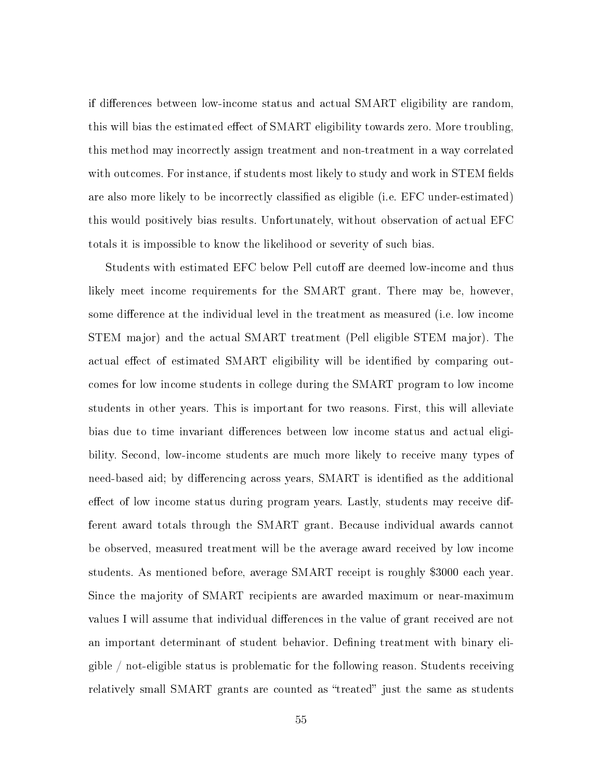if differences between low-income status and actual SMART eligibility are random, this will bias the estimated effect of SMART eligibility towards zero. More troubling, this method may incorrectly assign treatment and non-treatment in a way correlated with outcomes. For instance, if students most likely to study and work in STEM fields are also more likely to be incorrectly classified as eligible (i.e. EFC under-estimated) this would positively bias results. Unfortunately, without observation of actual EFC totals it is impossible to know the likelihood or severity of such bias.

Students with estimated EFC below Pell cutoff are deemed low-income and thus likely meet income requirements for the SMART grant. There may be, however, some difference at the individual level in the treatment as measured (i.e. low income STEM major) and the actual SMART treatment (Pell eligible STEM major). The actual effect of estimated SMART eligibility will be identified by comparing outcomes for low income students in college during the SMART program to low income students in other years. This is important for two reasons. First, this will alleviate bias due to time invariant differences between low income status and actual eligibility. Second, low-income students are much more likely to receive many types of need-based aid; by differencing across years, SMART is identified as the additional effect of low income status during program years. Lastly, students may receive different award totals through the SMART grant. Because individual awards cannot be observed, measured treatment will be the average award received by low income students. As mentioned before, average SMART receipt is roughly \$3000 each year. Since the majority of SMART recipients are awarded maximum or near-maximum values I will assume that individual differences in the value of grant received are not an important determinant of student behavior. Defining treatment with binary eligible / not-eligible status is problematic for the following reason. Students receiving relatively small SMART grants are counted as "treated" just the same as students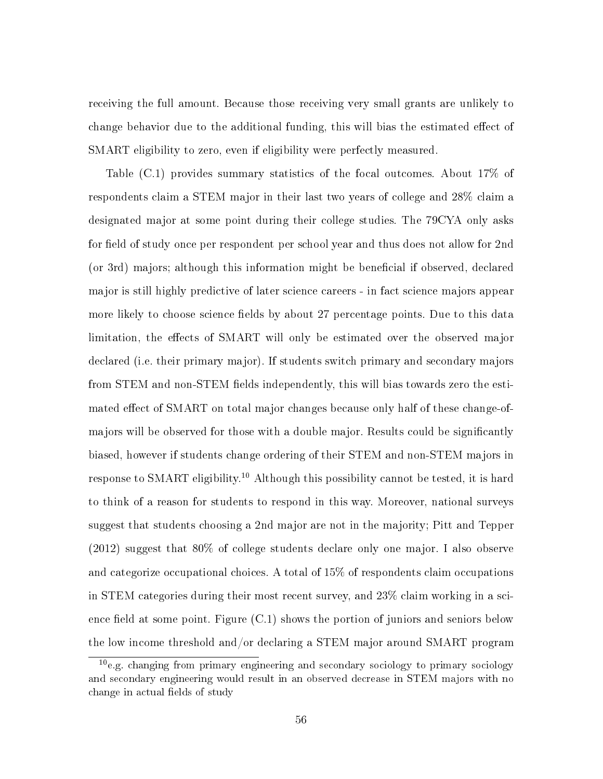receiving the full amount. Because those receiving very small grants are unlikely to change behavior due to the additional funding, this will bias the estimated effect of SMART eligibility to zero, even if eligibility were perfectly measured.

Table (C.1) provides summary statistics of the focal outcomes. About 17% of respondents claim a STEM major in their last two years of college and 28% claim a designated major at some point during their college studies. The 79CYA only asks for field of study once per respondent per school year and thus does not allow for 2nd (or 3rd) majors; although this information might be beneficial if observed, declared major is still highly predictive of later science careers - in fact science majors appear more likely to choose science fields by about 27 percentage points. Due to this data limitation, the effects of SMART will only be estimated over the observed major declared (i.e. their primary major). If students switch primary and secondary majors from STEM and non-STEM fields independently, this will bias towards zero the estimated effect of SMART on total major changes because only half of these change-ofmajors will be observed for those with a double major. Results could be signicantly biased, however if students change ordering of their STEM and non-STEM majors in response to SMART eligibility.<sup>10</sup> Although this possibility cannot be tested, it is hard to think of a reason for students to respond in this way. Moreover, national surveys suggest that students choosing a 2nd major are not in the majority; Pitt and Tepper (2012) suggest that 80% of college students declare only one major. I also observe and categorize occupational choices. A total of 15% of respondents claim occupations in STEM categories during their most recent survey, and 23% claim working in a science field at some point. Figure  $(C.1)$  shows the portion of juniors and seniors below the low income threshold and/or declaring a STEM major around SMART program

<sup>10</sup>e.g. changing from primary engineering and secondary sociology to primary sociology and secondary engineering would result in an observed decrease in STEM majors with no change in actual fields of study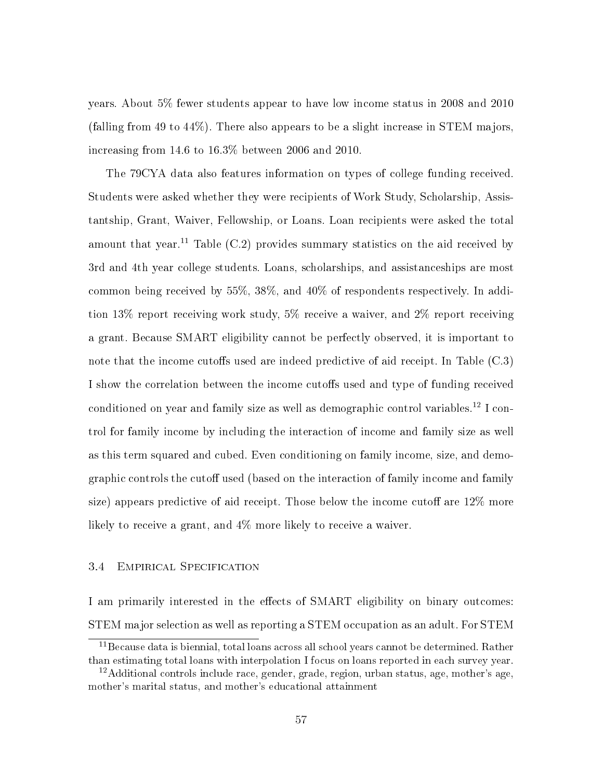years. About 5% fewer students appear to have low income status in 2008 and 2010 (falling from 49 to 44%). There also appears to be a slight increase in STEM majors, increasing from 14.6 to 16.3% between 2006 and 2010.

The 79CYA data also features information on types of college funding received. Students were asked whether they were recipients of Work Study, Scholarship, Assistantship, Grant, Waiver, Fellowship, or Loans. Loan recipients were asked the total amount that year.<sup>11</sup> Table  $(C.2)$  provides summary statistics on the aid received by 3rd and 4th year college students. Loans, scholarships, and assistanceships are most common being received by 55%, 38%, and 40% of respondents respectively. In addition 13% report receiving work study, 5% receive a waiver, and 2% report receiving a grant. Because SMART eligibility cannot be perfectly observed, it is important to note that the income cutoffs used are indeed predictive of aid receipt. In Table  $(C.3)$ I show the correlation between the income cutoffs used and type of funding received conditioned on year and family size as well as demographic control variables.<sup>12</sup> I control for family income by including the interaction of income and family size as well as this term squared and cubed. Even conditioning on family income, size, and demographic controls the cutoff used (based on the interaction of family income and family size) appears predictive of aid receipt. Those below the income cutoff are  $12\%$  more likely to receive a grant, and 4% more likely to receive a waiver.

#### 3.4 Empirical Specification

I am primarily interested in the effects of SMART eligibility on binary outcomes: STEM major selection as well as reporting a STEM occupation as an adult. For STEM

<sup>&</sup>lt;sup>11</sup>Because data is biennial, total loans across all school years cannot be determined. Rather than estimating total loans with interpolation I focus on loans reported in each survey year.

 $12$ Additional controls include race, gender, grade, region, urban status, age, mother's age, mother's marital status, and mother's educational attainment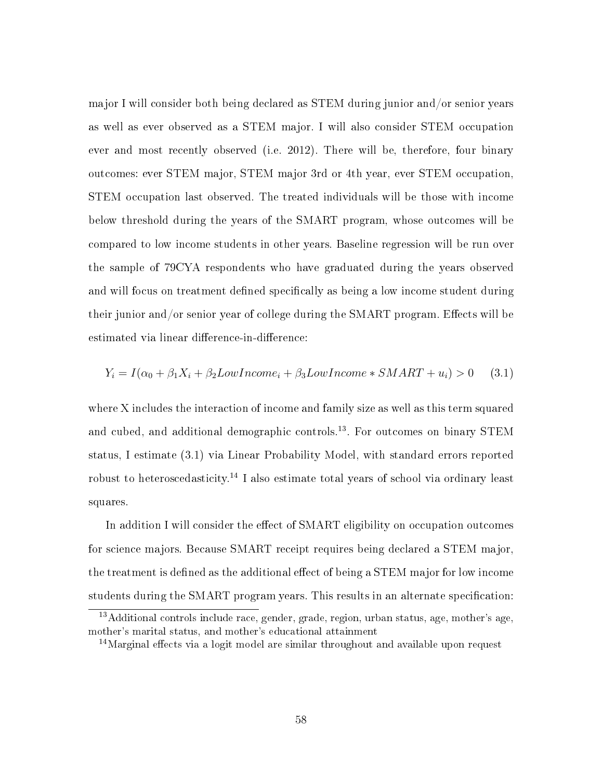major I will consider both being declared as STEM during junior and/or senior years as well as ever observed as a STEM major. I will also consider STEM occupation ever and most recently observed (i.e. 2012). There will be, therefore, four binary outcomes: ever STEM major, STEM major 3rd or 4th year, ever STEM occupation, STEM occupation last observed. The treated individuals will be those with income below threshold during the years of the SMART program, whose outcomes will be compared to low income students in other years. Baseline regression will be run over the sample of 79CYA respondents who have graduated during the years observed and will focus on treatment defined specifically as being a low income student during their junior and/or senior year of college during the SMART program. Effects will be estimated via linear difference-in-difference:

$$
Y_i = I(\alpha_0 + \beta_1 X_i + \beta_2 Low Income_i + \beta_3 Low Income * SMALL + u_i) > 0 \quad (3.1)
$$

where X includes the interaction of income and family size as well as this term squared and cubed, and additional demographic controls.<sup>13</sup>. For outcomes on binary STEM status, I estimate (3.1) via Linear Probability Model, with standard errors reported robust to heteroscedasticity.<sup>14</sup> I also estimate total years of school via ordinary least squares.

In addition I will consider the effect of SMART eligibility on occupation outcomes for science majors. Because SMART receipt requires being declared a STEM major, the treatment is defined as the additional effect of being a STEM major for low income students during the SMART program years. This results in an alternate specification:

 $13$ Additional controls include race, gender, grade, region, urban status, age, mother's age, mother's marital status, and mother's educational attainment

 $14$ Marginal effects via a logit model are similar throughout and available upon request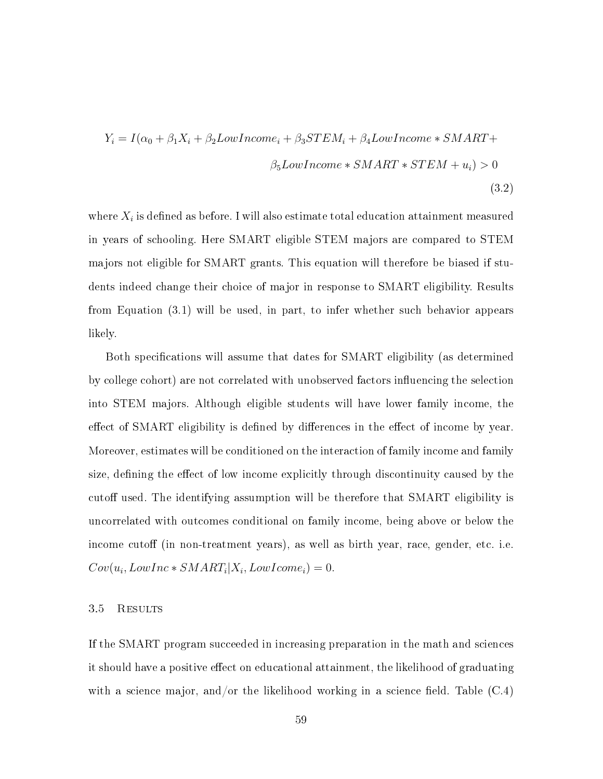$$
Y_i = I(\alpha_0 + \beta_1 X_i + \beta_2 Low Income_i + \beta_3 STEM_i + \beta_4 Low Income * SMALL +
$$
  

$$
\beta_5 Low Income * SMALL * STEM + u_i) > 0
$$
  
(3.2)

where  $X_i$  is defined as before. I will also estimate total education attainment measured in years of schooling. Here SMART eligible STEM majors are compared to STEM majors not eligible for SMART grants. This equation will therefore be biased if students indeed change their choice of major in response to SMART eligibility. Results from Equation (3.1) will be used, in part, to infer whether such behavior appears likely.

Both specifications will assume that dates for SMART eligibility (as determined by college cohort) are not correlated with unobserved factors influencing the selection into STEM majors. Although eligible students will have lower family income, the effect of SMART eligibility is defined by differences in the effect of income by year. Moreover, estimates will be conditioned on the interaction of family income and family size, defining the effect of low income explicitly through discontinuity caused by the cutoff used. The identifying assumption will be therefore that SMART eligibility is uncorrelated with outcomes conditional on family income, being above or below the income cutoff (in non-treatment years), as well as birth year, race, gender, etc. i.e.  $Cov(u_i, LowInc * SMART_i | X_i, LowHome_i) = 0.$ 

#### 3.5 Results

If the SMART program succeeded in increasing preparation in the math and sciences it should have a positive effect on educational attainment, the likelihood of graduating with a science major, and/or the likelihood working in a science field. Table  $(C.4)$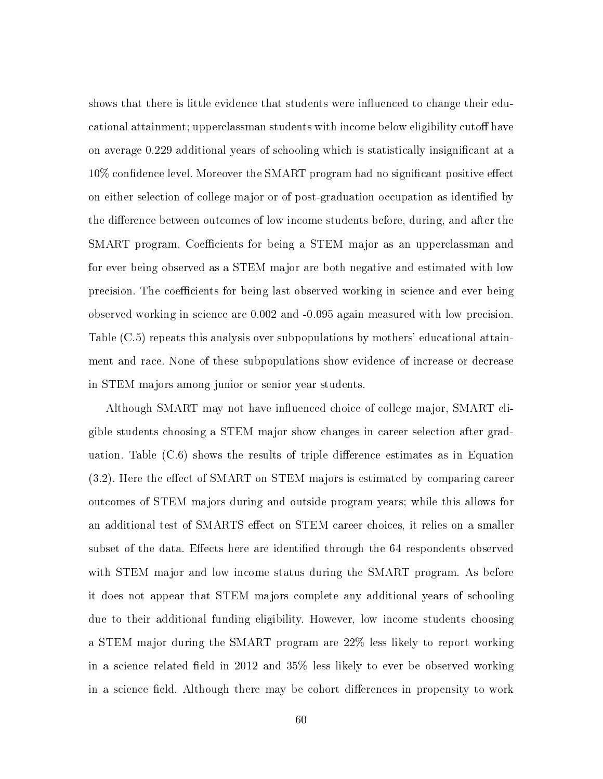shows that there is little evidence that students were influenced to change their educational attainment; upperclassman students with income below eligibility cutoff have on average 0.229 additional years of schooling which is statistically insignicant at a  $10\%$  confidence level. Moreover the SMART program had no significant positive effect on either selection of college major or of post-graduation occupation as identified by the difference between outcomes of low income students before, during, and after the SMART program. Coefficients for being a STEM major as an upperclassman and for ever being observed as a STEM major are both negative and estimated with low precision. The coefficients for being last observed working in science and ever being observed working in science are 0.002 and -0.095 again measured with low precision. Table (C.5) repeats this analysis over subpopulations by mothers' educational attainment and race. None of these subpopulations show evidence of increase or decrease in STEM majors among junior or senior year students.

Although SMART may not have influenced choice of college major, SMART eligible students choosing a STEM major show changes in career selection after graduation. Table  $(C.6)$  shows the results of triple difference estimates as in Equation  $(3.2)$ . Here the effect of SMART on STEM majors is estimated by comparing career outcomes of STEM majors during and outside program years; while this allows for an additional test of SMARTS effect on STEM career choices, it relies on a smaller subset of the data. Effects here are identified through the 64 respondents observed with STEM major and low income status during the SMART program. As before it does not appear that STEM majors complete any additional years of schooling due to their additional funding eligibility. However, low income students choosing a STEM major during the SMART program are 22% less likely to report working in a science related field in 2012 and  $35\%$  less likely to ever be observed working in a science field. Although there may be cohort differences in propensity to work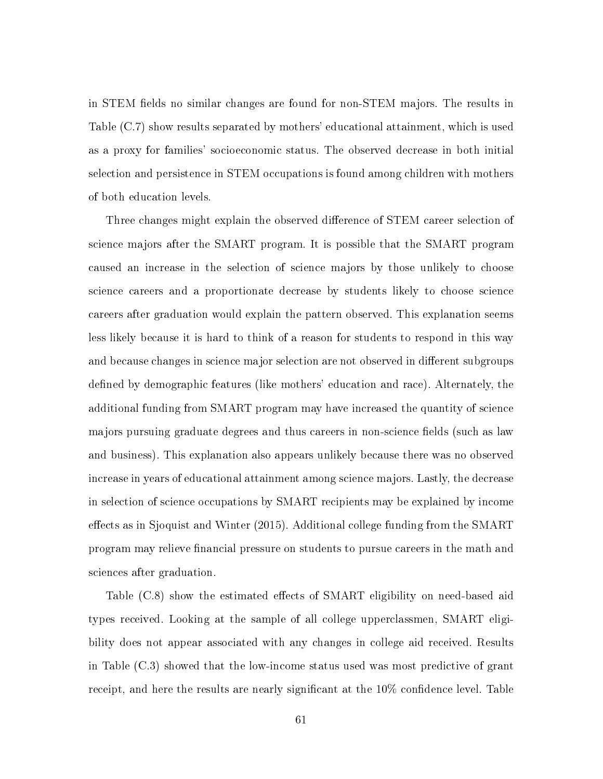in STEM fields no similar changes are found for non-STEM majors. The results in Table (C.7) show results separated by mothers' educational attainment, which is used as a proxy for families' socioeconomic status. The observed decrease in both initial selection and persistence in STEM occupations is found among children with mothers of both education levels.

Three changes might explain the observed difference of STEM career selection of science majors after the SMART program. It is possible that the SMART program caused an increase in the selection of science majors by those unlikely to choose science careers and a proportionate decrease by students likely to choose science careers after graduation would explain the pattern observed. This explanation seems less likely because it is hard to think of a reason for students to respond in this way and because changes in science major selection are not observed in different subgroups defined by demographic features (like mothers' education and race). Alternately, the additional funding from SMART program may have increased the quantity of science majors pursuing graduate degrees and thus careers in non-science fields (such as law and business). This explanation also appears unlikely because there was no observed increase in years of educational attainment among science majors. Lastly, the decrease in selection of science occupations by SMART recipients may be explained by income effects as in Sjoquist and Winter (2015). Additional college funding from the SMART program may relieve financial pressure on students to pursue careers in the math and sciences after graduation.

Table  $(C.8)$  show the estimated effects of SMART eligibility on need-based aid types received. Looking at the sample of all college upperclassmen, SMART eligibility does not appear associated with any changes in college aid received. Results in Table (C.3) showed that the low-income status used was most predictive of grant receipt, and here the results are nearly significant at the  $10\%$  confidence level. Table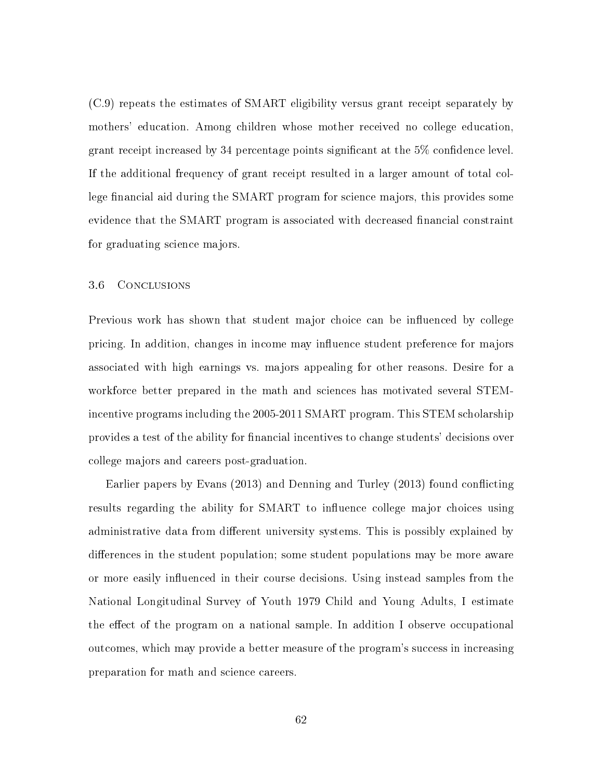(C.9) repeats the estimates of SMART eligibility versus grant receipt separately by mothers' education. Among children whose mother received no college education, grant receipt increased by 34 percentage points significant at the  $5\%$  confidence level. If the additional frequency of grant receipt resulted in a larger amount of total college financial aid during the SMART program for science majors, this provides some evidence that the SMART program is associated with decreased financial constraint for graduating science majors.

#### 3.6 Conclusions

Previous work has shown that student major choice can be influenced by college pricing. In addition, changes in income may influence student preference for majors associated with high earnings vs. majors appealing for other reasons. Desire for a workforce better prepared in the math and sciences has motivated several STEMincentive programs including the 2005-2011 SMART program. This STEM scholarship provides a test of the ability for financial incentives to change students' decisions over college majors and careers post-graduation.

Earlier papers by Evans (2013) and Denning and Turley (2013) found conflicting results regarding the ability for SMART to influence college major choices using administrative data from different university systems. This is possibly explained by differences in the student population; some student populations may be more aware or more easily influenced in their course decisions. Using instead samples from the National Longitudinal Survey of Youth 1979 Child and Young Adults, I estimate the effect of the program on a national sample. In addition I observe occupational outcomes, which may provide a better measure of the program's success in increasing preparation for math and science careers.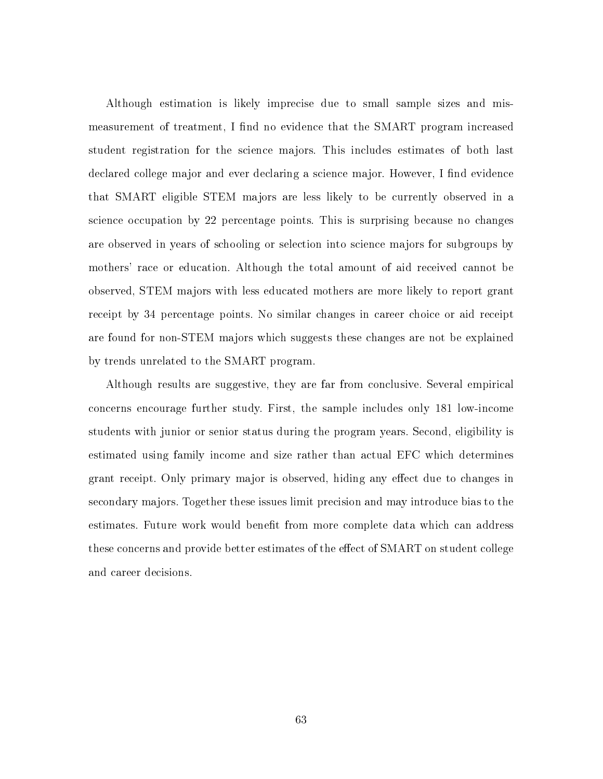Although estimation is likely imprecise due to small sample sizes and mismeasurement of treatment, I find no evidence that the SMART program increased student registration for the science majors. This includes estimates of both last declared college major and ever declaring a science major. However, I find evidence that SMART eligible STEM majors are less likely to be currently observed in a science occupation by 22 percentage points. This is surprising because no changes are observed in years of schooling or selection into science majors for subgroups by mothers' race or education. Although the total amount of aid received cannot be observed, STEM majors with less educated mothers are more likely to report grant receipt by 34 percentage points. No similar changes in career choice or aid receipt are found for non-STEM majors which suggests these changes are not be explained by trends unrelated to the SMART program.

Although results are suggestive, they are far from conclusive. Several empirical concerns encourage further study. First, the sample includes only 181 low-income students with junior or senior status during the program years. Second, eligibility is estimated using family income and size rather than actual EFC which determines grant receipt. Only primary major is observed, hiding any effect due to changes in secondary majors. Together these issues limit precision and may introduce bias to the estimates. Future work would benefit from more complete data which can address these concerns and provide better estimates of the effect of SMART on student college and career decisions.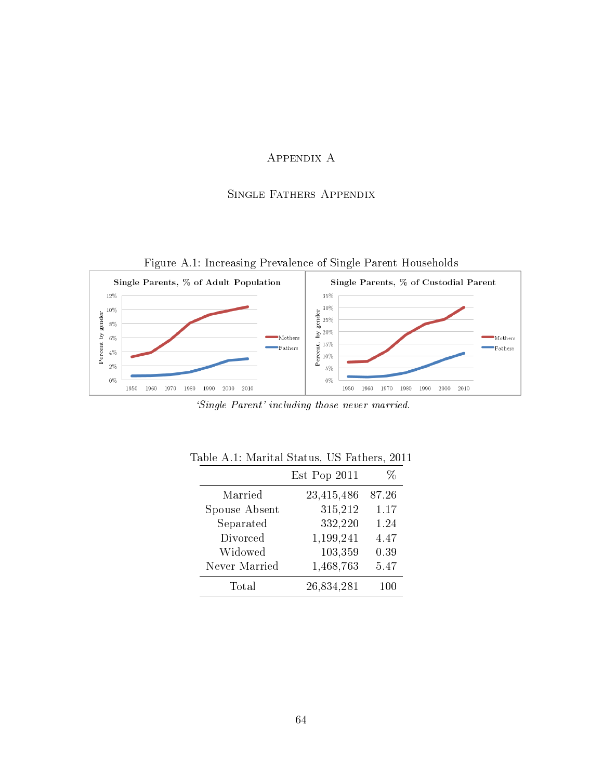# Appendix A

# Single Fathers Appendix

Figure A.1: Increasing Prevalence of Single Parent Households



`Single Parent' including those never married.

|               | Est Pop 2011 | %       |
|---------------|--------------|---------|
| Married       | 23,415,486   | 87.26   |
| Spouse Absent | 315,212      | 1.17    |
| Separated     | 332,220      | 1.24    |
| Divorced      | 1,199,241    | 4.47    |
| Widowed       | 103,359      | 0.39    |
| Never Married | 1,468,763    | 5.47    |
| Total         | 26,834,281   | $100\,$ |
|               |              |         |

|  |  | Table A.1: Marital Status. US Fathers. 2011 |  |
|--|--|---------------------------------------------|--|
|  |  |                                             |  |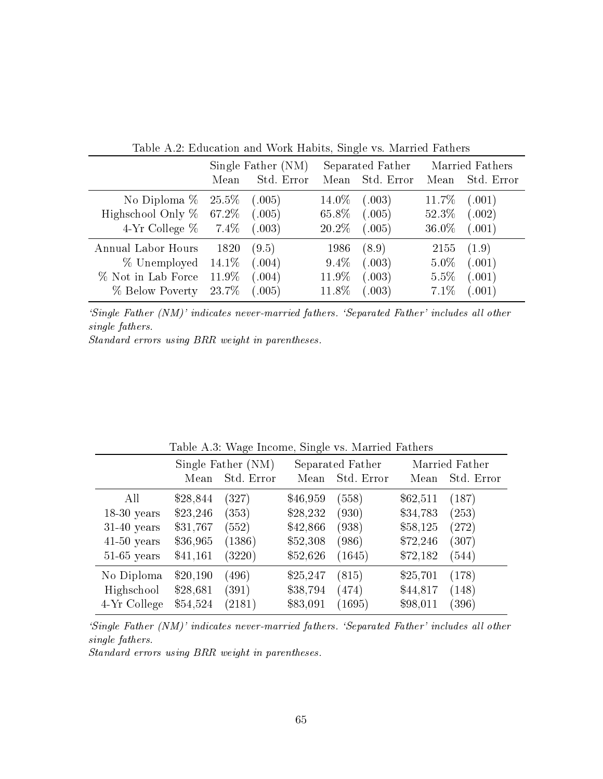|                        | Single Father (NM) |            | Separated Father |            | Married Fathers |            |
|------------------------|--------------------|------------|------------------|------------|-----------------|------------|
|                        | Mean               | Std. Error | Mean             | Std. Error | Mean            | Std. Error |
| No Diploma $%$         | $25.5\%$           | (.005)     | $14.0\%$         | (.003)     | 11.7\%          | (.001)     |
| Highschool Only %      | $67.2\%$           | (.005)     | 65.8%            | (.005)     | 52.3%           | (.002)     |
| 4-Yr College $\%$ 7.4% |                    | (.003)     | 20.2\%           | (.005)     | 36.0%           | (.001)     |
| Annual Labor Hours     | 1820               | (9.5)      | 1986             | (8.9)      | 2155            | (1.9)      |
| % Unemployed           | 14.1\%             | (.004)     | $9.4\%$          | (.003)     | $5.0\%$         | (.001)     |
| % Not in Lab Force     | 11.9%              | (.004)     | 11.9%            | (.003)     | 5.5%            | (.001)     |
| % Below Poverty        | 23.7%              | (.005)     | 11.8%            | (.003)     | 7.1%            | (.001)     |

Table A.2: Education and Work Habits, Single vs. Married Fathers

`Single Father (NM)' indicates never-married fathers. `Separated Father' includes all other single fathers.

Standard errors using BRR weight in parentheses.

|               |          | $\smile$                         | $\overline{\phantom{0}}$ |                                |          |                              |
|---------------|----------|----------------------------------|--------------------------|--------------------------------|----------|------------------------------|
|               | Mean     | Single Father (NM)<br>Std. Error | Mean                     | Separated Father<br>Std. Error | Mean     | Married Father<br>Std. Error |
| All           | \$28,844 | (327)                            | \$46,959                 | (558)                          | \$62,511 | (187)                        |
| $18-30$ years | \$23,246 | (353)                            | \$28,232                 | (930)                          | \$34,783 | (253)                        |
| $31-40$ years | \$31,767 | (552)                            | \$42,866                 | (938)                          | \$58,125 | $\left( 272\right)$          |
| $41-50$ years | \$36,965 | (1386)                           | \$52,308                 | (986)                          | \$72,246 | (307)                        |
| $51-65$ years | \$41,161 | (3220)                           | \$52,626                 | (1645)                         | \$72,182 | (544)                        |
| No Diploma    | \$20,190 | (496)                            | \$25,247                 | (815)                          | \$25,701 | (178)                        |
| Highschool    | \$28,681 | (391)                            | \$38,794                 | (474)                          | \$44,817 | (148)                        |
| 4-Yr College  | \$54,524 | (2181)                           | \$83,091                 | (1695)                         | \$98,011 | (396)                        |

Table A.3: Wage Income, Single vs. Married Fathers

`Single Father (NM)' indicates never-married fathers. `Separated Father' includes all other single fathers.

Standard errors using BRR weight in parentheses.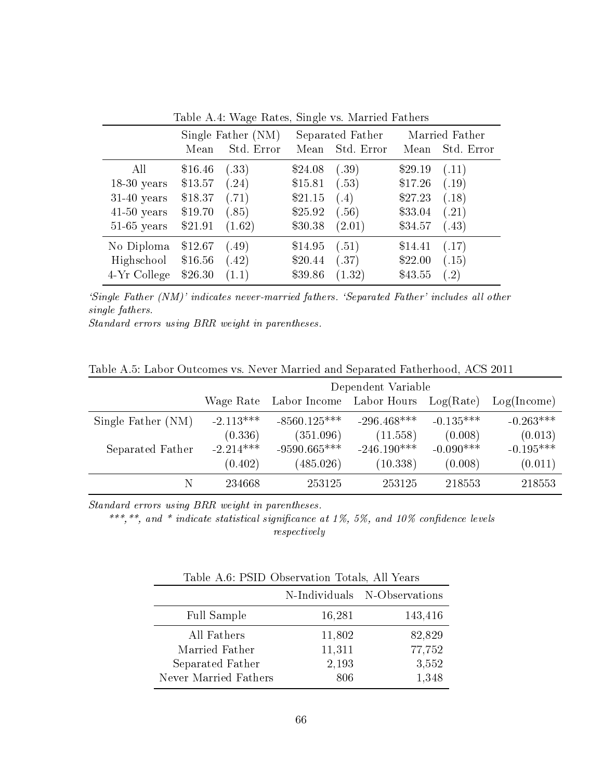|               |                    | rapio II.I. Tiago Itatopi phigio Tb. Manhod Itation |                  |            |                |            |
|---------------|--------------------|-----------------------------------------------------|------------------|------------|----------------|------------|
|               | Single Father (NM) |                                                     | Separated Father |            | Married Father |            |
|               | Mean               | Std. Error                                          | Mean             | Std. Error | Mean           | Std. Error |
| All           | \$16.46            | (.33)                                               | \$24.08          | (.39)      | \$29.19        | (.11)      |
| $18-30$ years | \$13.57            | (.24)                                               | \$15.81          | (.53)      | \$17.26        | (.19)      |
| $31-40$ years | \$18.37            | (.71)                                               | \$21.15          | (.4)       | \$27.23        | (.18)      |
| $41-50$ years | \$19.70            | (.85)                                               | \$25.92          | (.56)      | \$33.04        | (.21)      |
| $51-65$ years | \$21.91            | (1.62)                                              | \$30.38          | (2.01)     | \$34.57        | (.43)      |
| No Diploma    | \$12.67            | (.49)                                               | \$14.95          | (.51)      | \$14.41        | (.17)      |
| Highschool    | \$16.56            | (.42)                                               | \$20.44          | (.37)      | \$22.00        | (.15)      |
| 4-Yr College  | \$26.30            | (1.1)                                               | \$39.86          | (1.32)     | \$43.55        | (.2)       |

Table A.4: Wage Rates, Single vs. Married Fathers

`Single Father (NM)' indicates never-married fathers. `Separated Father' includes all other single fathers.

Standard errors using BRR weight in parentheses.

Table A.5: Labor Outcomes vs. Never Married and Separated Fatherhood, ACS 2011

|                    | Dependent Variable |                                              |               |             |             |  |
|--------------------|--------------------|----------------------------------------------|---------------|-------------|-------------|--|
|                    |                    | Wage Rate Labor Income Labor Hours Log(Rate) |               |             | Log(Income) |  |
| Single Father (NM) | $-2.113***$        | $-8560.125***$                               | $-296.468***$ | $-0.135***$ | $-0.263***$ |  |
|                    | (0.336)            | (351.096)                                    | (11.558)      | (0.008)     | (0.013)     |  |
| Separated Father   | $-2.214***$        | $-9590.665***$                               | $-246.190***$ | $-0.090***$ | $-0.195***$ |  |
|                    | (0.402)            | (485.026)                                    | (10.338)      | (0.008)     | (0.011)     |  |
|                    | 234668             | 253125                                       | 253125        | 218553      | 218553      |  |

Standard errors using BRR weight in parentheses.

\*\*\*,\*\*, and \* indicate statistical significance at 1%, 5%, and 10% confidence levels respectively

Table A.6: PSID Observation Totals, All Years

|                       |        | N-Individuals N-Observations |
|-----------------------|--------|------------------------------|
| Full Sample           | 16,281 | 143,416                      |
| All Fathers           | 11,802 | 82,829                       |
| Married Father        | 11,311 | 77,752                       |
| Separated Father      | 2,193  | 3,552                        |
| Never Married Fathers | 806    | 1,348                        |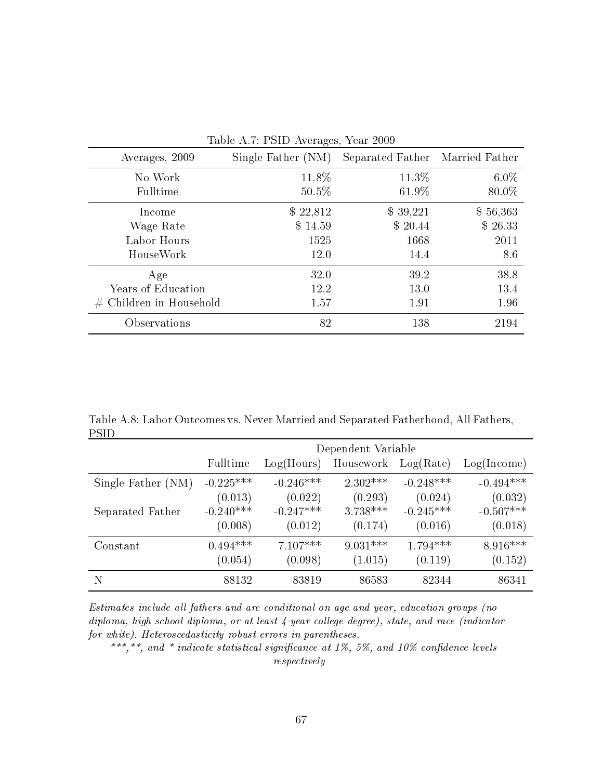| $1a$ bic $1$ I bill $1$ wciages, Ical 2009 |                    |                                 |          |  |  |  |  |
|--------------------------------------------|--------------------|---------------------------------|----------|--|--|--|--|
| Averages, 2009                             | Single Father (NM) | Separated Father Married Father |          |  |  |  |  |
| No Work                                    | 11.8%              | $11.3\%$                        | $6.0\%$  |  |  |  |  |
| Fulltime                                   | 50.5%              | 61.9%                           | 80.0%    |  |  |  |  |
| Income                                     | \$22,812           | \$39,221                        | \$56,363 |  |  |  |  |
| Wage Rate                                  | \$14.59            | \$20.44                         | \$26.33  |  |  |  |  |
| Labor Hours                                | 1525               | 1668                            | 2011     |  |  |  |  |
| HouseWork                                  | 12.0               | 14.4                            | 8.6      |  |  |  |  |
| Age                                        | 32.0               | 39.2                            | 38.8     |  |  |  |  |
| Years of Education                         | 12.2               | 13.0                            | 13.4     |  |  |  |  |
| $#$ Children in Household                  | 1.57               | 1.91                            | 1.96     |  |  |  |  |
| Observations                               | 82                 | 138                             | 2194     |  |  |  |  |

Table A.7: PSID Averages, Year 2009

Table A.8: Labor Outcomes vs. Never Married and Separated Fatherhood, All Fathers, PSID

|                    | Dependent Variable |             |            |             |             |  |
|--------------------|--------------------|-------------|------------|-------------|-------------|--|
|                    | Fulltime           | Log(Hours)  | Housework  | Log(Rate)   | Log(Income) |  |
| Single Father (NM) | $-0.225***$        | $-0.246***$ | $2.302***$ | $-0.248***$ | $-0.494***$ |  |
|                    | (0.013)            | (0.022)     | (0.293)    | (0.024)     | (0.032)     |  |
| Separated Father   | $-0.240***$        | $-0.247***$ | $3.738***$ | $-0.245***$ | $-0.507***$ |  |
|                    | (0.008)            | (0.012)     | (0.174)    | (0.016)     | (0.018)     |  |
| Constant           | $0.494***$         | $7.107***$  | $9.031***$ | $1.794***$  | $8.916***$  |  |
|                    | (0.054)            | (0.098)     | (1.015)    | (0.119)     | (0.152)     |  |
| N                  | 88132              | 83819       | 86583      | 82344       | 86341       |  |

Estimates include all fathers and are conditional on age and year, education groups (no diploma, high school diploma, or at least 4-year college degree), state, and race (indicator for white). Heteroscedasticity robust errors in parentheses.

\*\*\*,\*\*, and \* indicate statistical significance at 1%, 5%, and 10% confidence levels respectively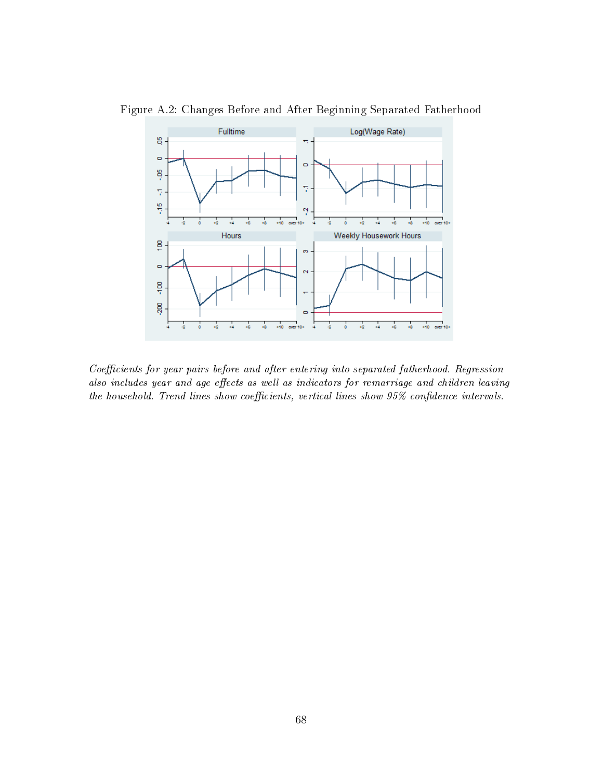

Figure A.2: Changes Before and After Beginning Separated Fatherhood

Coefficients for year pairs before and after entering into separated fatherhood. Regression also includes year and age effects as well as indicators for remarriage and children leaving the household. Trend lines show coefficients, vertical lines show  $95\%$  confidence intervals.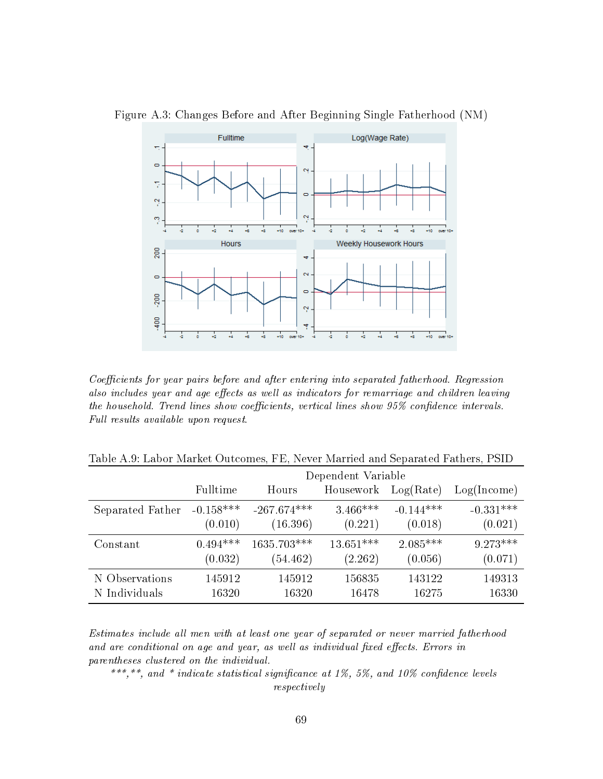

Figure A.3: Changes Before and After Beginning Single Fatherhood (NM)

Coefficients for year pairs before and after entering into separated fatherhood. Regression also includes year and age effects as well as indicators for remarriage and children leaving the household. Trend lines show coefficients, vertical lines show  $95\%$  confidence intervals. Full results available upon request.

Table A.9: Labor Market Outcomes, FE, Never Married and Separated Fathers, PSID

|                  | Dependent Variable |               |             |             |             |  |
|------------------|--------------------|---------------|-------------|-------------|-------------|--|
|                  | Fulltime           | Hours         | Housework   | Log(Rate)   | Log(Income) |  |
| Separated Father | $-0.158***$        | $-267.674***$ | $3.466***$  | $-0.144***$ | $-0.331***$ |  |
|                  | (0.010)            | (16.396)      | (0.221)     | (0.018)     | (0.021)     |  |
| Constant         | $0.494***$         | $1635.703***$ | $13.651***$ | $2.085***$  | $9.273***$  |  |
|                  | (0.032)            | (54.462)      | (2.262)     | (0.056)     | (0.071)     |  |
| N Observations   | 145912             | 145912        | 156835      | 143122      | 149313      |  |
| N Individuals    | 16320              | 16320         | 16478       | 16275       | 16330       |  |

Estimates include all men with at least one year of separated or never married fatherhood and are conditional on age and year, as well as individual fixed effects. Errors in parentheses clustered on the individual.

\*\*\*,\*\*, and \* indicate statistical significance at 1%, 5%, and 10% confidence levels respectively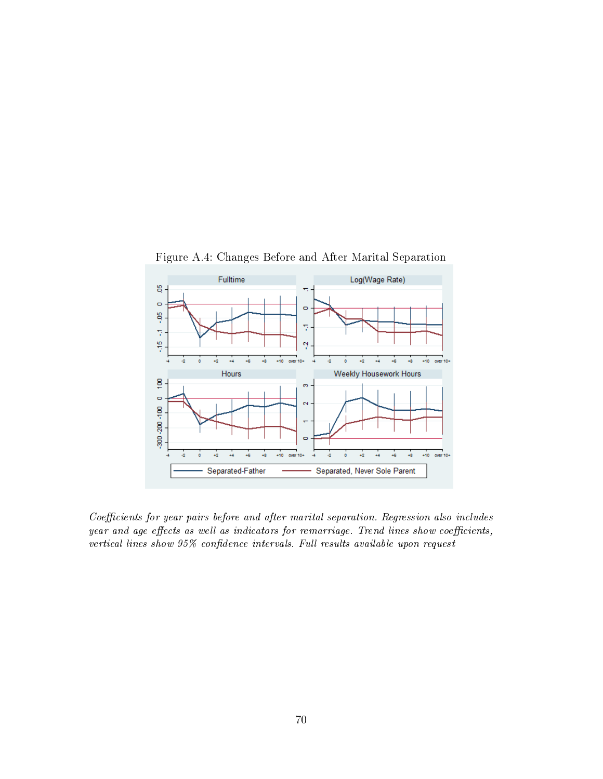

Figure A.4: Changes Before and After Marital Separation

Coefficients for year pairs before and after marital separation. Regression also includes year and age effects as well as indicators for remarriage. Trend lines show coefficients, vertical lines show  $95\%$  confidence intervals. Full results available upon request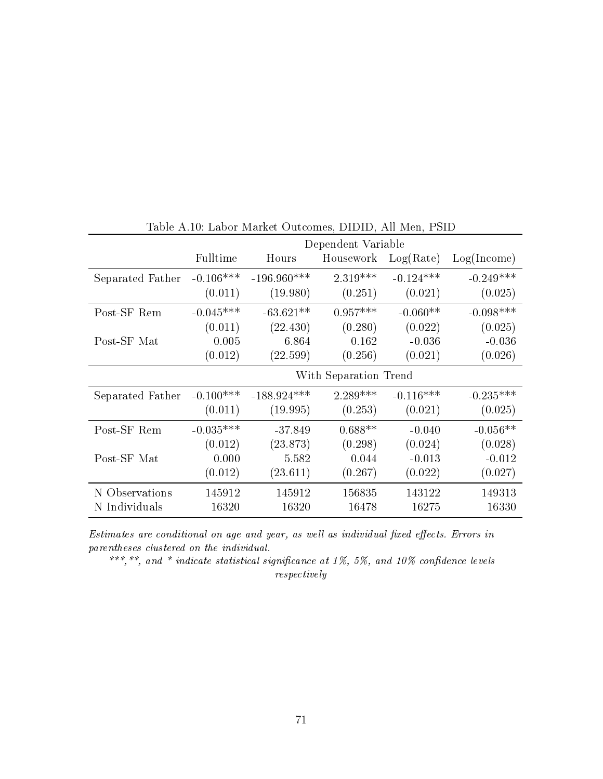|                  | Dependent Variable |               |                       |             |             |
|------------------|--------------------|---------------|-----------------------|-------------|-------------|
|                  | Fulltime           | Hours         | Housework             | Log(Rate)   | Log(Income) |
| Separated Father | $-0.106***$        | $-196.960***$ | $2.319***$            | $-0.124***$ | $-0.249***$ |
|                  | (0.011)            | (19.980)      | (0.251)               | (0.021)     | (0.025)     |
| Post-SF Rem      | $-0.045***$        | $-63.621**$   | $0.957***$            | $-0.060**$  | $-0.098***$ |
|                  | (0.011)            | (22.430)      | (0.280)               | (0.022)     | (0.025)     |
| Post-SF Mat      | 0.005              | 6.864         | 0.162                 | $-0.036$    | $-0.036$    |
|                  | (0.012)            | (22.599)      | (0.256)               | (0.021)     | (0.026)     |
|                  |                    |               | With Separation Trend |             |             |
| Separated Father | $-0.100***$        | $-188.924***$ | $2.289***$            | $-0.116***$ | $-0.235***$ |
|                  | (0.011)            | (19.995)      | (0.253)               | (0.021)     | (0.025)     |
| Post-SF Rem      | $-0.035***$        | $-37.849$     | $0.688**$             | $-0.040$    | $-0.056**$  |
|                  | (0.012)            | (23.873)      | (0.298)               | (0.024)     | (0.028)     |
| Post-SF Mat      | 0.000              | 5.582         | 0.044                 | $-0.013$    | $-0.012$    |
|                  | (0.012)            | (23.611)      | (0.267)               | (0.022)     | (0.027)     |
| N Observations   | 145912             | 145912        | 156835                | 143122      | 149313      |
| N Individuals    | 16320              | 16320         | 16478                 | 16275       | 16330       |

Table A.10: Labor Market Outcomes, DIDID, All Men, PSID

Estimates are conditional on age and year, as well as individual fixed effects. Errors in parentheses clustered on the individual.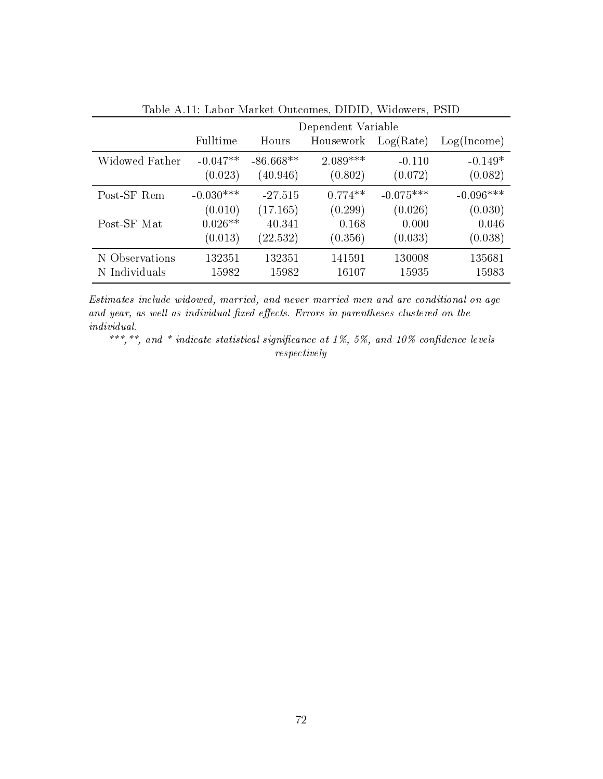|                | Dependent Variable |             |            |             |             |  |
|----------------|--------------------|-------------|------------|-------------|-------------|--|
|                | Fulltime           | Hours       | Housework  | Log(Rate)   | Log(Income) |  |
| Widowed Father | $-0.047**$         | $-86.668**$ | $2.089***$ | $-0.110$    | $-0.149*$   |  |
|                | (0.023)            | (40.946)    | (0.802)    | (0.072)     | (0.082)     |  |
| Post-SF Rem    | $-0.030***$        | $-27.515$   | $0.774**$  | $-0.075***$ | $-0.096***$ |  |
|                | (0.010)            | (17.165)    | (0.299)    | (0.026)     | (0.030)     |  |
| Post-SF Mat    | $0.026**$          | 40.341      | 0.168      | 0.000       | 0.046       |  |
|                | (0.013)            | (22.532)    | (0.356)    | (0.033)     | (0.038)     |  |
| N Observations | 132351             | 132351      | 141591     | 130008      | 135681      |  |
| N Individuals  | 15982              | 15982       | 16107      | 15935       | 15983       |  |

Table A.11: Labor Market Outcomes, DIDID, Widowers, PSID

Estimates include widowed, married, and never married men and are conditional on age and year, as well as individual fixed effects. Errors in parentheses clustered on the individual.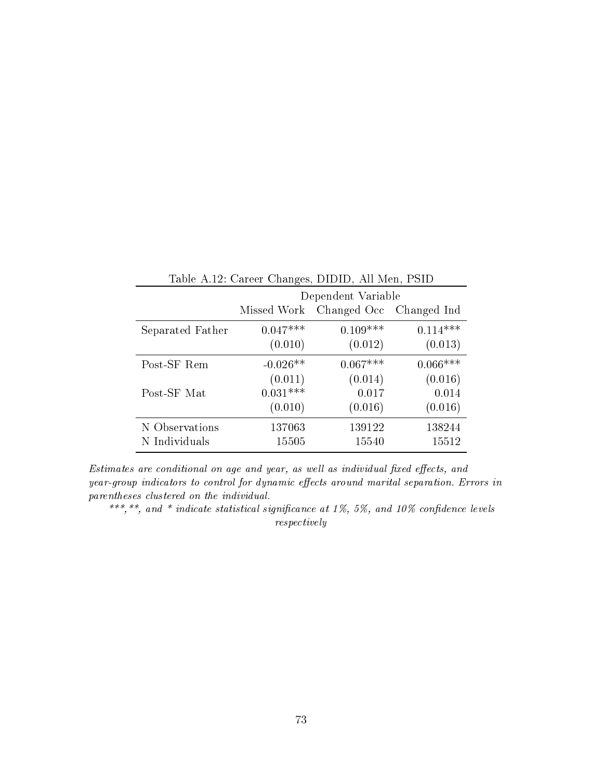| Table A.12: Career Changes, DIDID, All Men, PSID |             |                    |             |  |  |
|--------------------------------------------------|-------------|--------------------|-------------|--|--|
|                                                  |             | Dependent Variable |             |  |  |
|                                                  | Missed Work | Changed Occ        | Changed Ind |  |  |
| Separated Father                                 | $0.047***$  | $0.109***$         | $0.114***$  |  |  |
|                                                  | (0.010)     | (0.012)            | (0.013)     |  |  |
| Post-SF Rem                                      | $-0.026**$  | $0.067***$         | $0.066***$  |  |  |
|                                                  | (0.011)     | (0.014)            | (0.016)     |  |  |
| Post-SF Mat                                      | $0.031***$  | 0.017              | 0.014       |  |  |
|                                                  | (0.010)     | (0.016)            | (0.016)     |  |  |
| N Observations                                   | 137063      | 139122             | 138244      |  |  |
| N Individuals                                    | 15505       | 15540              | 15512       |  |  |

 $Estimates$  are conditional on age and year, as well as individual fixed effects, and  $year-group\ indicators\ to\ control\ for\ dynamic\ effects\ around\ married\ separation.\ Errors\ in$ parentheses clustered on the individual.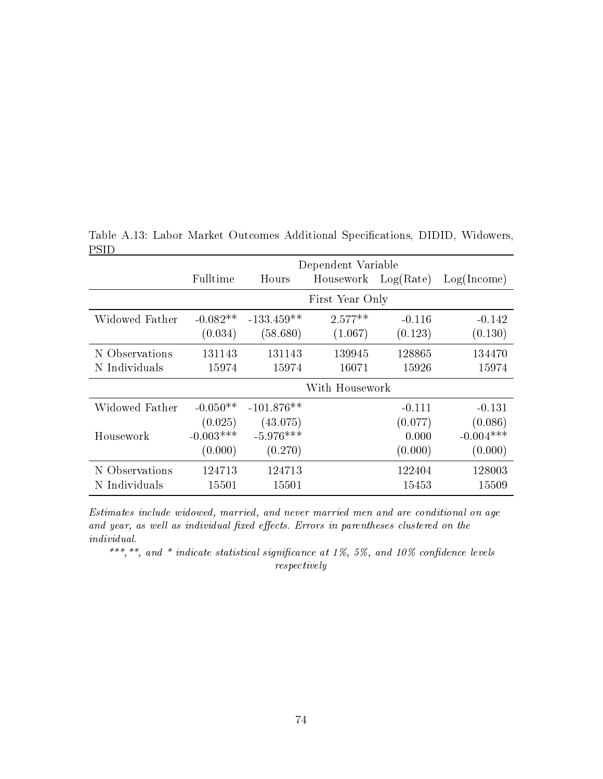|                | Dependent Variable |              |                     |          |             |  |
|----------------|--------------------|--------------|---------------------|----------|-------------|--|
|                | Fulltime           | Hours        | Housework Log(Rate) |          | Log(Income) |  |
|                |                    |              | First Year Only     |          |             |  |
| Widowed Father | $-0.082**$         | $-133.459**$ | $2.577**$           | $-0.116$ | $-0.142$    |  |
|                | (0.034)            | (58.680)     | (1.067)             | (0.123)  | (0.130)     |  |
| N Observations | 131143             | 131143       | 139945              | 128865   | 134470      |  |
| N Individuals  | 15974              | 15974        | 16071               | 15926    | 15974       |  |
|                |                    |              | With Housework      |          |             |  |
| Widowed Father | $-0.050**$         | $-101.876**$ |                     | $-0.111$ | $-0.131$    |  |
|                | (0.025)            | (43.075)     |                     | (0.077)  | (0.086)     |  |
| Housework      | $-0.003***$        | $-5.976***$  |                     | 0.000    | $-0.004***$ |  |
|                | (0.000)            | (0.270)      |                     | (0.000)  | (0.000)     |  |
| N Observations | 124713             | 124713       |                     | 122404   | 128003      |  |
| N Individuals  | 15501              | 15501        |                     | 15453    | 15509       |  |

Table A.13: Labor Market Outcomes Additional Specifications, DIDID, Widowers, PSID

Estimates include widowed, married, and never married men and are conditional on age and year, as well as individual fixed effects. Errors in parentheses clustered on the individual.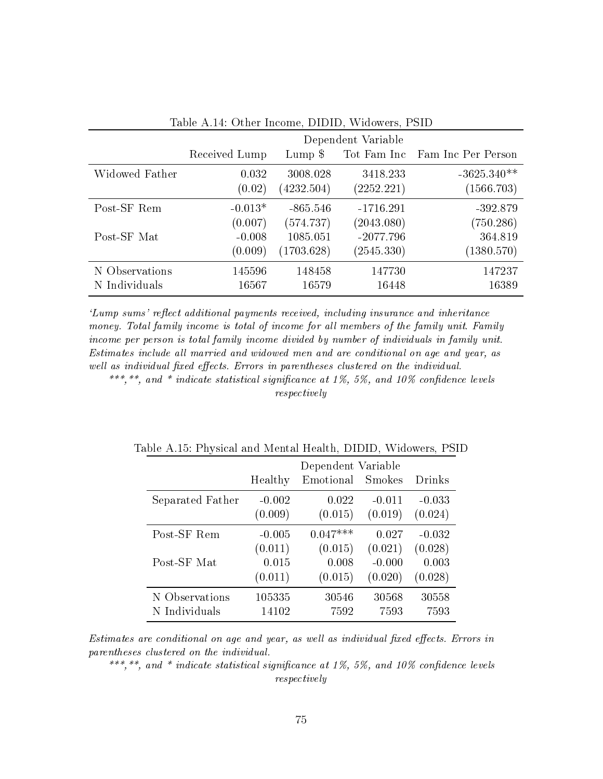| rasie inin stani mesmet bibibi trastere, i sib |               |                    |             |                    |  |  |  |  |
|------------------------------------------------|---------------|--------------------|-------------|--------------------|--|--|--|--|
|                                                |               | Dependent Variable |             |                    |  |  |  |  |
|                                                | Received Lump | Lump $\$           | Tot Fam Inc | Fam Inc Per Person |  |  |  |  |
| Widowed Father                                 | 0.032         | 3008.028           | 3418.233    | $-3625.340**$      |  |  |  |  |
|                                                | (0.02)        | (4232.504)         | (2252.221)  | (1566.703)         |  |  |  |  |
| Post-SF Rem                                    | $-0.013*$     | $-865.546$         | $-1716.291$ | $-392.879$         |  |  |  |  |
|                                                | (0.007)       | (574.737)          | (2043.080)  | (750.286)          |  |  |  |  |
| Post-SF Mat                                    | $-0.008$      | 1085.051           | $-2077.796$ | 364.819            |  |  |  |  |
|                                                | (0.009)       | (1703.628)         | (2545.330)  | (1380.570)         |  |  |  |  |
| N Observations                                 | 145596        | 148458             | 147730      | 147237             |  |  |  |  |
| N Individuals                                  | 16567         | 16579              | 16448       | 16389              |  |  |  |  |

Table A.14: Other Income, DIDID, Widowers, PSID

'Lump sums' reflect additional payments received, including insurance and inheritance money. Total family income is total of income for all members of the family unit. Family income per person is total family income divided by number of individuals in family unit. Estimates include all married and widowed men and are conditional on age and year, as well as individual fixed effects. Errors in parentheses clustered on the individual.

\*\*\*,\*\*, and \* indicate statistical significance at 1%, 5%, and 10% confidence levels respectively

|                  |          | Dependent Variable |               |          |
|------------------|----------|--------------------|---------------|----------|
|                  | Healthy  | Emotional          | <b>Smokes</b> | Drinks   |
| Separated Father | $-0.002$ | 0.022              | $-0.011$      | $-0.033$ |
|                  | (0.009)  | (0.015)            | (0.019)       | (0.024)  |
| Post-SF Rem      | $-0.005$ | $0.047***$         | 0.027         | $-0.032$ |
| Post-SF Mat      | (0.011)  | (0.015)            | (0.021)       | (0.028)  |
|                  | 0.015    | 0.008              | $-0.000$      | 0.003    |
|                  | (0.011)  | (0.015)            | (0.020)       | (0.028)  |
| N Observations   | 105335   | 30546              | 30568         | 30558    |
| N Individuals    | 14102    | 7592               | 7593          | 7593     |

Table A.15: Physical and Mental Health, DIDID, Widowers, PSID

Estimates are conditional on age and year, as well as individual fixed effects. Errors in parentheses clustered on the individual.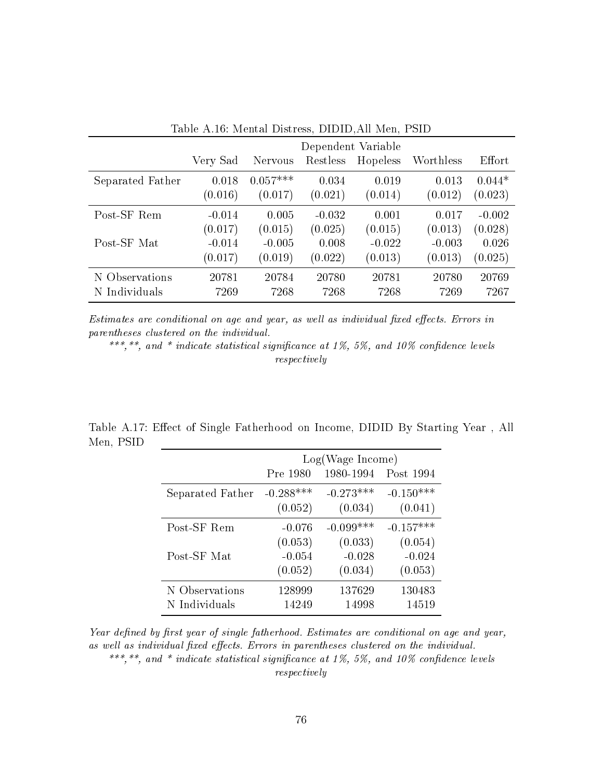|                  | 10010 11.10. SIGNON DRUGO 000, DIDIDIN SIGNI, I 01D |            |          |                    |           |          |  |
|------------------|-----------------------------------------------------|------------|----------|--------------------|-----------|----------|--|
|                  |                                                     |            |          | Dependent Variable |           |          |  |
|                  | Very Sad                                            | Nervous    | Restless | Hopeless           | Worthless | Effort   |  |
| Separated Father | 0.018                                               | $0.057***$ | 0.034    | 0.019              | 0.013     | $0.044*$ |  |
|                  | (0.016)                                             | (0.017)    | (0.021)  | (0.014)            | (0.012)   | (0.023)  |  |
| Post-SF Rem      | $-0.014$                                            | 0.005      | $-0.032$ | 0.001              | 0.017     | $-0.002$ |  |
|                  | (0.017)                                             | (0.015)    | (0.025)  | (0.015)            | (0.013)   | (0.028)  |  |
| Post-SF Mat      | $-0.014$                                            | $-0.005$   | 0.008    | $-0.022$           | $-0.003$  | 0.026    |  |
|                  | (0.017)                                             | (0.019)    | (0.022)  | (0.013)            | (0.013)   | (0.025)  |  |
| N Observations   | 20781                                               | 20784      | 20780    | 20781              | 20780     | 20769    |  |
| N Individuals    | 7269                                                | 7268       | 7268     | 7268               | 7269      | 7267     |  |

Table A.16: Mental Distress, DIDID,All Men, PSID

Estimates are conditional on age and year, as well as individual fixed effects. Errors in parentheses clustered on the individual.

\*\*\*,\*\*, and \* indicate statistical significance at 1%, 5%, and 10% confidence levels respectively

|           |  |  | Table A.17: Effect of Single Fatherhood on Income, DIDID By Starting Year, All |  |  |  |
|-----------|--|--|--------------------------------------------------------------------------------|--|--|--|
| Men, PSID |  |  |                                                                                |  |  |  |

|                  | Log(Wage Income) |             |             |  |  |
|------------------|------------------|-------------|-------------|--|--|
|                  | Pre 1980         | 1980-1994   | Post 1994   |  |  |
| Separated Father | $-0.288***$      | $-0.273***$ | $-0.150***$ |  |  |
|                  | (0.052)          | (0.034)     | (0.041)     |  |  |
| Post-SF Rem      | $-0.076$         | $-0.099***$ | $-0.157***$ |  |  |
|                  | (0.053)          | (0.033)     | (0.054)     |  |  |
| Post-SF Mat      | $-0.054$         | $-0.028$    | $-0.024$    |  |  |
|                  | (0.052)          | (0.034)     | (0.053)     |  |  |
| N Observations   | 128999           | 137629      | 130483      |  |  |
| N Individuals    | 14249            | 14998       | 14519       |  |  |

Year defined by first year of single fatherhood. Estimates are conditional on age and year, as well as individual fixed effects. Errors in parentheses clustered on the individual. \*\*\*,\*\*, and \* indicate statistical significance at 1%, 5%, and 10% confidence levels respectively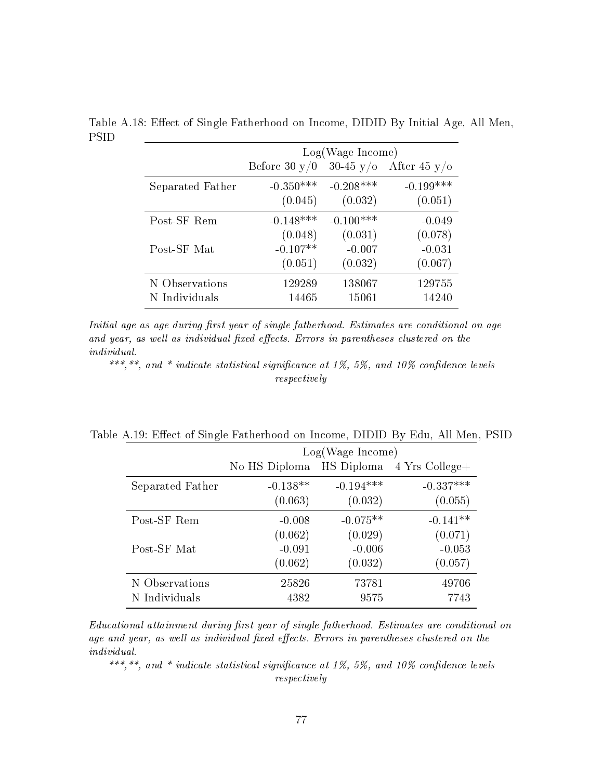|                  | Log(Wage Income) |                     |                     |  |  |  |
|------------------|------------------|---------------------|---------------------|--|--|--|
|                  | Before 30 $y/0$  | $30-45 \text{ y/o}$ | After 45 $y/\sigma$ |  |  |  |
| Separated Father | $-0.350***$      | $-0.208***$         | $-0.199***$         |  |  |  |
|                  | (0.045)          | (0.032)             | (0.051)             |  |  |  |
| Post-SF Rem      | $-0.148***$      | $-0.100***$         | $-0.049$            |  |  |  |
|                  | (0.048)          | (0.031)             | (0.078)             |  |  |  |
| Post-SF Mat      | $-0.107**$       | $-0.007$            | $-0.031$            |  |  |  |
|                  | (0.051)          | (0.032)             | (0.067)             |  |  |  |
| N Observations   | 129289           | 138067              | 129755              |  |  |  |
| N Individuals    | 14465            | 15061               | 14240               |  |  |  |

Table A.18: Effect of Single Fatherhood on Income, DIDID By Initial Age, All Men, PSID

Initial age as age during first year of single fatherhood. Estimates are conditional on age and year, as well as individual fixed effects. Errors in parentheses clustered on the individual.

\*\*\*,\*\*, and \* indicate statistical significance at 1%, 5%, and 10% confidence levels respectively

|                  |               | Log(Wage Income) |                                     |  |  |  |
|------------------|---------------|------------------|-------------------------------------|--|--|--|
|                  | No HS Diploma |                  | $\text{HS}$ Diploma 4 Yrs College + |  |  |  |
| Separated Father | $-0.138**$    | $-0.194***$      | $-0.337***$                         |  |  |  |
|                  | (0.063)       | (0.032)          | (0.055)                             |  |  |  |
| Post-SF Rem      | $-0.008$      | $-0.075**$       | $-0.141**$                          |  |  |  |
|                  | (0.062)       | (0.029)          | (0.071)                             |  |  |  |
| Post-SF Mat      | $-0.091$      | $-0.006$         | $-0.053$                            |  |  |  |
|                  | (0.062)       | (0.032)          | (0.057)                             |  |  |  |
| N Observations   | 25826         | 73781            | 49706                               |  |  |  |
| N Individuals    | 4382          | 9575             | 7743                                |  |  |  |

Table A.19: Effect of Single Fatherhood on Income, DIDID By Edu, All Men, PSID

Educational attainment during first year of single fatherhood. Estimates are conditional on age and year, as well as individual fixed effects. Errors in parentheses clustered on the individual.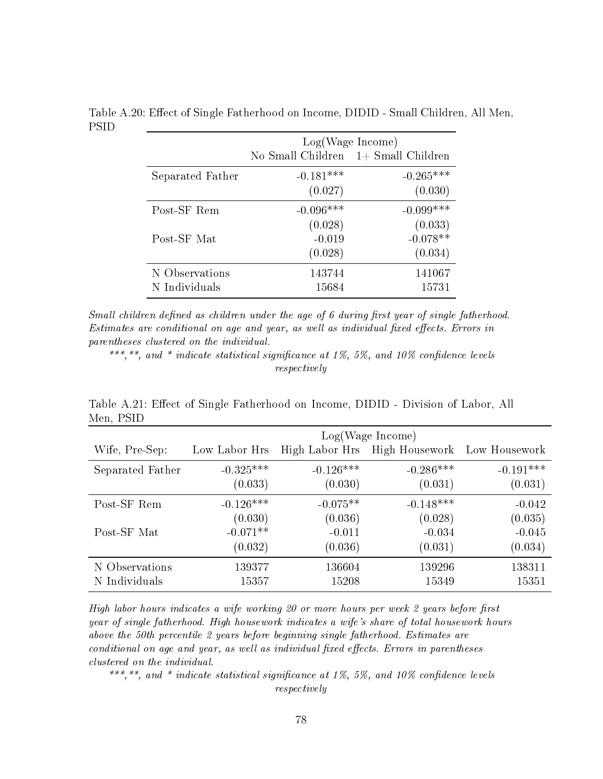|                  | Log(Wage Income)                      |             |  |  |  |
|------------------|---------------------------------------|-------------|--|--|--|
|                  | No Small Children $1+$ Small Children |             |  |  |  |
| Separated Father | $-0.181***$                           | $-0.265***$ |  |  |  |
|                  | (0.027)                               | (0.030)     |  |  |  |
| Post-SF Rem      | $-0.096***$                           | $-0.099***$ |  |  |  |
|                  | (0.028)                               | (0.033)     |  |  |  |
| Post-SF Mat      | $-0.019$                              | $-0.078**$  |  |  |  |
|                  | (0.028)                               | (0.034)     |  |  |  |
| N Observations   | 143744                                | 141067      |  |  |  |
| N Individuals    | 15684                                 | 15731       |  |  |  |

Table A.20: Effect of Single Fatherhood on Income, DIDID - Small Children, All Men, PSID

Small children defined as children under the age of 6 during first year of single fatherhood. Estimates are conditional on age and year, as well as individual fixed effects. Errors in parentheses clustered on the individual.

\*\*\*,\*\*, and \* indicate statistical significance at 1%, 5%, and 10% confidence levels respectively

|                  | Log(Wage Income) |                |                              |             |  |  |
|------------------|------------------|----------------|------------------------------|-------------|--|--|
| Wife, Pre-Sep:   | Low Labor Hrs    | High Labor Hrs | High Housework Low Housework |             |  |  |
| Separated Father | $-0.325***$      | $-0.126***$    | $-0.286***$                  | $-0.191***$ |  |  |
|                  | (0.033)          | (0.030)        | (0.031)                      | (0.031)     |  |  |
| Post-SF Rem      | $-0.126***$      | $-0.075**$     | $-0.148***$                  | $-0.042$    |  |  |
|                  | (0.030)          | (0.036)        | (0.028)                      | (0.035)     |  |  |
| Post-SF Mat      | $-0.071**$       | $-0.011$       | $-0.034$                     | $-0.045$    |  |  |
|                  | (0.032)          | (0.036)        | (0.031)                      | (0.034)     |  |  |
| N Observations   | 139377           | 136604         | 139296                       | 138311      |  |  |
| N Individuals    | 15357            | 15208          | 15349                        | 15351       |  |  |

Table A.21: Effect of Single Fatherhood on Income, DIDID - Division of Labor, All Men, PSID

High labor hours indicates a wife working  $20$  or more hours per week  $2$  years before first year of single fatherhood. High housework indicates a wife's share of total housework hours above the 50th percentile 2 years before beginning single fatherhood. Estimates are conditional on age and year, as well as individual fixed effects. Errors in parentheses clustered on the individual.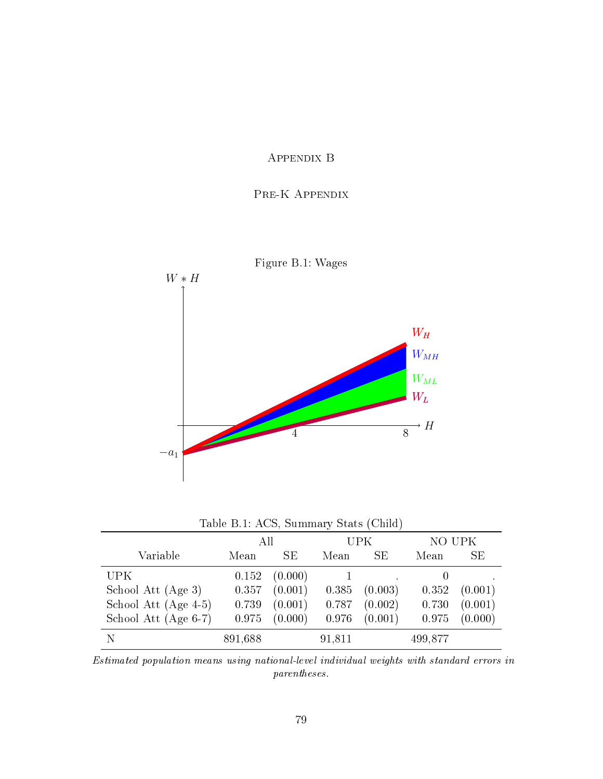## Appendix B

#### Pre-K Appendix



| Table B.1: ACS, Summary Stats (Child) |         |           |        |         |         |           |
|---------------------------------------|---------|-----------|--------|---------|---------|-----------|
|                                       | All     |           |        | UPK     | NO UPK  |           |
| Variable                              | Mean    | <b>SE</b> | Mean   | SE      | Mean    | <b>SE</b> |
| UPK                                   | 0.152   | (0.000)   |        |         |         |           |
| School Att (Age 3)                    | 0.357   | (0.001)   | 0.385  | (0.003) | 0.352   | (0.001)   |
| School Att $(Age 4-5)$                | 0.739   | (0.001)   | 0.787  | (0.002) | 0.730   | (0.001)   |
| School Att (Age 6-7)                  | 0.975   | (0.000)   | 0.976  | (0.001) | 0.975   | (0.000)   |
|                                       | 891,688 |           | 91,811 |         | 499,877 |           |

Estimated population means using national-level individual weights with standard errors in parentheses.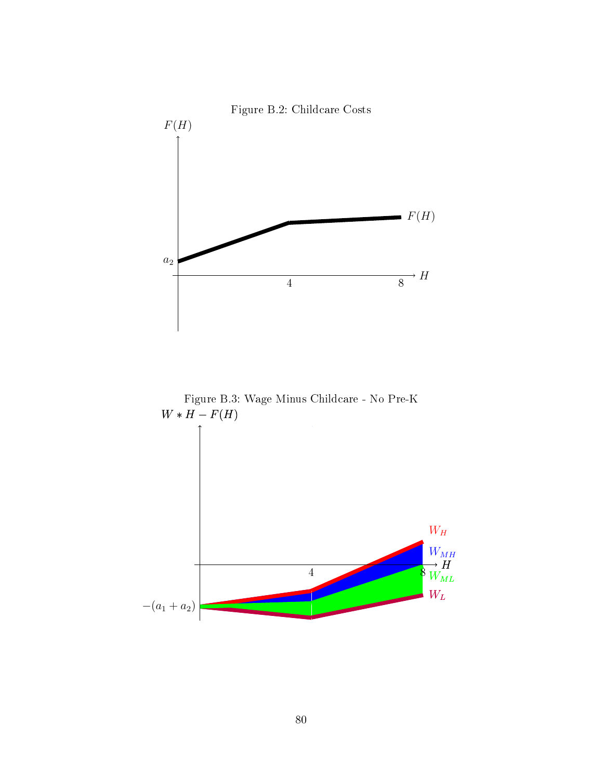



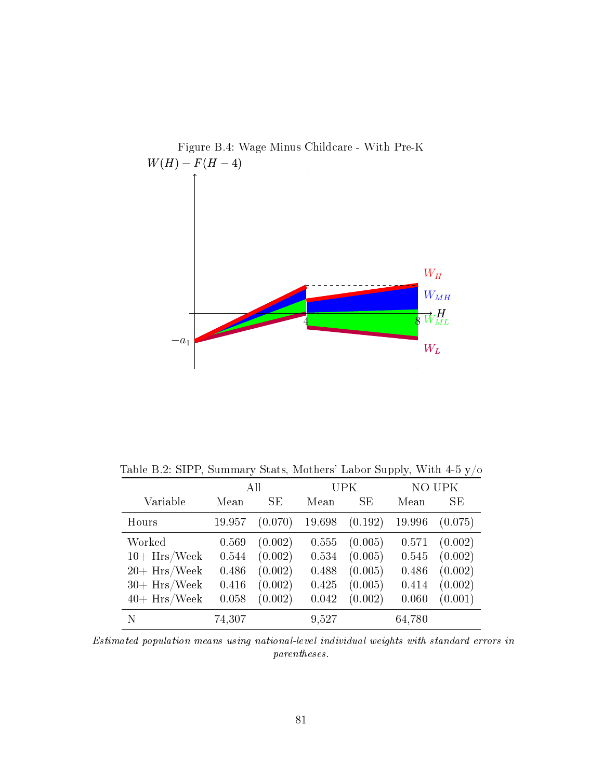

Table B.2: SIPP, Summary Stats, Mothers' Labor Supply, With  $4\text{-}5$  y/o

|                 | All    |         |        | <b>UPK</b> |        | NO UPK  |  |
|-----------------|--------|---------|--------|------------|--------|---------|--|
| Variable        | Mean   | SE      | Mean   | SE         | Mean   | SE      |  |
| Hours           | 19.957 | (0.070) | 19.698 | (0.192)    | 19.996 | (0.075) |  |
| Worked          | 0.569  | (0.002) | 0.555  | (0.005)    | 0.571  | (0.002) |  |
| $10+ Hrs/Week$  | 0.544  | (0.002) | 0.534  | (0.005)    | 0.545  | (0.002) |  |
| $20 + Hrs/Week$ | 0.486  | (0.002) | 0.488  | (0.005)    | 0.486  | (0.002) |  |
| $30+ Hrs/Week$  | 0.416  | (0.002) | 0.425  | (0.005)    | 0.414  | (0.002) |  |
| $40+ Hrs/Week$  | 0.058  | (0.002) | 0.042  | (0.002)    | 0.060  | (0.001) |  |
| N               | 74,307 |         | 9,527  |            | 64,780 |         |  |

Estimated population means using national-level individual weights with standard errors in parentheses.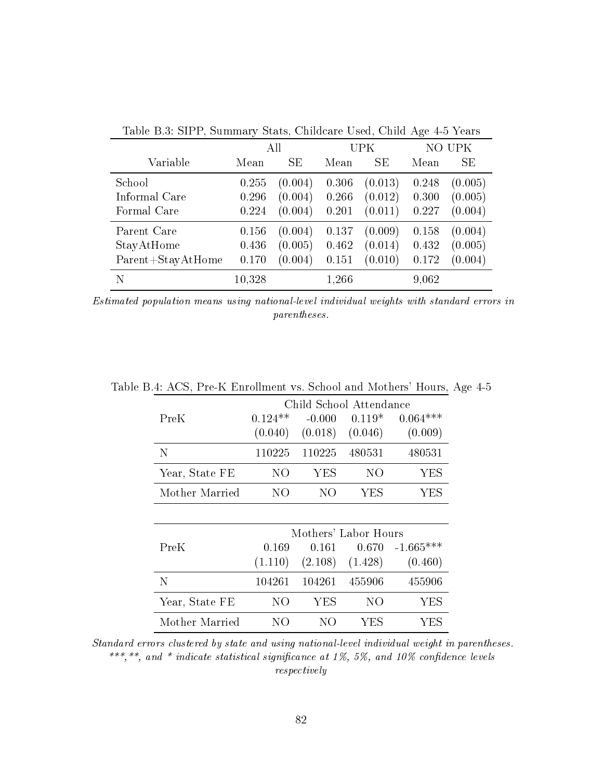|                   | All    |           | UPK   |         |       | NO UPK  |
|-------------------|--------|-----------|-------|---------|-------|---------|
| Variable          | Mean   | <b>SE</b> | Mean  | SE      | Mean  | SE      |
| School            | 0.255  | (0.004)   | 0.306 | (0.013) | 0.248 | (0.005) |
| Informal Care     | 0.296  | (0.004)   | 0.266 | (0.012) | 0.300 | (0.005) |
| Formal Care       | 0.224  | (0.004)   | 0.201 | (0.011) | 0.227 | (0.004) |
| Parent Care       | 0.156  | (0.004)   | 0.137 | (0.009) | 0.158 | (0.004) |
| StayAtHome        | 0.436  | (0.005)   | 0.462 | (0.014) | 0.432 | (0.005) |
| Parent+StayAtHome | 0.170  | (0.004)   | 0.151 | (0.010) | 0.172 | (0.004) |
| N                 | 10,328 |           | 1,266 |         | 9,062 |         |

Table B.3: SIPP, Summary Stats, Childcare Used, Child Age 4-5 Years

Estimated population means using national-level individual weights with standard errors in parentheses.

|                | Child School Attendance |                      |          |             |  |
|----------------|-------------------------|----------------------|----------|-------------|--|
| PreK           | $0.124**$               | $-0.000$             | $0.119*$ | $0.064***$  |  |
|                | (0.040)                 | (0.018)              | (0.046)  | (0.009)     |  |
| N              | 110225                  | 110225               | 480531   | 480531      |  |
| Year, State FE | NO                      | YES                  | NO       | YES         |  |
| Mother Married | NО                      | NО                   | YES      | YES         |  |
|                |                         |                      |          |             |  |
|                |                         | Mothers' Labor Hours |          |             |  |
| PreK           | 0.169                   | 0.161                | 0.670    | $-1.665***$ |  |
|                | (1.110)                 | (2.108)              | (1.428)  | (0.460)     |  |

Table B.4: ACS, Pre-K Enrollment vs. School and Mothers' Hours, Age 4-5

|     |      |     | (0.460)                                     |
|-----|------|-----|---------------------------------------------|
|     |      |     | 455906                                      |
| N() | YES. | NO. | YES.                                        |
| NO. | NO.  | VFS | YES.                                        |
|     |      |     | $(2.108)$ $(1.428)$<br>104261 104261 455906 |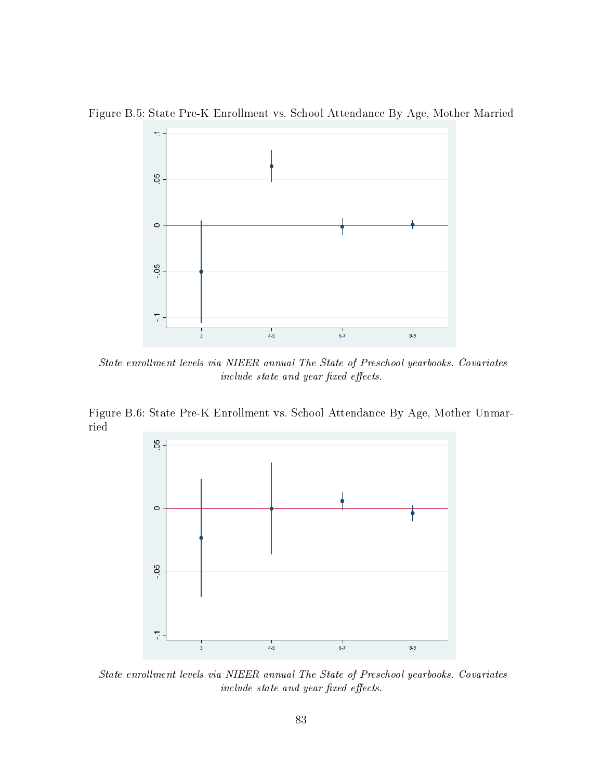

Figure B.5: State Pre-K Enrollment vs. School Attendance By Age, Mother Married

State enrollment levels via NIEER annual The State of Preschool yearbooks. Covariates  $include\; state\; and\; year\; fixed\; effects.$ 

Figure B.6: State Pre-K Enrollment vs. School Attendance By Age, Mother Unmarried



State enrollment levels via NIEER annual The State of Preschool yearbooks. Covariates  $include\; state\; and\; year\; fixed\; effects.$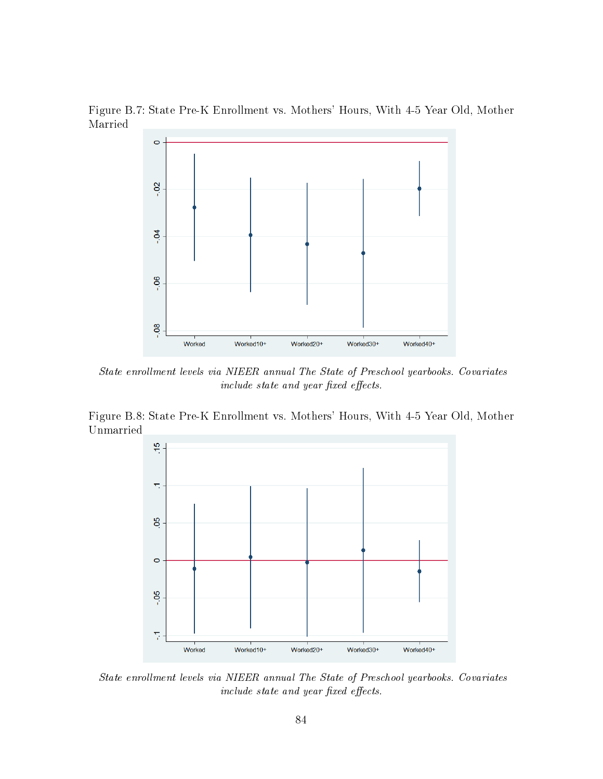Figure B.7: State Pre-K Enrollment vs. Mothers' Hours, With 4-5 Year Old, Mother Married



State enrollment levels via NIEER annual The State of Preschool yearbooks. Covariates  $include\; state\; and\; year\; fixed\; effects.$ 

Figure B.8: State Pre-K Enrollment vs. Mothers' Hours, With 4-5 Year Old, Mother Unmarried



State enrollment levels via NIEER annual The State of Preschool yearbooks. Covariates include state and year fixed effects.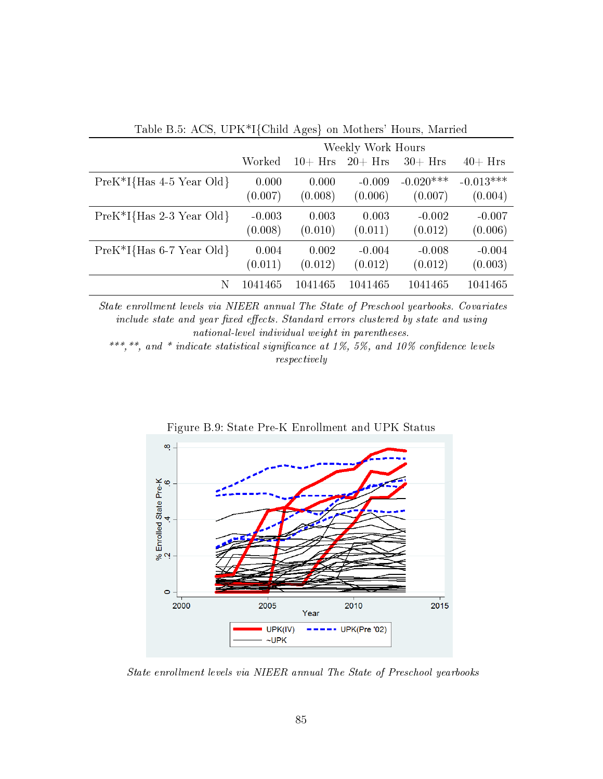| Table D.0. ACD, CT IV I Child Ages on Modifers Hours, Married |                   |            |            |             |             |  |
|---------------------------------------------------------------|-------------------|------------|------------|-------------|-------------|--|
|                                                               | Weekly Work Hours |            |            |             |             |  |
|                                                               | Worked            | $10 + Hrs$ | $20 + Hrs$ | $30 + Hrs$  | $40 + Hrs$  |  |
| $PreK^*I{Has 4-5 Year Old}$                                   | 0.000             | 0.000      | $-0.009$   | $-0.020***$ | $-0.013***$ |  |
|                                                               | (0.007)           | (0.008)    | (0.006)    | (0.007)     | (0.004)     |  |
| $PreK^*I{Has 2-3 Year Old}$                                   | $-0.003$          | 0.003      | 0.003      | $-0.002$    | $-0.007$    |  |
|                                                               | (0.008)           | (0.010)    | (0.011)    | (0.012)     | (0.006)     |  |
| $PreK^*I{Has 6-7 Year Old}$                                   | 0.004             | 0.002      | $-0.004$   | $-0.008$    | $-0.004$    |  |
|                                                               | (0.011)           | (0.012)    | (0.012)    | (0.012)     | (0.003)     |  |
| N                                                             | 1041465           | 1041465    | 1041465    | 1041465     | 1041465     |  |

Table B.5: ACS, UPK\*I{Child Ages} on Mothers' Hours, Married

State enrollment levels via NIEER annual The State of Preschool yearbooks. Covariates include state and year fixed effects. Standard errors clustered by state and using national-level individual weight in parentheses.



Figure B.9: State Pre-K Enrollment and UPK Status

State enrollment levels via NIEER annual The State of Preschool yearbooks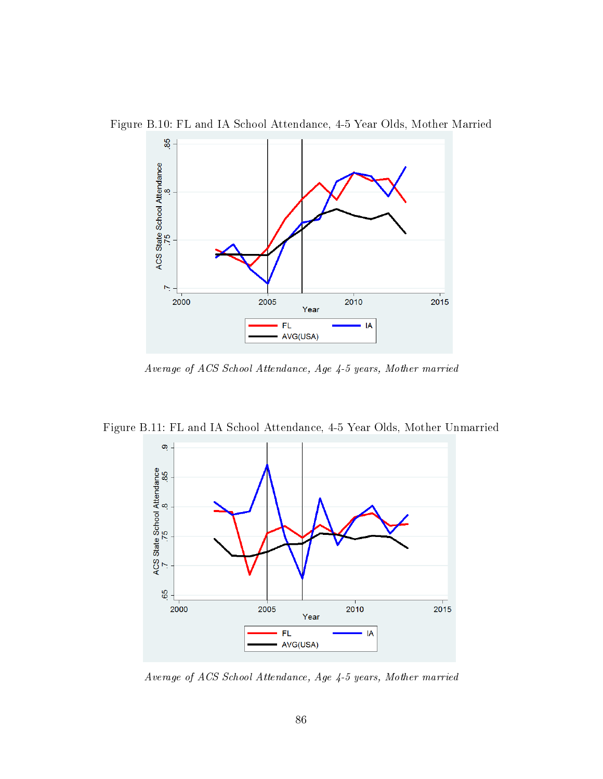

Figure B.10: FL and IA School Attendance, 4-5 Year Olds, Mother Married

Average of ACS School Attendance, Age 4-5 years, Mother married

Figure B.11: FL and IA School Attendance, 4-5 Year Olds, Mother Unmarried



Average of ACS School Attendance, Age 4-5 years, Mother married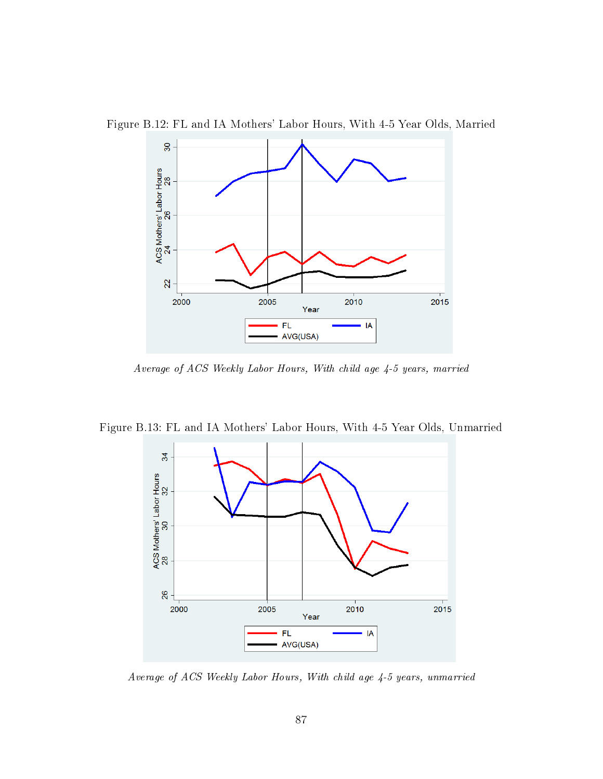

Figure B.12: FL and IA Mothers' Labor Hours, With 4-5 Year Olds, Married

Average of ACS Weekly Labor Hours, With child age 4-5 years, married



Figure B.13: FL and IA Mothers' Labor Hours, With 4-5 Year Olds, Unmarried

Average of ACS Weekly Labor Hours, With child age 4-5 years, unmarried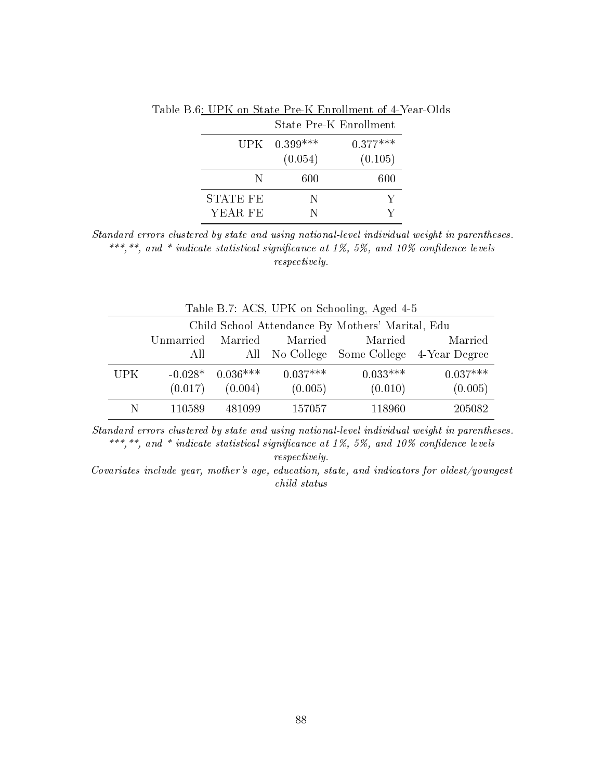|                 |                | State Pre-K Enrollment |
|-----------------|----------------|------------------------|
|                 | $UPK$ 0.399*** | $0.377***$             |
|                 | (0.054)        | (0.105)                |
| N               | 600            | 600                    |
| <b>STATE FE</b> | N              | $\mathbf{Y}$           |
| YEAR FE         | N              | V                      |

Table B.6: UPK on State Pre-K Enrollment of 4-Year-Olds

| Table B.7: ACS, UPK on Schooling, Aged 4-5 |                                                  |                    |            |            |                                           |  |  |  |
|--------------------------------------------|--------------------------------------------------|--------------------|------------|------------|-------------------------------------------|--|--|--|
|                                            | Child School Attendance By Mothers' Marital, Edu |                    |            |            |                                           |  |  |  |
|                                            | Unmarried                                        | Married            | Married    | Married    | Married                                   |  |  |  |
|                                            | All                                              |                    |            |            | All No College Some College 4-Year Degree |  |  |  |
| <b>UPK</b>                                 |                                                  | $-0.028*$ 0.036*** | $0.037***$ | $0.033***$ | $0.037***$                                |  |  |  |
|                                            | (0.017)                                          | (0.004)            | (0.005)    | (0.010)    | (0.005)                                   |  |  |  |
|                                            | 110589                                           | 481099             | 157057     | 118960     | 205082                                    |  |  |  |

Standard errors clustered by state and using national-level individual weight in parentheses. \*\*\*,\*\*, and \* indicate statistical significance at 1%, 5%, and 10% confidence levels respectively.

Covariates include year, mother's age, education, state, and indicators for oldest/youngest child status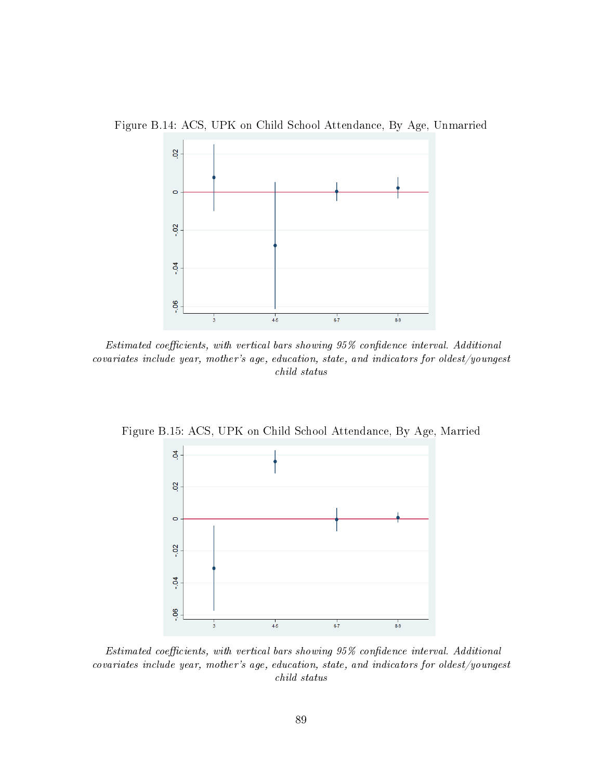Figure B.14: ACS, UPK on Child School Attendance, By Age, Unmarried



 $Estimated$  coefficients, with vertical bars showing  $95\%$  confidence interval. Additional covariates include year, mother's age, education, state, and indicators for oldest/youngest child status

Figure B.15: ACS, UPK on Child School Attendance, By Age, Married



 $Estimated$  coefficients, with vertical bars showing  $95\%$  confidence interval. Additional covariates include year, mother's age, education, state, and indicators for oldest/youngest child status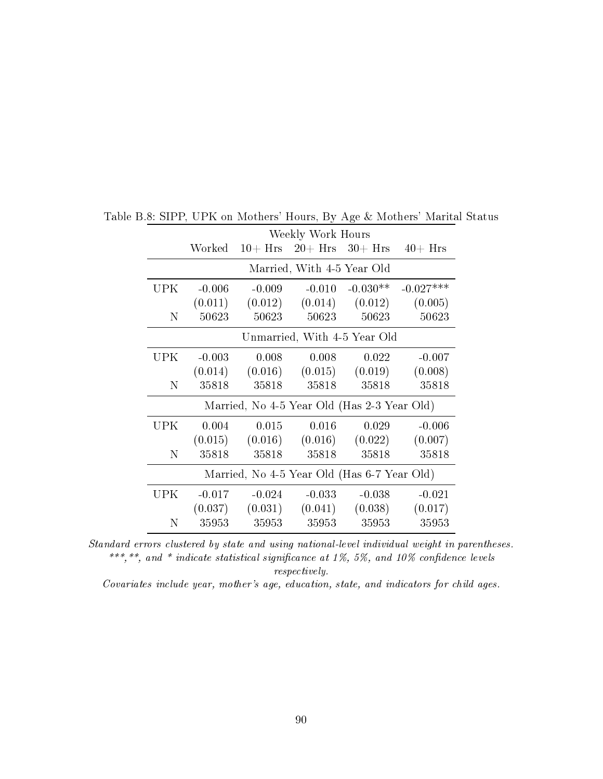|      |                                             |                  | Weekly Work Hours          |                                             |             |  |  |
|------|---------------------------------------------|------------------|----------------------------|---------------------------------------------|-------------|--|--|
|      |                                             | $Worked$ 10+ Hrs |                            | $20 + Hrs$ 30+ Hrs 40+ Hrs                  |             |  |  |
|      |                                             |                  | Married, With 4-5 Year Old |                                             |             |  |  |
| UPK. | $-0.006$                                    | $-0.009$         | $-0.010$                   | $-0.030**$                                  | $-0.027***$ |  |  |
|      | (0.011)                                     |                  |                            | $(0.012)$ $(0.014)$ $(0.012)$               | (0.005)     |  |  |
| N    | 50623                                       | 50623            | 50623                      | 50623                                       | 50623       |  |  |
|      | Unmarried, With 4-5 Year Old                |                  |                            |                                             |             |  |  |
| UPK. | $-0.003$                                    | 0.008            | 0.008                      | 0.022                                       | $-0.007$    |  |  |
|      | (0.014)                                     |                  | $(0.016)$ $(0.015)$        | (0.019)                                     | (0.008)     |  |  |
| N    | 35818                                       | 35818            | 35818                      | 35818                                       | 35818       |  |  |
|      |                                             |                  |                            | Married, No 4-5 Year Old (Has 2-3 Year Old) |             |  |  |
| UPK  | 0.004                                       | 0.015            | 0.016                      | 0.029                                       | $-0.006$    |  |  |
|      | (0.015)                                     |                  | $(0.016)$ $(0.016)$        | (0.022)                                     | (0.007)     |  |  |
| N    | 35818                                       | 35818            | 35818                      | 35818                                       | 35818       |  |  |
|      | Married, No 4-5 Year Old (Has 6-7 Year Old) |                  |                            |                                             |             |  |  |
| UPK. | $-0.017$                                    | $-0.024$         | $-0.033$                   | $-0.038$                                    | $-0.021$    |  |  |
|      | (0.037)                                     |                  | $(0.031)$ $(0.041)$        | (0.038)                                     | (0.017)     |  |  |
| N    | 35953                                       | 35953            | 35953                      | 35953                                       | 35953       |  |  |

Table B.8: SIPP, UPK on Mothers' Hours, By Age & Mothers' Marital Status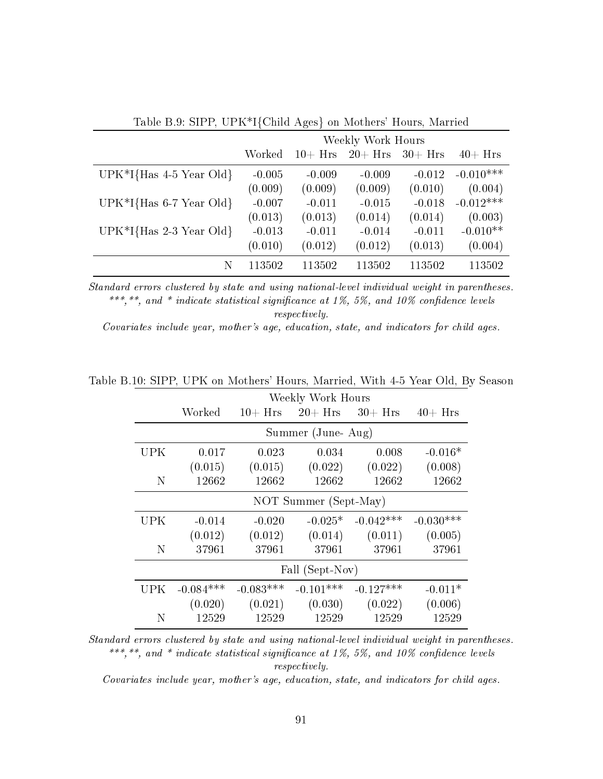|                                        | Weekly Work Hours |            |            |            |             |
|----------------------------------------|-------------------|------------|------------|------------|-------------|
|                                        | Worked            | $10 + Hrs$ | $20 + Hrs$ | $30 + Hrs$ | $40+$ Hrs   |
| UPK $*$ I{Has 4-5 Year Old}            | $-0.005$          | $-0.009$   | $-0.009$   | $-0.012$   | $-0.010***$ |
|                                        | (0.009)           | (0.009)    | (0.009)    | (0.010)    | (0.004)     |
| UPK $*$ I{Has 6-7 Year Old}            | $-0.007$          | $-0.011$   | $-0.015$   | $-0.018$   | $-0.012***$ |
|                                        | (0.013)           | (0.013)    | (0.014)    | (0.014)    | (0.003)     |
| UPK <sup>*</sup> I{Has $2-3$ Year Old} | $-0.013$          | $-0.011$   | $-0.014$   | $-0.011$   | $-0.010**$  |
|                                        | (0.010)           | (0.012)    | (0.012)    | (0.013)    | (0.004)     |
| N                                      | 113502            | 113502     | 113502     | 113502     | 113502      |

Table B.9: SIPP, UPK\*I{Child Ages} on Mothers' Hours, Married

Covariates include year, mother's age, education, state, and indicators for child ages.

|      | Weekly Work Hours     |             |                              |             |             |  |  |
|------|-----------------------|-------------|------------------------------|-------------|-------------|--|--|
|      | Worked                |             | $10 + Hrs$ 20 + Hrs 30 + Hrs |             | $40 + Hrs$  |  |  |
|      |                       |             | Summer (June-Aug)            |             |             |  |  |
| UPK. | 0.017                 | 0.023       | 0.034                        | 0.008       | $-0.016*$   |  |  |
|      | (0.015)               | (0.015)     | (0.022)                      | (0.022)     | (0.008)     |  |  |
| N    | 12662                 | 12662       | 12662                        | 12662       | 12662       |  |  |
|      | NOT Summer (Sept-May) |             |                              |             |             |  |  |
| UPK  | $-0.014$              | $-0.020$    | $-0.025*$                    | $-0.042***$ | $-0.030***$ |  |  |
|      | (0.012)               | (0.012)     | (0.014)                      | (0.011)     | (0.005)     |  |  |
| N    | 37961                 | 37961       | 37961                        | 37961       | 37961       |  |  |
|      | Fall (Sept-Nov)       |             |                              |             |             |  |  |
| UPK. | $-0.084***$           | $-0.083***$ | $-0.101***$                  | $-0.127***$ | $-0.011*$   |  |  |
|      | (0.020)               | (0.021)     | (0.030)                      | (0.022)     | (0.006)     |  |  |
| N    | 12529                 | 12529       | 12529                        | 12529       | 12529       |  |  |

Table B.10: SIPP, UPK on Mothers' Hours, Married, With 4-5 Year Old, By Season

Standard errors clustered by state and using national-level individual weight in parentheses. \*\*\*,\*\*, and \* indicate statistical significance at 1%, 5%, and 10% confidence levels respectively.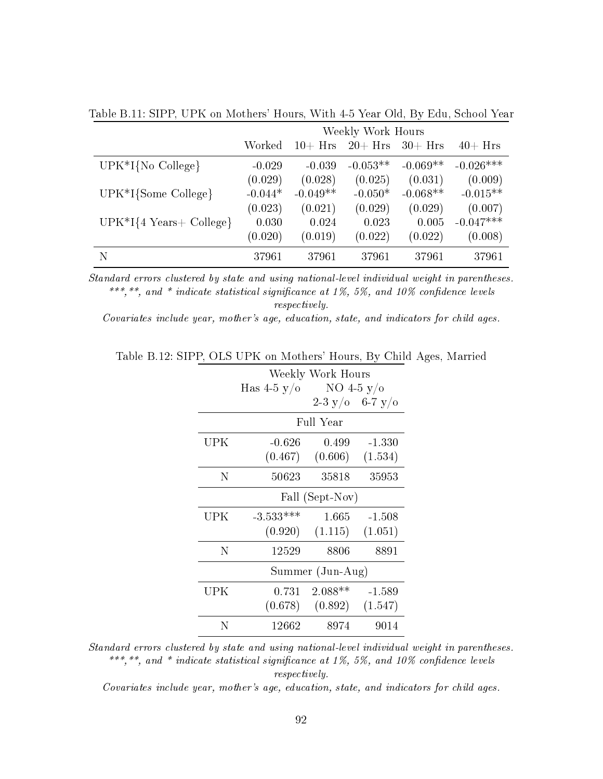|                                    | Weekly Work Hours |            |            |            |             |
|------------------------------------|-------------------|------------|------------|------------|-------------|
|                                    | Worked            | $10 + Hrs$ | $20 + Hrs$ | $30 + Hrs$ | $40 + Hrs$  |
| $UPK*I{No}$ College}               | $-0.029$          | $-0.039$   | $-0.053**$ | $-0.069**$ | $-0.026***$ |
|                                    | (0.029)           | (0.028)    | (0.025)    | (0.031)    | (0.009)     |
| $UPK*I$ {Some College}             | $-0.044*$         | $-0.049**$ | $-0.050*$  | $-0.068**$ | $-0.015**$  |
|                                    | (0.023)           | (0.021)    | (0.029)    | (0.029)    | (0.007)     |
| $UPK*I{4 \text{ Years} + College}$ | 0.030             | 0.024      | 0.023      | 0.005      | $-0.047***$ |
|                                    | (0.020)           | (0.019)    | (0.022)    | (0.022)    | (0.008)     |
| N                                  | 37961             | 37961      | 37961      | 37961      | 37961       |

Table B.11: SIPP, UPK on Mothers' Hours, With 4-5 Year Old, By Edu, School Year

Covariates include year, mother's age, education, state, and indicators for child ages.

| Table B.12: SIPP, OLS UPK on Mothers' Hours, By Child Ages, Married |  |  |  |  |  |
|---------------------------------------------------------------------|--|--|--|--|--|
|---------------------------------------------------------------------|--|--|--|--|--|

|     | Weekly Work Hours |               |                 |  |  |  |
|-----|-------------------|---------------|-----------------|--|--|--|
|     | Has 4-5 y/o       | NO 4-5 $y$ /0 |                 |  |  |  |
|     |                   |               | 2-3 y/o 6-7 y/o |  |  |  |
|     |                   | Full Year     |                 |  |  |  |
| UPK | $-0.626$          | 0.499         | $-1.330$        |  |  |  |
|     | (0.467)           | (0.606)       | (1.534)         |  |  |  |
| N   | $50623\,$         | 35818         | 35953           |  |  |  |
|     | Fall (Sept-Nov)   |               |                 |  |  |  |
| UPK | $-3.533***$       | 1.665         | $-1.508$        |  |  |  |
|     | (0.920)           | (1.115)       | (1.051)         |  |  |  |
| Ν   | 12529             | 8806          | 8891            |  |  |  |
|     | Summer (Jun-Aug)  |               |                 |  |  |  |
| UPK | 0.731             | $2.088**$     | $-1.589$        |  |  |  |
|     | (0.678)           | (0.892)       | (1.547)         |  |  |  |
| N   | 12662             | 8974          | 9014            |  |  |  |

Standard errors clustered by state and using national-level individual weight in parentheses. \*\*\*,\*\*, and \* indicate statistical significance at 1%, 5%, and 10% confidence levels respectively.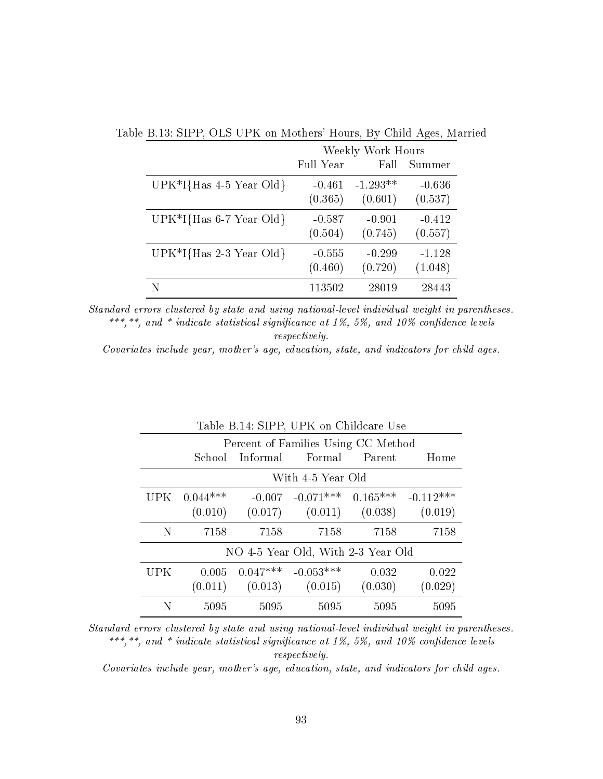|                                        | Weekly Work Hours |            |          |  |
|----------------------------------------|-------------------|------------|----------|--|
|                                        | Full Year         | Fall       | Summer   |  |
| UPK <sup>*</sup> I{Has $4-5$ Year Old} | $-0.461$          | $-1.293**$ | $-0.636$ |  |
|                                        | (0.365)           | (0.601)    | (0.537)  |  |
| UPK $*$ I{Has 6-7 Year Old}            | $-0.587$          | $-0.901$   | $-0.412$ |  |
|                                        | (0.504)           | (0.745)    | (0.557)  |  |
| UPK <sup>*</sup> I{Has $2-3$ Year Old} | $-0.555$          | $-0.299$   | $-1.128$ |  |
|                                        | (0.460)           | (0.720)    | (1.048)  |  |
|                                        | 113502            | 28019      | 28443    |  |

Table B.13: SIPP, OLS UPK on Mothers' Hours, By Child Ages, Married

Covariates include year, mother's age, education, state, and indicators for child ages.

|                                    | Table B.14: SIPP, UPK on Childcare Use |                    |                                             |       |         |  |  |
|------------------------------------|----------------------------------------|--------------------|---------------------------------------------|-------|---------|--|--|
|                                    |                                        |                    | Percent of Families Using CC Method         |       |         |  |  |
|                                    |                                        |                    | School Informal Formal Parent               |       | Home    |  |  |
|                                    | With 4-5 Year Old                      |                    |                                             |       |         |  |  |
|                                    | $UPK$ 0.044***                         |                    | $-0.007$ $-0.071***$ $0.165***$ $-0.112***$ |       |         |  |  |
|                                    | (0.010)                                |                    | $(0.017)$ $(0.011)$ $(0.038)$ $(0.019)$     |       |         |  |  |
| N                                  | 7158                                   | 7158               | 7158                                        | 7158  | 7158    |  |  |
| NO 4-5 Year Old, With 2-3 Year Old |                                        |                    |                                             |       |         |  |  |
| UPK.                               |                                        | $0.005$ $0.047***$ | $-0.053***$                                 | 0.032 | 0.022   |  |  |
|                                    |                                        |                    | $(0.011)$ $(0.013)$ $(0.015)$ $(0.030)$     |       | (0.029) |  |  |
| N                                  | 5095                                   | 5095               | 5095                                        | 5095  | 5095    |  |  |

# $T$

Standard errors clustered by state and using national-level individual weight in parentheses. \*\*\*,\*\*, and \* indicate statistical significance at 1%, 5%, and 10% confidence levels respectively.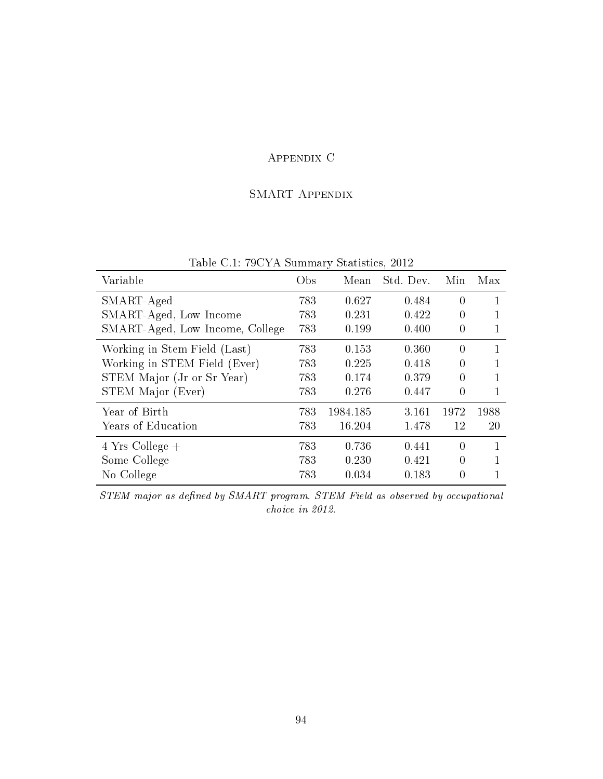## Appendix C

#### SMART Appendix

| Variable                        | Obs | Mean     | Std. Dev. | Min      | Max  |
|---------------------------------|-----|----------|-----------|----------|------|
| SMART-Aged                      | 783 | 0.627    | 0.484     | $\theta$ | 1    |
| SMART-Aged, Low Income          | 783 | 0.231    | 0.422     | $\theta$ |      |
| SMART-Aged, Low Income, College | 783 | 0.199    | 0.400     | $\theta$ |      |
| Working in Stem Field (Last)    | 783 | 0.153    | 0.360     | $\theta$ |      |
| Working in STEM Field (Ever)    | 783 | 0.225    | 0.418     | $\theta$ |      |
| STEM Major (Jr or Sr Year)      | 783 | 0.174    | 0.379     | $\theta$ |      |
| STEM Major (Ever)               | 783 | 0.276    | 0.447     | $\theta$ |      |
| Year of Birth                   | 783 | 1984.185 | 3.161     | 1972     | 1988 |
| Years of Education              | 783 | 16.204   | 1.478     | 12       | 20   |
| $4$ Yrs College $+$             | 783 | 0.736    | 0.441     | $\theta$ |      |
| Some College                    | 783 | 0.230    | 0.421     | $\theta$ |      |
| No College                      | 783 | 0.034    | 0.183     | $\theta$ |      |

Table C.1: 79CYA Summary Statistics, 2012

STEM major as defined by SMART program. STEM Field as observed by occupational choice in 2012.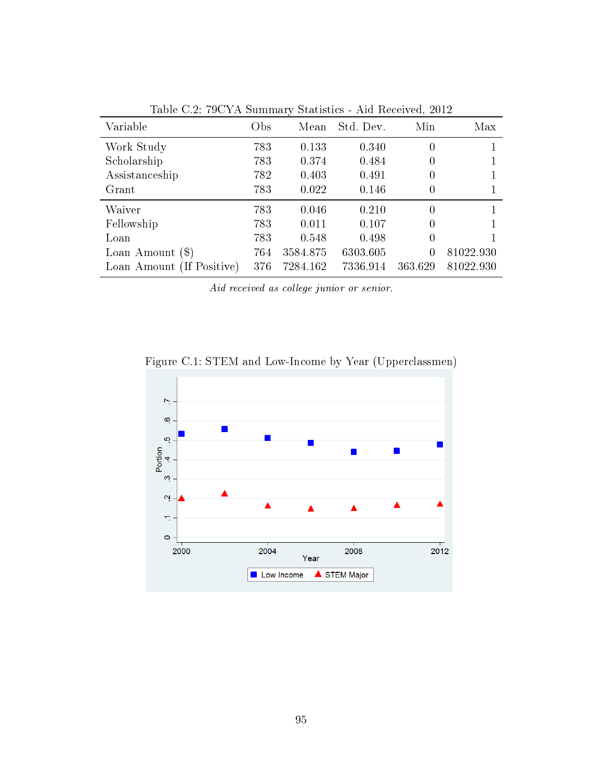| Variable                  | Obs | Mean     | Std. Dev. | Min      | Max       |
|---------------------------|-----|----------|-----------|----------|-----------|
| Work Study                | 783 | 0.133    | 0.340     | 0        |           |
| Scholarship               | 783 | 0.374    | 0.484     | 0        |           |
| Assistanceship            | 782 | 0.403    | 0.491     | 0        |           |
| Grant                     | 783 | 0.022    | 0.146     | 0        |           |
| Waiver                    | 783 | 0.046    | 0.210     | 0        |           |
| Fellowship                | 783 | 0.011    | 0.107     | 0        |           |
| Loan                      | 783 | 0.548    | 0.498     | $\theta$ |           |
| Loan Amount $(\$)$        | 764 | 3584.875 | 6303.605  | 0        | 81022.930 |
| Loan Amount (If Positive) | 376 | 7284.162 | 7336.914  | 363.629  | 81022.930 |

Table C.2: 79CYA Summary Statistics - Aid Received, 2012

Aid received as college junior or senior.



Figure C.1: STEM and Low-Income by Year (Upperclassmen)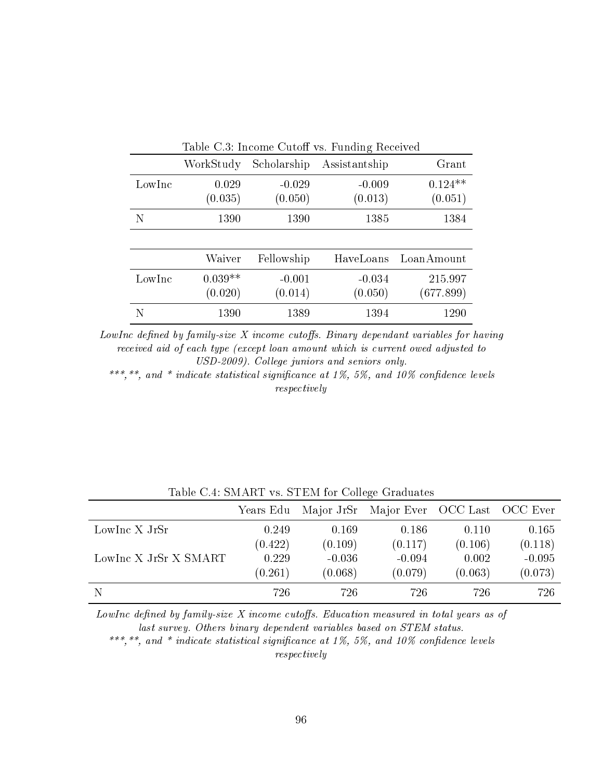| Table C.3: Income Cutoff vs. Funding Received |           |             |               |            |  |  |
|-----------------------------------------------|-----------|-------------|---------------|------------|--|--|
|                                               | WorkStudy | Scholarship | Assistantship | Grant      |  |  |
| LowInc                                        | 0.029     | $-0.029$    | $-0.009$      | $0.124**$  |  |  |
|                                               | (0.035)   | (0.050)     | (0.013)       | (0.051)    |  |  |
| N                                             | 1390      | 1390        | 1385          | 1384       |  |  |
|                                               |           |             |               |            |  |  |
|                                               | Waiver    | Fellowship  | HaveLoans     | LoanAmount |  |  |
| LowInc                                        | $0.039**$ | $-0.001$    | $-0.034$      | 215.997    |  |  |
|                                               | (0.020)   | (0.014)     | (0.050)       | (677.899)  |  |  |
|                                               | 1390      | 1389        | 1394          | 1290       |  |  |

 $LowInc$  defined by family-size  $X$  income cutoffs. Binary dependant variables for having received aid of each type (except loan amount which is current owed adjusted to USD-2009). College juniors and seniors only.

\*\*\*,\*\*, and \* indicate statistical significance at 1%, 5%, and 10% confidence levels respectively

|                       | Years Edu | Major JrSr | Major Ever OCC Last OCC Ever |         |          |
|-----------------------|-----------|------------|------------------------------|---------|----------|
| LowInc X JrSr         | 0.249     | 0.169      | 0.186                        | 0.110   | 0.165    |
|                       | (0.422)   | (0.109)    | (0.117)                      | (0.106) | (0.118)  |
| LowInc X JrSr X SMART | 0.229     | $-0.036$   | $-0.094$                     | 0.002   | $-0.095$ |
|                       | (0.261)   | (0.068)    | (0.079)                      | (0.063) | (0.073)  |
|                       | 726       | 726        | 726                          | 726     | 726      |

Table C.4: SMART vs. STEM for College Graduates

LowInc defined by family-size  $X$  income cutoffs. Education measured in total years as of last survey. Others binary dependent variables based on STEM status.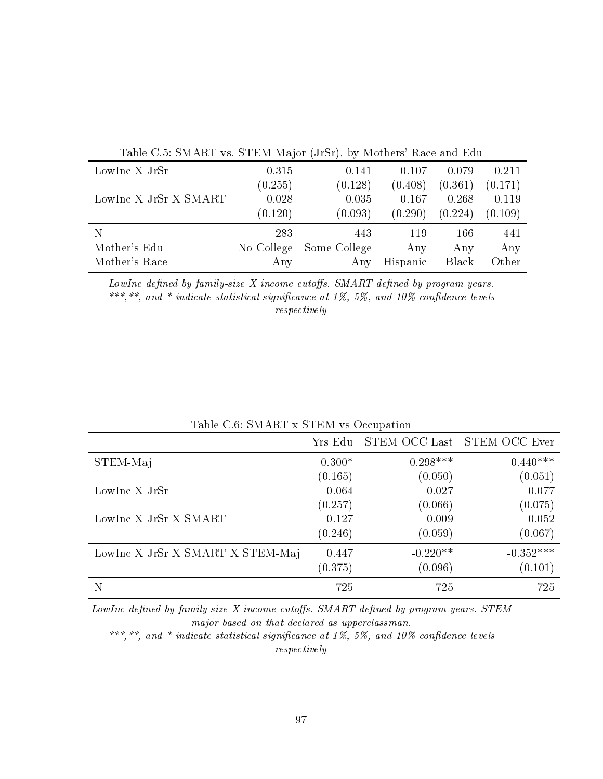| Table C.5: SMART vs. STEM Major (JrSr), by Mothers' Race and Edu |            |              |          |         |          |
|------------------------------------------------------------------|------------|--------------|----------|---------|----------|
| LowInc X JrSr                                                    | 0.315      | 0.141        | 0.107    | 0.079   | 0.211    |
|                                                                  | (0.255)    | (0.128)      | (0.408)  | (0.361) | (0.171)  |
| LowInc X JrSr X SMART                                            | $-0.028$   | $-0.035$     | 0.167    | 0.268   | $-0.119$ |
|                                                                  | (0.120)    | (0.093)      | (0.290)  | (0.224) | (0.109)  |
|                                                                  | 283        | 443          | 119      | 166     | 441      |
| Mother's Edu                                                     | No College | Some College | Any      | Any     | Any      |
| Mother's Race                                                    | Any        | Any          | Hispanic | Black   | Other    |
|                                                                  |            |              |          |         |          |

LowInc defined by family-size  $X$  income cutoffs. SMART defined by program years. \*\*\*,\*\*, and \* indicate statistical significance at 1%, 5%, and 10% confidence levels respectively

| Table C.O. SMART X STEM VS Occupation |          |            |                             |  |  |
|---------------------------------------|----------|------------|-----------------------------|--|--|
|                                       | Yrs Edu  |            | STEM OCC Last STEM OCC Ever |  |  |
| STEM-Maj                              | $0.300*$ | $0.298***$ | $0.440***$                  |  |  |
|                                       | (0.165)  | (0.050)    | (0.051)                     |  |  |
| LowInc X JrSr                         | 0.064    | 0.027      | 0.077                       |  |  |
|                                       | (0.257)  | (0.066)    | (0.075)                     |  |  |
| LowInc X JrSr X SMART                 | 0.127    | 0.009      | $-0.052$                    |  |  |
|                                       | (0.246)  | (0.059)    | (0.067)                     |  |  |
| LowInc X JrSr X SMART X STEM-Maj      | 0.447    | $-0.220**$ | $-0.352***$                 |  |  |
|                                       | (0.375)  | (0.096)    | (0.101)                     |  |  |
| N                                     | 725      | 725        | 725                         |  |  |

Table C.6: SMART x STEM vs Occupation

LowInc defined by family-size  $X$  income cutoffs. SMART defined by program years. STEM major based on that declared as upperclassman.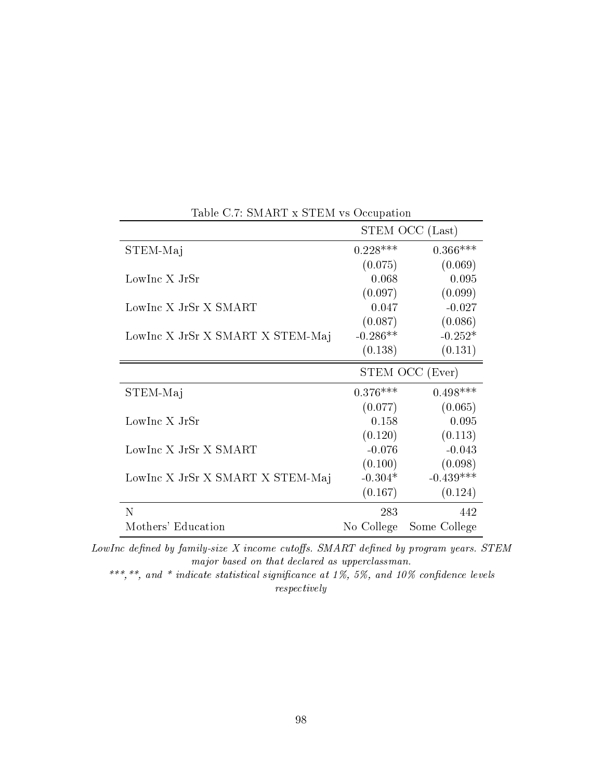|                                  | STEM OCC (Last) |              |
|----------------------------------|-----------------|--------------|
| STEM-Maj                         | $0.228***$      | $0.366***$   |
|                                  | (0.075)         | (0.069)      |
| LowInc X JrSr                    | 0.068           | 0.095        |
|                                  | (0.097)         | (0.099)      |
| LowInc X JrSr X SMART            | 0.047           | $-0.027$     |
|                                  | (0.087)         | (0.086)      |
| LowInc X JrSr X SMART X STEM-Maj | $-0.286**$      | $-0.252*$    |
|                                  | (0.138)         | (0.131)      |
|                                  | STEM OCC (Ever) |              |
| STEM-Maj                         | $0.376***$      | $0.498***$   |
|                                  | (0.077)         | (0.065)      |
| LowInc X JrSr                    | 0.158           | 0.095        |
|                                  | (0.120)         | (0.113)      |
| LowInc X JrSr X SMART            | $-0.076$        | $-0.043$     |
|                                  | (0.100)         | (0.098)      |
| LowInc X JrSr X SMART X STEM-Maj | $-0.304*$       | $-0.439***$  |
|                                  | (0.167)         | (0.124)      |
| N                                | 283             | 442          |
| Mothers' Education               | No College      | Some College |

Table C.7: SMART x STEM vs Occupation

LowInc defined by family-size  $X$  income cutoffs. SMART defined by program years. STEM major based on that declared as upperclassman.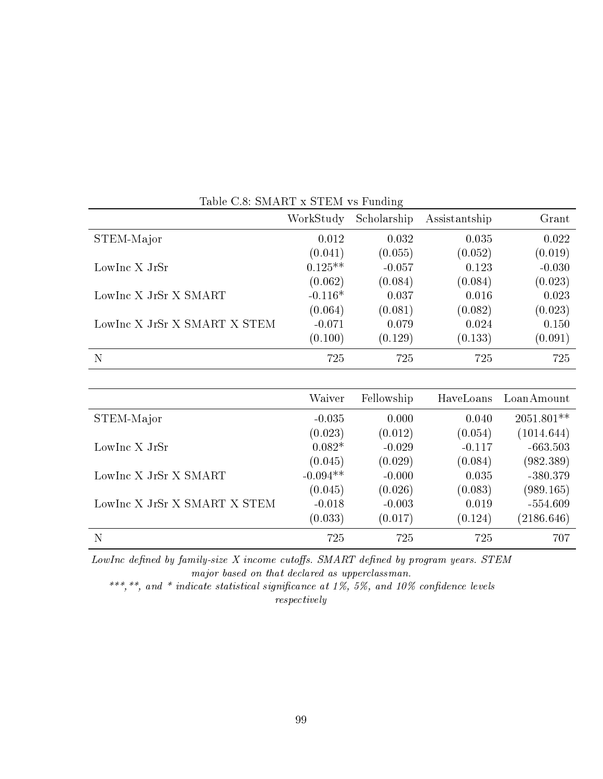|                              | WorkStudy | Scholarship | Assistantship | Grant    |
|------------------------------|-----------|-------------|---------------|----------|
| STEM-Major                   | 0.012     | 0.032       | 0.035         | 0.022    |
|                              | (0.041)   | (0.055)     | (0.052)       | (0.019)  |
| LowInc X JrSr                | $0.125**$ | $-0.057$    | 0.123         | $-0.030$ |
|                              | (0.062)   | (0.084)     | (0.084)       | (0.023)  |
| LowInc X JrSr X SMART        | $-0.116*$ | 0.037       | 0.016         | 0.023    |
|                              | (0.064)   | (0.081)     | (0.082)       | (0.023)  |
| LowInc X JrSr X SMART X STEM | $-0.071$  | 0.079       | 0.024         | 0.150    |
|                              | (0.100)   | (0.129)     | (0.133)       | (0.091)  |
| N                            | 725       | 725         | 725           | 725      |

Table C.8: SMART x STEM vs Funding

|                              | Waiver     | Fellowship | HaveLoans | LoanAmount   |
|------------------------------|------------|------------|-----------|--------------|
| STEM-Major                   | $-0.035$   | 0.000      | 0.040     | $2051.801**$ |
|                              | (0.023)    | (0.012)    | (0.054)   | (1014.644)   |
| LowInc X JrSr                | $0.082*$   | $-0.029$   | $-0.117$  | $-663.503$   |
|                              | (0.045)    | (0.029)    | (0.084)   | (982.389)    |
| LowInc X JrSr X SMART        | $-0.094**$ | $-0.000$   | 0.035     | $-380.379$   |
|                              | (0.045)    | (0.026)    | (0.083)   | (989.165)    |
| LowInc X JrSr X SMART X STEM | $-0.018$   | $-0.003$   | 0.019     | $-554.609$   |
|                              | (0.033)    | (0.017)    | (0.124)   | (2186.646)   |
| N                            | 725        | 725        | 725       | 707          |

LowInc defined by family-size  $X$  income cutoffs. SMART defined by program years. STEM major based on that declared as upperclassman.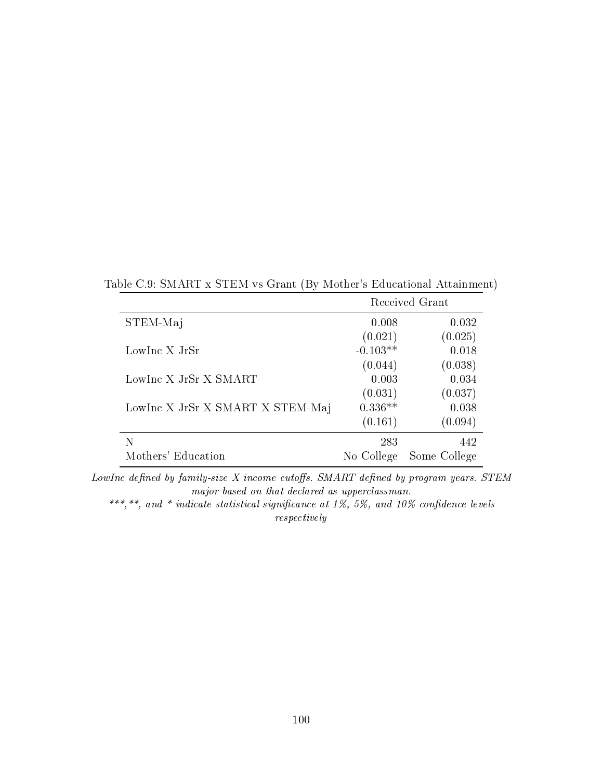Table C.9: SMART x STEM vs Grant (By Mother's Educational Attainment)

|                                  | Received Grant |              |  |
|----------------------------------|----------------|--------------|--|
| STEM-Maj                         | 0.008          | 0.032        |  |
|                                  | (0.021)        | (0.025)      |  |
| LowInc X JrSr                    | $-0.103**$     | 0.018        |  |
|                                  | (0.044)        | (0.038)      |  |
| LowInc X JrSr X SMART            | 0.003          | 0.034        |  |
|                                  | (0.031)        | (0.037)      |  |
| LowInc X JrSr X SMART X STEM-Maj | $0.336**$      | 0.038        |  |
|                                  | (0.161)        | (0.094)      |  |
| N                                | 283            | 442          |  |
| Mothers' Education               | No College     | Some College |  |

LowInc defined by family-size  $X$  income cutoffs. SMART defined by program years. STEM major based on that declared as upperclassman.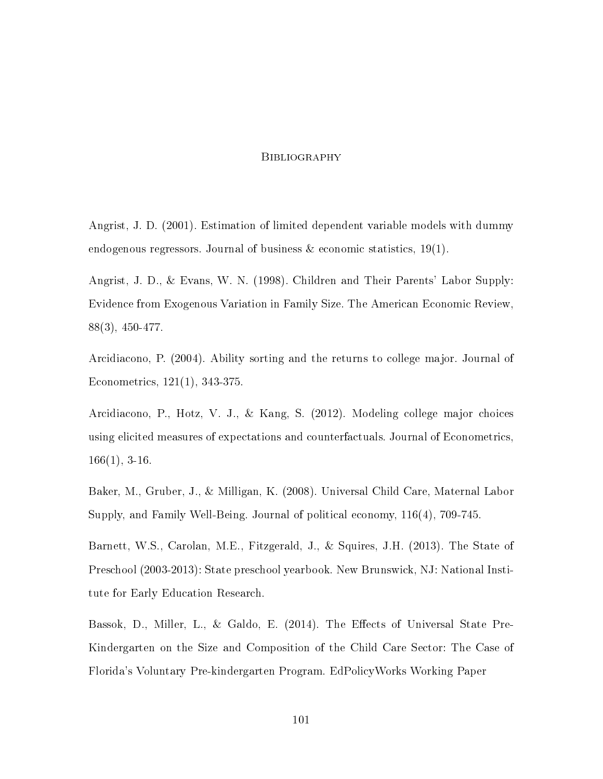#### **BIBLIOGRAPHY**

Angrist, J. D. (2001). Estimation of limited dependent variable models with dummy endogenous regressors. Journal of business  $\&$  economic statistics, 19(1).

Angrist, J. D., & Evans, W. N. (1998). Children and Their Parents' Labor Supply: Evidence from Exogenous Variation in Family Size. The American Economic Review, 88(3), 450-477.

Arcidiacono, P. (2004). Ability sorting and the returns to college major. Journal of Econometrics, 121(1), 343-375.

Arcidiacono, P., Hotz, V. J., & Kang, S. (2012). Modeling college major choices using elicited measures of expectations and counterfactuals. Journal of Econometrics,  $166(1), 3-16.$ 

Baker, M., Gruber, J., & Milligan, K. (2008). Universal Child Care, Maternal Labor Supply, and Family Well-Being. Journal of political economy, 116(4), 709-745.

Barnett, W.S., Carolan, M.E., Fitzgerald, J., & Squires, J.H. (2013). The State of Preschool (2003-2013): State preschool yearbook. New Brunswick, NJ: National Institute for Early Education Research.

Bassok, D., Miller, L., & Galdo, E. (2014). The Effects of Universal State Pre-Kindergarten on the Size and Composition of the Child Care Sector: The Case of Florida's Voluntary Pre-kindergarten Program. EdPolicyWorks Working Paper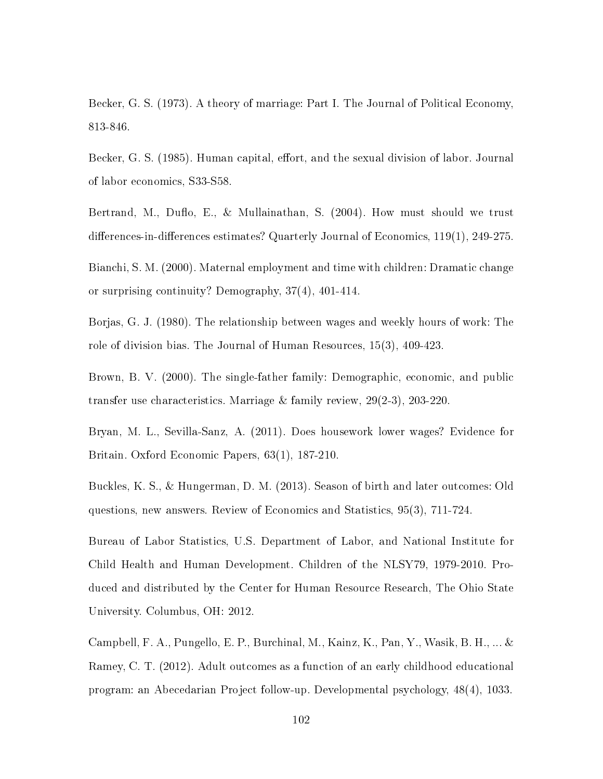Becker, G. S. (1973). A theory of marriage: Part I. The Journal of Political Economy, 813-846.

Becker, G. S. (1985). Human capital, effort, and the sexual division of labor. Journal of labor economics, S33-S58.

Bertrand, M., Duflo, E., & Mullainathan, S. (2004). How must should we trust differences-in-differences estimates? Quarterly Journal of Economics,  $119(1)$ ,  $249-275$ .

Bianchi, S. M. (2000). Maternal employment and time with children: Dramatic change or surprising continuity? Demography, 37(4), 401-414.

Borjas, G. J. (1980). The relationship between wages and weekly hours of work: The role of division bias. The Journal of Human Resources, 15(3), 409-423.

Brown, B. V. (2000). The single-father family: Demographic, economic, and public transfer use characteristics. Marriage & family review, 29(2-3), 203-220.

Bryan, M. L., Sevilla-Sanz, A. (2011). Does housework lower wages? Evidence for Britain. Oxford Economic Papers, 63(1), 187-210.

Buckles, K. S., & Hungerman, D. M. (2013). Season of birth and later outcomes: Old questions, new answers. Review of Economics and Statistics, 95(3), 711-724.

Bureau of Labor Statistics, U.S. Department of Labor, and National Institute for Child Health and Human Development. Children of the NLSY79, 1979-2010. Produced and distributed by the Center for Human Resource Research, The Ohio State University. Columbus, OH: 2012.

Campbell, F. A., Pungello, E. P., Burchinal, M., Kainz, K., Pan, Y., Wasik, B. H., ... & Ramey, C. T. (2012). Adult outcomes as a function of an early childhood educational program: an Abecedarian Project follow-up. Developmental psychology, 48(4), 1033.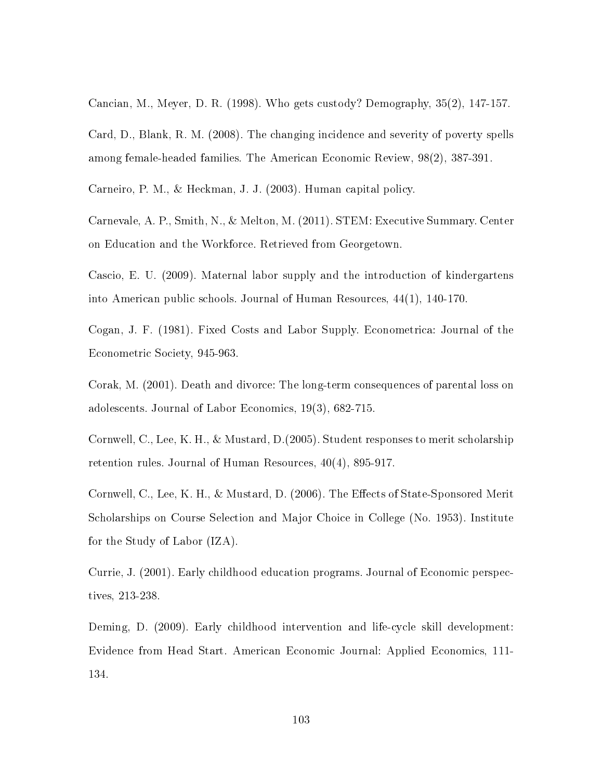Cancian, M., Meyer, D. R. (1998). Who gets custody? Demography, 35(2), 147-157.

Card, D., Blank, R. M. (2008). The changing incidence and severity of poverty spells among female-headed families. The American Economic Review, 98(2), 387-391.

Carneiro, P. M., & Heckman, J. J. (2003). Human capital policy.

Carnevale, A. P., Smith, N., & Melton, M. (2011). STEM: Executive Summary. Center on Education and the Workforce. Retrieved from Georgetown.

Cascio, E. U. (2009). Maternal labor supply and the introduction of kindergartens into American public schools. Journal of Human Resources, 44(1), 140-170.

Cogan, J. F. (1981). Fixed Costs and Labor Supply. Econometrica: Journal of the Econometric Society, 945-963.

Corak, M. (2001). Death and divorce: The long-term consequences of parental loss on adolescents. Journal of Labor Economics, 19(3), 682-715.

Cornwell, C., Lee, K. H., & Mustard, D.(2005). Student responses to merit scholarship retention rules. Journal of Human Resources, 40(4), 895-917.

Cornwell, C., Lee, K. H., & Mustard, D. (2006). The Effects of State-Sponsored Merit Scholarships on Course Selection and Major Choice in College (No. 1953). Institute for the Study of Labor (IZA).

Currie, J. (2001). Early childhood education programs. Journal of Economic perspectives, 213-238.

Deming, D. (2009). Early childhood intervention and life-cycle skill development: Evidence from Head Start. American Economic Journal: Applied Economics, 111- 134.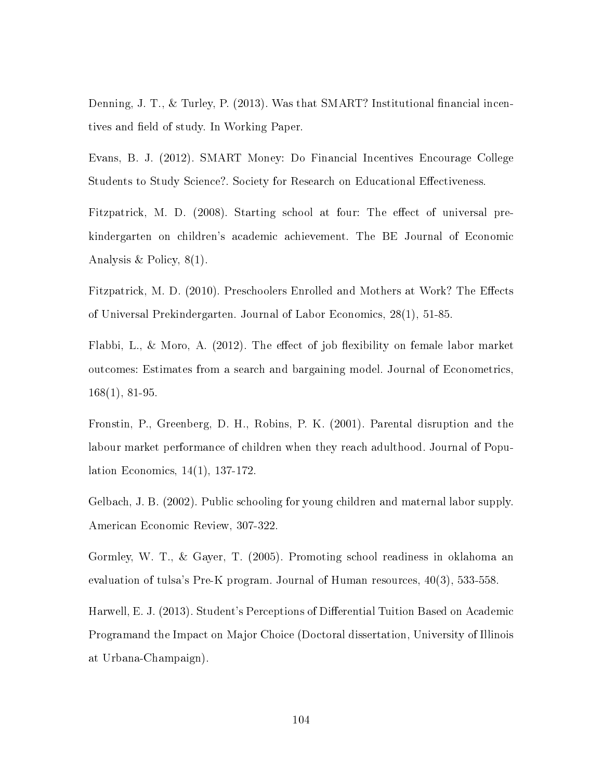Denning, J. T., & Turley, P.  $(2013)$ . Was that SMART? Institutional financial incentives and field of study. In Working Paper.

Evans, B. J. (2012). SMART Money: Do Financial Incentives Encourage College Students to Study Science?. Society for Research on Educational Effectiveness.

Fitzpatrick, M. D. (2008). Starting school at four: The effect of universal prekindergarten on children's academic achievement. The BE Journal of Economic Analysis & Policy, 8(1).

Fitzpatrick, M. D. (2010). Preschoolers Enrolled and Mothers at Work? The Effects of Universal Prekindergarten. Journal of Labor Economics, 28(1), 51-85.

Flabbi, L., & Moro, A.  $(2012)$ . The effect of job flexibility on female labor market outcomes: Estimates from a search and bargaining model. Journal of Econometrics, 168(1), 81-95.

Fronstin, P., Greenberg, D. H., Robins, P. K. (2001). Parental disruption and the labour market performance of children when they reach adulthood. Journal of Population Economics, 14(1), 137-172.

Gelbach, J. B. (2002). Public schooling for young children and maternal labor supply. American Economic Review, 307-322.

Gormley, W. T., & Gayer, T. (2005). Promoting school readiness in oklahoma an evaluation of tulsa's Pre-K program. Journal of Human resources, 40(3), 533-558.

Harwell, E. J. (2013). Student's Perceptions of Differential Tuition Based on Academic Programand the Impact on Major Choice (Doctoral dissertation, University of Illinois at Urbana-Champaign).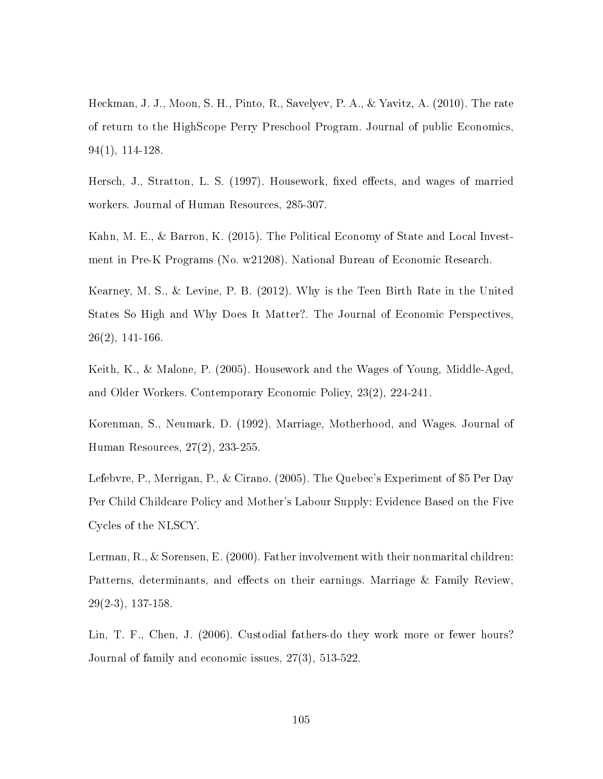Heckman, J. J., Moon, S. H., Pinto, R., Savelyev, P. A., & Yavitz, A. (2010). The rate of return to the HighScope Perry Preschool Program. Journal of public Economics, 94(1), 114-128.

Hersch, J., Stratton, L. S. (1997). Housework, fixed effects, and wages of married workers. Journal of Human Resources, 285-307.

Kahn, M. E., & Barron, K. (2015). The Political Economy of State and Local Investment in Pre-K Programs (No. w21208). National Bureau of Economic Research.

Kearney, M. S., & Levine, P. B. (2012). Why is the Teen Birth Rate in the United States So High and Why Does It Matter?. The Journal of Economic Perspectives,  $26(2)$ , 141-166.

Keith, K., & Malone, P. (2005). Housework and the Wages of Young, Middle-Aged, and Older Workers. Contemporary Economic Policy, 23(2), 224-241.

Korenman, S., Neumark, D. (1992). Marriage, Motherhood, and Wages. Journal of Human Resources, 27(2), 233-255.

Lefebvre, P., Merrigan, P., & Cirano. (2005). The Quebec's Experiment of \$5 Per Day Per Child Childcare Policy and Mother's Labour Supply: Evidence Based on the Five Cycles of the NLSCY.

Lerman, R., & Sorensen, E. (2000). Father involvement with their nonmarital children: Patterns, determinants, and effects on their earnings. Marriage & Family Review, 29(2-3), 137-158.

Lin, T. F., Chen, J. (2006). Custodial fathers-do they work more or fewer hours? Journal of family and economic issues, 27(3), 513-522.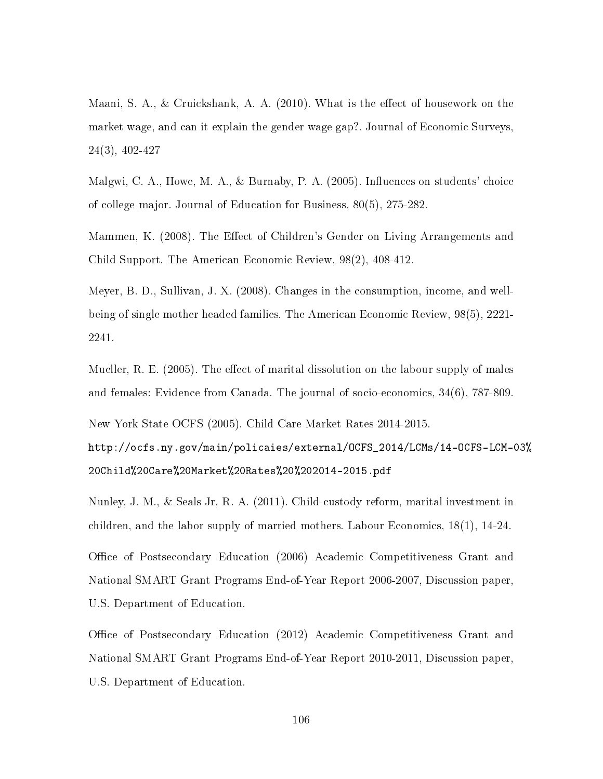Maani, S. A., & Cruickshank, A. A. (2010). What is the effect of housework on the market wage, and can it explain the gender wage gap?. Journal of Economic Surveys, 24(3), 402-427

Malgwi, C. A., Howe, M. A., & Burnaby, P. A.  $(2005)$ . Influences on students' choice of college major. Journal of Education for Business, 80(5), 275-282.

Mammen, K. (2008). The Effect of Children's Gender on Living Arrangements and Child Support. The American Economic Review, 98(2), 408-412.

Meyer, B. D., Sullivan, J. X. (2008). Changes in the consumption, income, and wellbeing of single mother headed families. The American Economic Review, 98(5), 2221- 2241.

Mueller, R. E. (2005). The effect of marital dissolution on the labour supply of males and females: Evidence from Canada. The journal of socio-economics, 34(6), 787-809.

New York State OCFS (2005). Child Care Market Rates 2014-2015.

http://ocfs.ny.gov/main/policaies/external/OCFS\_2014/LCMs/14-OCFS-LCM-03% 20Child%20Care%20Market%20Rates%20%202014-2015.pdf

Nunley, J. M., & Seals Jr, R. A. (2011). Child-custody reform, marital investment in children, and the labor supply of married mothers. Labour Economics, 18(1), 14-24.

Office of Postsecondary Education (2006) Academic Competitiveness Grant and National SMART Grant Programs End-of-Year Report 2006-2007, Discussion paper, U.S. Department of Education.

Office of Postsecondary Education (2012) Academic Competitiveness Grant and National SMART Grant Programs End-of-Year Report 2010-2011, Discussion paper, U.S. Department of Education.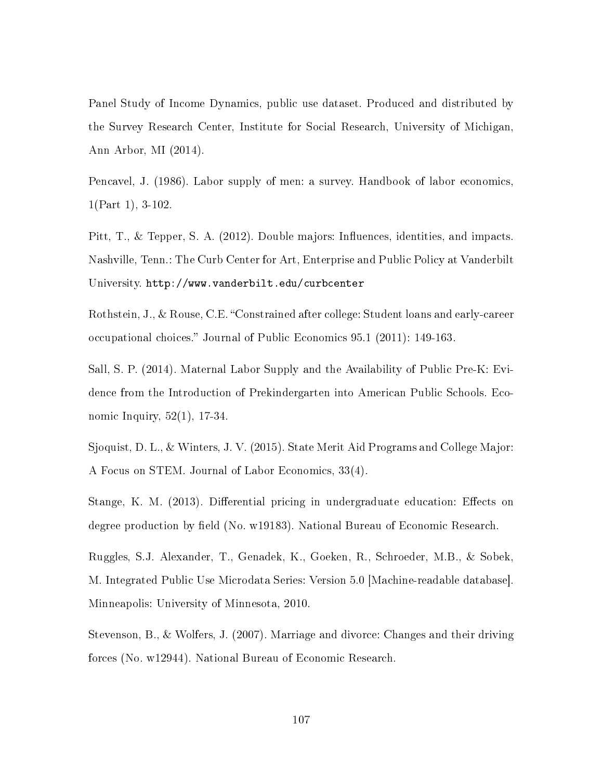Panel Study of Income Dynamics, public use dataset. Produced and distributed by the Survey Research Center, Institute for Social Research, University of Michigan, Ann Arbor, MI (2014).

Pencavel, J. (1986). Labor supply of men: a survey. Handbook of labor economics, 1(Part 1), 3-102.

Pitt,  $T<sub>1</sub>$ ,  $\&$  Tepper, S. A. (2012). Double majors: Influences, identities, and impacts. Nashville, Tenn.: The Curb Center for Art, Enterprise and Public Policy at Vanderbilt University. http://www.vanderbilt.edu/curbcenter

Rothstein, J., & Rouse, C.E. "Constrained after college: Student loans and early-career occupational choices." Journal of Public Economics 95.1 (2011): 149-163.

Sall, S. P. (2014). Maternal Labor Supply and the Availability of Public Pre-K: Evidence from the Introduction of Prekindergarten into American Public Schools. Economic Inquiry, 52(1), 17-34.

Sjoquist, D. L., & Winters, J. V. (2015). State Merit Aid Programs and College Major: A Focus on STEM. Journal of Labor Economics, 33(4).

Stange, K. M. (2013). Differential pricing in undergraduate education: Effects on degree production by field (No. w19183). National Bureau of Economic Research.

Ruggles, S.J. Alexander, T., Genadek, K., Goeken, R., Schroeder, M.B., & Sobek, M. Integrated Public Use Microdata Series: Version 5.0 [Machine-readable database]. Minneapolis: University of Minnesota, 2010.

Stevenson, B., & Wolfers, J. (2007). Marriage and divorce: Changes and their driving forces (No. w12944). National Bureau of Economic Research.